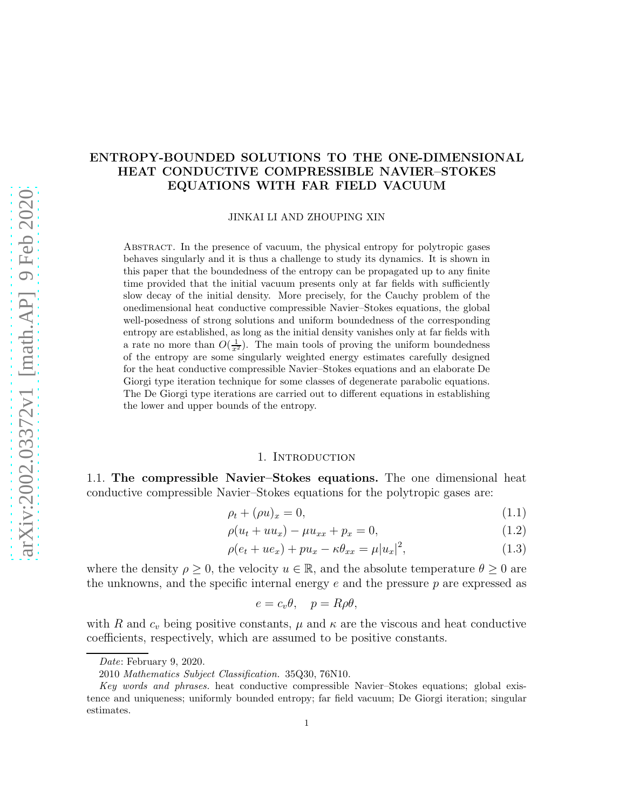# ENTROPY-BOUNDED SOLUTIONS TO THE ONE-DIMENSIONAL HEAT CONDUCTIVE COMPRESSIBLE NAVIER–STOKES EQUATIONS WITH FAR FIELD VACUUM

JINKAI LI AND ZHOUPING XIN

Abstract. In the presence of vacuum, the physical entropy for polytropic gases behaves singularly and it is thus a challenge to study its dynamics. It is shown in this paper that the boundedness of the entropy can be propagated up to any finite time provided that the initial vacuum presents only at far fields with sufficiently slow decay of the initial density. More precisely, for the Cauchy problem of the onedimensional heat conductive compressible Navier–Stokes equations, the global well-posedness of strong solutions and uniform boundedness of the corresponding entropy are established, as long as the initial density vanishes only at far fields with a rate no more than  $O(\frac{1}{x^2})$ . The main tools of proving the uniform boundedness of the entropy are some singularly weighted energy estimates carefully designed for the heat conductive compressible Navier–Stokes equations and an elaborate De Giorgi type iteration technique for some classes of degenerate parabolic equations. The De Giorgi type iterations are carried out to different equations in establishing the lower and upper bounds of the entropy.

### 1. Introduction

1.1. The compressible Navier–Stokes equations. The one dimensional heat conductive compressible Navier–Stokes equations for the polytropic gases are:

<span id="page-0-0"></span>
$$
\rho_t + (\rho u)_x = 0,\tag{1.1}
$$

$$
\rho(u_t + uu_x) - \mu u_{xx} + p_x = 0, \tag{1.2}
$$

$$
\rho(e_t + ue_x) + pu_x - \kappa \theta_{xx} = \mu |u_x|^2, \tag{1.3}
$$

where the density  $\rho \geq 0$ , the velocity  $u \in \mathbb{R}$ , and the absolute temperature  $\theta \geq 0$  are the unknowns, and the specific internal energy  $e$  and the pressure  $p$  are expressed as

$$
e = c_v \theta, \quad p = R \rho \theta,
$$

with R and  $c_v$  being positive constants,  $\mu$  and  $\kappa$  are the viscous and heat conductive coefficients, respectively, which are assumed to be positive constants.

Date: February 9, 2020.

<sup>2010</sup> Mathematics Subject Classification. 35Q30, 76N10.

Key words and phrases. heat conductive compressible Navier–Stokes equations; global existence and uniqueness; uniformly bounded entropy; far field vacuum; De Giorgi iteration; singular estimates.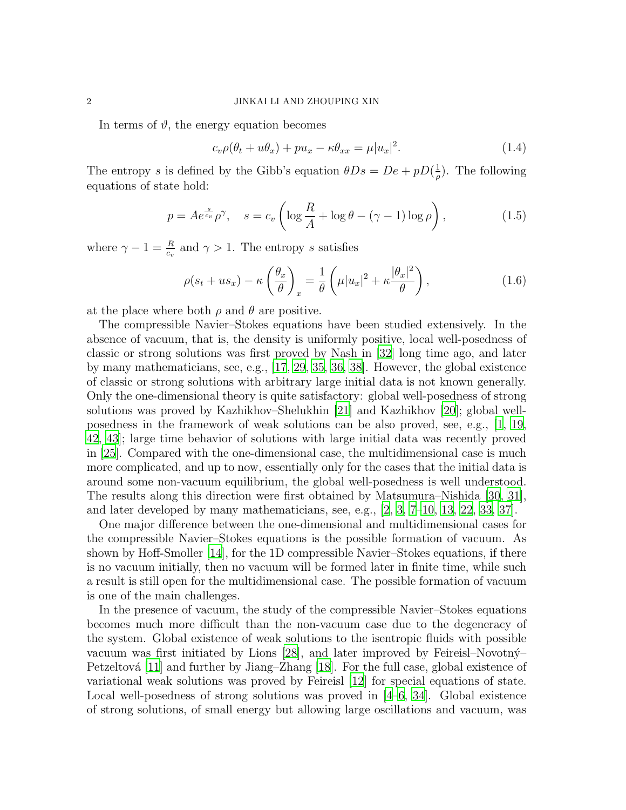In terms of  $\vartheta$ , the energy equation becomes

<span id="page-1-0"></span>
$$
c_v \rho(\theta_t + u\theta_x) + p u_x - \kappa \theta_{xx} = \mu |u_x|^2. \tag{1.4}
$$

The entropy s is defined by the Gibb's equation  $\theta Ds = De + pD(\frac{1}{a})$  $\frac{1}{\rho}$ ). The following equations of state hold:

$$
p = Ae^{\frac{s}{c_v}} \rho^{\gamma}, \quad s = c_v \left( \log \frac{R}{A} + \log \theta - (\gamma - 1) \log \rho \right), \tag{1.5}
$$

where  $\gamma - 1 = \frac{R}{c_v}$  and  $\gamma > 1$ . The entropy s satisfies

$$
\rho(s_t + us_x) - \kappa \left(\frac{\theta_x}{\theta}\right)_x = \frac{1}{\theta} \left(\mu |u_x|^2 + \kappa \frac{|\theta_x|^2}{\theta}\right),\tag{1.6}
$$

at the place where both  $\rho$  and  $\theta$  are positive.

The compressible Navier–Stokes equations have been studied extensively. In the absence of vacuum, that is, the density is uniformly positive, local well-posedness of classic or strong solutions was first proved by Nash in [\[32](#page-48-0)] long time ago, and later by many mathematicians, see, e.g., [\[17,](#page-47-0) [29,](#page-48-1) [35](#page-48-2), [36,](#page-48-3) [38](#page-49-0)]. However, the global existence of classic or strong solutions with arbitrary large initial data is not known generally. Only the one-dimensional theory is quite satisfactory: global well-posedness of strong solutions was proved by Kazhikhov–Shelukhin [\[21\]](#page-48-4) and Kazhikhov [\[20\]](#page-47-1); global wellposedness in the framework of weak solutions can be also proved, see, e.g., [\[1](#page-46-0), [19,](#page-47-2) [42,](#page-49-1) [43\]](#page-49-2); large time behavior of solutions with large initial data was recently proved in [\[25](#page-48-5)]. Compared with the one-dimensional case, the multidimensional case is much more complicated, and up to now, essentially only for the cases that the initial data is around some non-vacuum equilibrium, the global well-posedness is well understood. The results along this direction were first obtained by Matsumura–Nishida [\[30,](#page-48-6) [31\]](#page-48-7), and later developed by many mathematicians, see, e.g., [\[2](#page-46-1), [3](#page-46-2), [7](#page-47-3)[–10,](#page-47-4) [13,](#page-47-5) [22](#page-48-8), [33](#page-48-9), [37](#page-49-3)].

One major difference between the one-dimensional and multidimensional cases for the compressible Navier–Stokes equations is the possible formation of vacuum. As shown by Hoff-Smoller [\[14\]](#page-47-6), for the 1D compressible Navier–Stokes equations, if there is no vacuum initially, then no vacuum will be formed later in finite time, while such a result is still open for the multidimensional case. The possible formation of vacuum is one of the main challenges.

In the presence of vacuum, the study of the compressible Navier–Stokes equations becomes much more difficult than the non-vacuum case due to the degeneracy of the system. Global existence of weak solutions to the isentropic fluids with possible vacuum was first initiated by Lions [\[28\]](#page-48-10), and later improved by Feireisl–Novotný– Petzeltová [\[11](#page-47-7)] and further by Jiang–Zhang [\[18](#page-47-8)]. For the full case, global existence of variational weak solutions was proved by Feireisl [\[12](#page-47-9)] for special equations of state. Local well-posedness of strong solutions was proved in  $[4-6, 34]$  $[4-6, 34]$ . Global existence of strong solutions, of small energy but allowing large oscillations and vacuum, was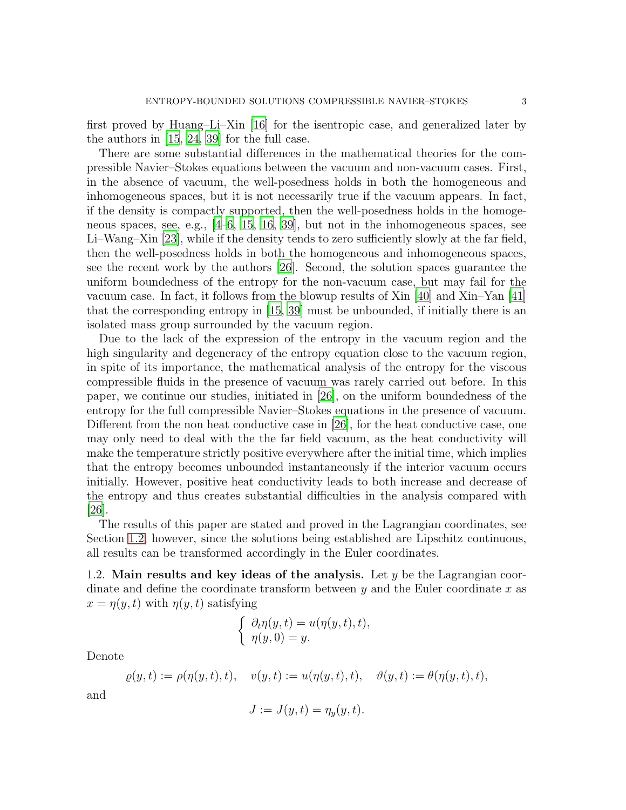first proved by Huang–Li–Xin [\[16\]](#page-47-11) for the isentropic case, and generalized later by the authors in [\[15,](#page-47-12) [24,](#page-48-12) [39\]](#page-49-4) for the full case.

There are some substantial differences in the mathematical theories for the compressible Navier–Stokes equations between the vacuum and non-vacuum cases. First, in the absence of vacuum, the well-posedness holds in both the homogeneous and inhomogeneous spaces, but it is not necessarily true if the vacuum appears. In fact, if the density is compactly supported, then the well-posedness holds in the homogeneous spaces, see, e.g., [\[4](#page-46-3)[–6](#page-47-10), [15,](#page-47-12) [16](#page-47-11), [39](#page-49-4)], but not in the inhomogeneous spaces, see Li–Wang–Xin [\[23\]](#page-48-13), while if the density tends to zero sufficiently slowly at the far field, then the well-posedness holds in both the homogeneous and inhomogeneous spaces, see the recent work by the authors [\[26](#page-48-14)]. Second, the solution spaces guarantee the uniform boundedness of the entropy for the non-vacuum case, but may fail for the vacuum case. In fact, it follows from the blowup results of Xin [\[40\]](#page-49-5) and Xin–Yan [\[41\]](#page-49-6) that the corresponding entropy in [\[15](#page-47-12), [39\]](#page-49-4) must be unbounded, if initially there is an isolated mass group surrounded by the vacuum region.

Due to the lack of the expression of the entropy in the vacuum region and the high singularity and degeneracy of the entropy equation close to the vacuum region, in spite of its importance, the mathematical analysis of the entropy for the viscous compressible fluids in the presence of vacuum was rarely carried out before. In this paper, we continue our studies, initiated in [\[26\]](#page-48-14), on the uniform boundedness of the entropy for the full compressible Navier–Stokes equations in the presence of vacuum. Different from the non heat conductive case in [\[26\]](#page-48-14), for the heat conductive case, one may only need to deal with the the far field vacuum, as the heat conductivity will make the temperature strictly positive everywhere after the initial time, which implies that the entropy becomes unbounded instantaneously if the interior vacuum occurs initially. However, positive heat conductivity leads to both increase and decrease of the entropy and thus creates substantial difficulties in the analysis compared with  $|26|$ .

The results of this paper are stated and proved in the Lagrangian coordinates, see Section [1.2;](#page-2-0) however, since the solutions being established are Lipschitz continuous, all results can be transformed accordingly in the Euler coordinates.

<span id="page-2-0"></span>1.2. Main results and key ideas of the analysis. Let  $y$  be the Lagrangian coordinate and define the coordinate transform between  $y$  and the Euler coordinate  $x$  as  $x = \eta(y, t)$  with  $\eta(y, t)$  satisfying

$$
\begin{cases} \n\partial_t \eta(y,t) = u(\eta(y,t),t), \\ \n\eta(y,0) = y. \n\end{cases}
$$

Denote

$$
\varrho(y,t) := \rho(\eta(y,t),t), \quad v(y,t) := u(\eta(y,t),t), \quad \vartheta(y,t) := \theta(\eta(y,t),t),
$$

and

$$
J := J(y, t) = \eta_y(y, t).
$$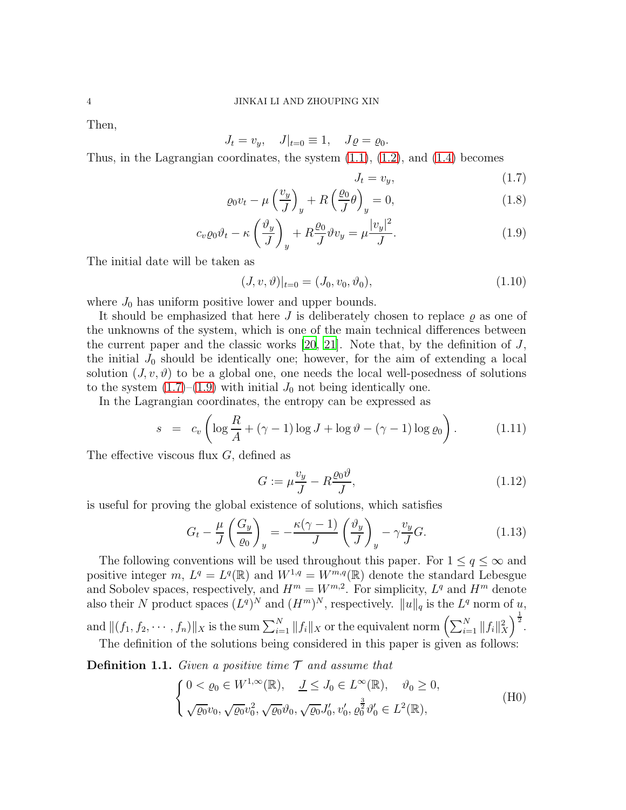### 4 JINKAI LI AND ZHOUPING XIN

Then,

$$
J_t = v_y, \quad J|_{t=0} \equiv 1, \quad J \varrho = \varrho_0.
$$

Thus, in the Lagrangian coordinates, the system  $(1.1)$ ,  $(1.2)$ , and  $(1.4)$  becomes

<span id="page-3-0"></span>
$$
J_t = v_y,\tag{1.7}
$$

$$
\varrho_0 v_t - \mu \left(\frac{v_y}{J}\right)_y + R\left(\frac{\varrho_0}{J}\theta\right)_y = 0, \tag{1.8}
$$

$$
c_v \varrho_0 \vartheta_t - \kappa \left(\frac{\vartheta_y}{J}\right)_y + R \frac{\varrho_0}{J} \vartheta v_y = \mu \frac{|v_y|^2}{J}.
$$
\n(1.9)

The initial date will be taken as

<span id="page-3-1"></span>
$$
(J, v, \vartheta)|_{t=0} = (J_0, v_0, \vartheta_0), \qquad (1.10)
$$

where  $J_0$  has uniform positive lower and upper bounds.

It should be emphasized that here  $J$  is deliberately chosen to replace  $\rho$  as one of the unknowns of the system, which is one of the main technical differences between the current paper and the classic works  $[20, 21]$  $[20, 21]$ . Note that, by the definition of J, the initial  $J_0$  should be identically one; however, for the aim of extending a local solution  $(J, v, \vartheta)$  to be a global one, one needs the local well-posedness of solutions to the system  $(1.7)$ – $(1.9)$  with initial  $J_0$  not being identically one.

In the Lagrangian coordinates, the entropy can be expressed as

<span id="page-3-5"></span>
$$
s = c_v \left( \log \frac{R}{A} + (\gamma - 1) \log J + \log \vartheta - (\gamma - 1) \log \varrho_0 \right). \tag{1.11}
$$

The effective viscous flux  $G$ , defined as

<span id="page-3-4"></span>
$$
G := \mu \frac{v_y}{J} - R \frac{\varrho_0 \vartheta}{J},\tag{1.12}
$$

is useful for proving the global existence of solutions, which satisfies

<span id="page-3-3"></span>
$$
G_t - \frac{\mu}{J} \left( \frac{G_y}{\varrho_0} \right)_y = -\frac{\kappa(\gamma - 1)}{J} \left( \frac{\vartheta_y}{J} \right)_y - \gamma \frac{v_y}{J} G. \tag{1.13}
$$

The following conventions will be used throughout this paper. For  $1 \le q \le \infty$  and positive integer m,  $L^q = L^q(\mathbb{R})$  and  $W^{1,q} = W^{m,q}(\mathbb{R})$  denote the standard Lebesgue and Sobolev spaces, respectively, and  $H^m = W^{m,2}$ . For simplicity,  $L^q$  and  $H^m$  denote also their N product spaces  $(L^q)^N$  and  $(H^m)^N$ , respectively.  $||u||_q$  is the  $L^q$  norm of  $u$ , and  $\|(f_1, f_2, \cdots, f_n)\|_X$  is the sum  $\sum_{i=1}^N \|f_i\|_X$  or the equivalent norm  $\left(\sum_{i=1}^N \|f_i\|_X^2\right)$  $\bigg\}^{\frac{1}{2}}$ .

The definition of the solutions being considered in this paper is given as follows:

<span id="page-3-2"></span>**Definition 1.1.** Given a positive time  $\mathcal{T}$  and assume that

$$
\begin{cases} 0 < \varrho_0 \in W^{1,\infty}(\mathbb{R}), & \underline{J} \le J_0 \in L^{\infty}(\mathbb{R}), \quad \vartheta_0 \ge 0, \\ \sqrt{\varrho_0} v_0, \sqrt{\varrho_0} v_0^2, \sqrt{\varrho_0} \vartheta_0, \sqrt{\varrho_0} J'_0, v'_0, \varrho_0^{\frac{3}{2}} \vartheta'_0 \in L^2(\mathbb{R}), \end{cases}
$$
(H0)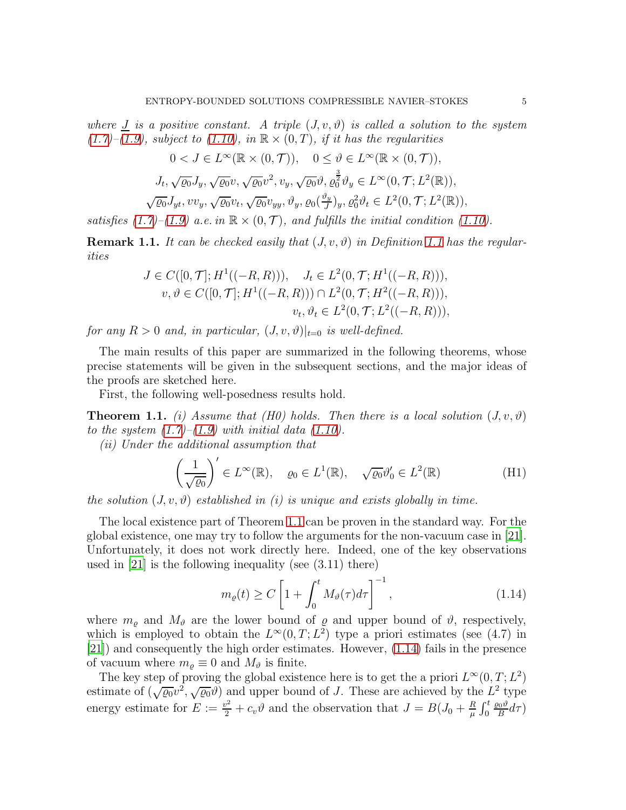where  $\overline{J}$  is a positive constant. A triple  $(J, v, \vartheta)$  is called a solution to the system  $(1.7)$ – $(1.9)$ , subject to  $(1.10)$ , in  $\mathbb{R} \times (0,T)$ , if it has the regularities

$$
0 < J \in L^{\infty}(\mathbb{R} \times (0, \mathcal{T})), \quad 0 \leq \vartheta \in L^{\infty}(\mathbb{R} \times (0, \mathcal{T})),
$$
\n
$$
J_t, \sqrt{\varrho_0} J_y, \sqrt{\varrho_0} v, \sqrt{\varrho_0} v^2, v_y, \sqrt{\varrho_0} \vartheta, \varrho_0^{\frac{3}{2}} \vartheta_y \in L^{\infty}(0, \mathcal{T}; L^2(\mathbb{R})),
$$
\n
$$
\sqrt{\varrho_0} J_{yt}, vv_y, \sqrt{\varrho_0} v_t, \sqrt{\varrho_0} v_{yy}, \vartheta_y, \varrho_0(\frac{\vartheta_y}{J})_y, \varrho_0^2 \vartheta_t \in L^2(0, \mathcal{T}; L^2(\mathbb{R})),
$$

satisfies [\(1.7\)](#page-3-0)–[\(1.9\)](#page-3-0) a.e. in  $\mathbb{R} \times (0, \mathcal{T})$ , and fulfills the initial condition [\(1.10\)](#page-3-1).

**Remark [1.1](#page-3-2).** It can be checked easily that  $(J, v, \vartheta)$  in Definition 1.1 has the regularities

$$
J \in C([0, \mathcal{T}]; H^1((-R, R))), \quad J_t \in L^2(0, \mathcal{T}; H^1((-R, R))),
$$
  

$$
v, \vartheta \in C([0, \mathcal{T}]; H^1((-R, R))) \cap L^2(0, \mathcal{T}; H^2((-R, R))),
$$
  

$$
v_t, \vartheta_t \in L^2(0, \mathcal{T}; L^2((-R, R))),
$$

for any  $R > 0$  and, in particular,  $(J, v, \vartheta)|_{t=0}$  is well-defined.

The main results of this paper are summarized in the following theorems, whose precise statements will be given in the subsequent sections, and the major ideas of the proofs are sketched here.

First, the following well-posedness results hold.

<span id="page-4-0"></span>**Theorem 1.1.** (i) Assume that (H0) holds. Then there is a local solution  $(J, v, \vartheta)$ to the system  $(1.7)$ – $(1.9)$  with initial data  $(1.10)$ .

(ii) Under the additional assumption that

$$
\left(\frac{1}{\sqrt{\varrho_0}}\right)' \in L^{\infty}(\mathbb{R}), \quad \varrho_0 \in L^1(\mathbb{R}), \quad \sqrt{\varrho_0} \vartheta_0' \in L^2(\mathbb{R}) \tag{H1}
$$

the solution  $(J, v, \vartheta)$  established in (i) is unique and exists globally in time.

The local existence part of Theorem [1.1](#page-4-0) can be proven in the standard way. For the global existence, one may try to follow the arguments for the non-vacuum case in [\[21\]](#page-48-4). Unfortunately, it does not work directly here. Indeed, one of the key observations used in [\[21](#page-48-4)] is the following inequality (see (3.11) there)

<span id="page-4-1"></span>
$$
m_{\varrho}(t) \ge C \left[ 1 + \int_0^t M_{\vartheta}(\tau) d\tau \right]^{-1}, \tag{1.14}
$$

where  $m_{\varrho}$  and  $M_{\vartheta}$  are the lower bound of  $\varrho$  and upper bound of  $\vartheta$ , respectively, which is employed to obtain the  $L^{\infty}(0,T; L^2)$  type a priori estimates (see (4.7) in [\[21\]](#page-48-4)) and consequently the high order estimates. However, [\(1.14\)](#page-4-1) fails in the presence of vacuum where  $m_{\rho} \equiv 0$  and  $M_{\vartheta}$  is finite.

The key step of proving the global existence here is to get the a priori  $L^{\infty}(0,T; L^2)$ estimate of  $(\sqrt{\varrho_0}v^2, \sqrt{\varrho_0}v)$  and upper bound of J. These are achieved by the  $L^2$  type energy estimate for  $E := \frac{v^2}{2} + c_v \vartheta$  and the observation that  $J = B(J_0 + \frac{R}{\mu})$  $\frac{R}{\mu}\int_0^t$  $\varrho_0\vartheta$  $\frac{\partial \theta}{\partial B}d\tau$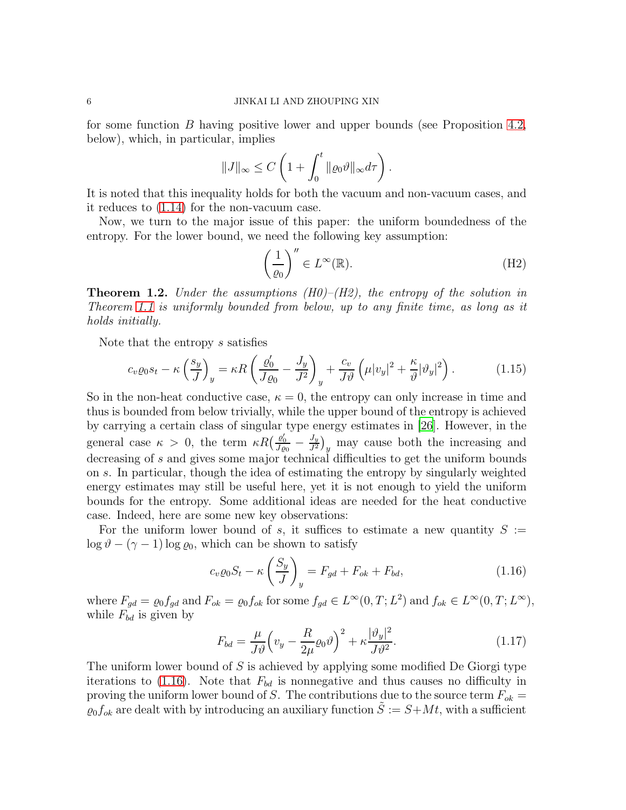for some function B having positive lower and upper bounds (see Proposition [4.2,](#page-19-0) below), which, in particular, implies

$$
||J||_{\infty} \leq C \left( 1 + \int_0^t ||\varrho_0 \vartheta||_{\infty} d\tau \right).
$$

It is noted that this inequality holds for both the vacuum and non-vacuum cases, and it reduces to [\(1.14\)](#page-4-1) for the non-vacuum case.

Now, we turn to the major issue of this paper: the uniform boundedness of the entropy. For the lower bound, we need the following key assumption:

$$
\left(\frac{1}{\varrho_0}\right)^{\prime\prime} \in L^\infty(\mathbb{R}).\tag{H2}
$$

**Theorem 1.2.** Under the assumptions  $(H0)$ – $(H2)$ , the entropy of the solution in Theorem [1.1](#page-4-0) is uniformly bounded from below, up to any finite time, as long as it holds initially.

Note that the entropy s satisfies

<span id="page-5-1"></span>
$$
c_v \varrho_0 s_t - \kappa \left(\frac{s_y}{J}\right)_y = \kappa R \left(\frac{\varrho'_0}{J\varrho_0} - \frac{J_y}{J^2}\right)_y + \frac{c_v}{J\vartheta} \left(\mu |v_y|^2 + \frac{\kappa}{\vartheta} |\vartheta_y|^2\right). \tag{1.15}
$$

So in the non-heat conductive case,  $\kappa = 0$ , the entropy can only increase in time and thus is bounded from below trivially, while the upper bound of the entropy is achieved by carrying a certain class of singular type energy estimates in [\[26](#page-48-14)]. However, in the general case  $\kappa > 0$ , the term  $\kappa R \left( \frac{\varrho'_0}{J \varrho_0} - \frac{J_y}{J^2} \right)$  $\frac{J_y}{J^2}\big)_y$  may cause both the increasing and decreasing of s and gives some major technical difficulties to get the uniform bounds on s. In particular, though the idea of estimating the entropy by singularly weighted energy estimates may still be useful here, yet it is not enough to yield the uniform bounds for the entropy. Some additional ideas are needed for the heat conductive case. Indeed, here are some new key observations:

For the uniform lower bound of s, it suffices to estimate a new quantity  $S :=$  $\log \theta - (\gamma - 1) \log \varrho_0$ , which can be shown to satisfy

<span id="page-5-0"></span>
$$
c_v \varrho_0 S_t - \kappa \left(\frac{S_y}{J}\right)_y = F_{gd} + F_{ok} + F_{bd},\tag{1.16}
$$

where  $F_{gd} = \varrho_0 f_{gd}$  and  $F_{ok} = \varrho_0 f_{ok}$  for some  $f_{gd} \in L^{\infty}(0, T; L^2)$  and  $f_{ok} \in L^{\infty}(0, T; L^{\infty})$ , while  $F_{bd}$  is given by

$$
F_{bd} = \frac{\mu}{J\vartheta} \left( v_y - \frac{R}{2\mu} \varrho_0 \vartheta \right)^2 + \kappa \frac{|\vartheta_y|^2}{J\vartheta^2}.
$$
 (1.17)

The uniform lower bound of S is achieved by applying some modified De Giorgi type iterations to [\(1.16\)](#page-5-0). Note that  $F_{bd}$  is nonnegative and thus causes no difficulty in proving the uniform lower bound of S. The contributions due to the source term  $F_{ok}$  =  $\varrho_0 f_{ok}$  are dealt with by introducing an auxiliary function  $\tilde{S} := S + Mt$ , with a sufficient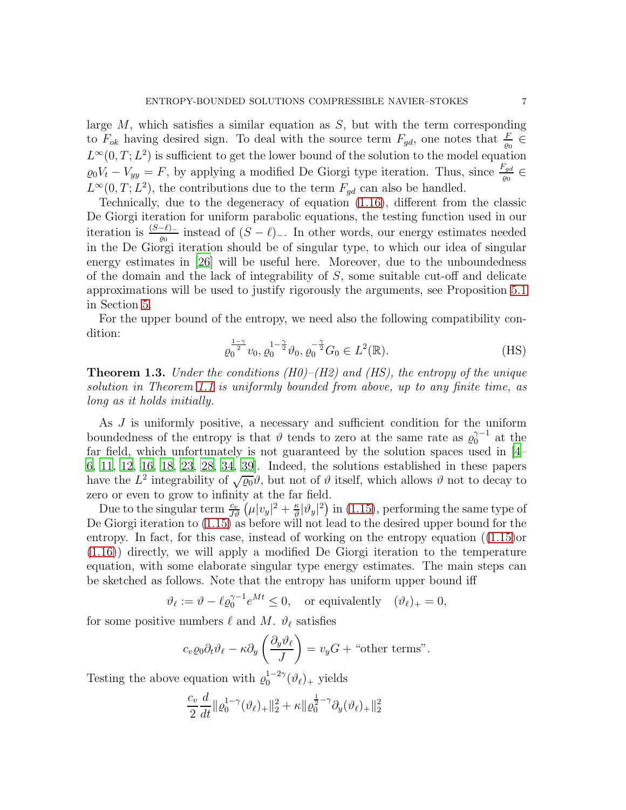large  $M$ , which satisfies a similar equation as  $S$ , but with the term corresponding to  $F_{ok}$  having desired sign. To deal with the source term  $F_{gd}$ , one notes that  $\frac{F}{\varrho_0} \in$  $L^{\infty}(0,T; L^2)$  is sufficient to get the lower bound of the solution to the model equation  $\varrho_0 V_t - V_{yy} = F$ , by applying a modified De Giorgi type iteration. Thus, since  $\frac{F_{gd}}{\varrho_0} \in$  $L^{\infty}(0,T; L^2)$ , the contributions due to the term  $F_{gd}$  can also be handled.

Technically, due to the degeneracy of equation [\(1.16\)](#page-5-0), different from the classic De Giorgi iteration for uniform parabolic equations, the testing function used in our iteration is  $\frac{(S-\ell)-}{\ell^0}$  instead of  $(S-\ell)-$ . In other words, our energy estimates needed in the De Giorgi iteration should be of singular type, to which our idea of singular energy estimates in [\[26\]](#page-48-14) will be useful here. Moreover, due to the unboundedness of the domain and the lack of integrability of S, some suitable cut-off and delicate approximations will be used to justify rigorously the arguments, see Proposition [5.1](#page-33-0) in Section [5.](#page-32-0)

For the upper bound of the entropy, we need also the following compatibility condition:

$$
\varrho_0^{\frac{1-\gamma}{2}} v_0, \varrho_0^{-1-\frac{\gamma}{2}} \vartheta_0, \varrho_0^{-\frac{\gamma}{2}} G_0 \in L^2(\mathbb{R}). \tag{HS}
$$

**Theorem 1.3.** Under the conditions (H0)–(H2) and (HS), the entropy of the unique solution in Theorem [1.1](#page-4-0) is uniformly bounded from above, up to any finite time, as long as it holds initially.

As J is uniformly positive, a necessary and sufficient condition for the uniform boundedness of the entropy is that  $\vartheta$  tends to zero at the same rate as  $\varrho_0^{\gamma-1}$  at the far field, which unfortunately is not guaranteed by the solution spaces used in [\[4](#page-46-3)– [6,](#page-47-10) [11](#page-47-7), [12](#page-47-9), [16,](#page-47-11) [18,](#page-47-8) [23](#page-48-13), [28,](#page-48-10) [34,](#page-48-11) [39](#page-49-4)]. Indeed, the solutions established in these papers have the  $L^2$  integrability of  $\sqrt{\varrho_0} \vartheta$ , but not of  $\vartheta$  itself, which allows  $\vartheta$  not to decay to zero or even to grow to infinity at the far field.

Due to the singular term  $\frac{c_v}{J\vartheta}(\mu|v_y|^2 + \frac{\kappa}{\vartheta})$  $\frac{\kappa}{v}|\vartheta_y|^2$  in [\(1.15\)](#page-5-1), performing the same type of De Giorgi iteration to  $(1.15)$  as before will not lead to the desired upper bound for the entropy. In fact, for this case, instead of working on the entropy equation ([\(1.15\)](#page-5-1)or [\(1.16\)](#page-5-0)) directly, we will apply a modified De Giorgi iteration to the temperature equation, with some elaborate singular type energy estimates. The main steps can be sketched as follows. Note that the entropy has uniform upper bound iff

$$
\vartheta_{\ell} := \vartheta - \ell \varrho_0^{\gamma - 1} e^{Mt} \le 0, \quad \text{or equivalently} \quad (\vartheta_{\ell})_+ = 0,
$$

for some positive numbers  $\ell$  and  $M$ .  $\vartheta_{\ell}$  satisfies

$$
c_v \varrho_0 \partial_t \vartheta_\ell - \kappa \partial_y \left( \frac{\partial_y \vartheta_\ell}{J} \right) = v_y G + \text{``other terms''}.
$$

Testing the above equation with  $\varrho_0^{1-2\gamma}(\vartheta_\ell)_+$  yields

$$
\frac{c_v}{2} \frac{d}{dt} ||\varrho_0^{1-\gamma}(\vartheta_\ell)_+||_2^2 + \kappa ||\varrho_0^{\frac{1}{2}-\gamma} \partial_y(\vartheta_\ell)_+||_2^2
$$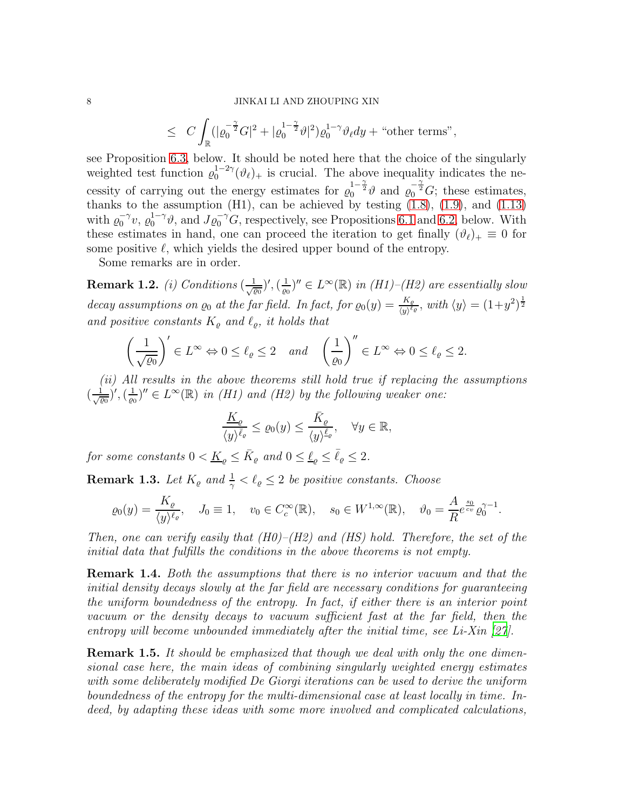#### 8 JINKAI LI AND ZHOUPING XIN

$$
\leq \ C\int_{\mathbb R}(|\varrho_0^{-\frac{\gamma}{2}}G|^2+|\varrho_0^{1-\frac{\gamma}{2}}\vartheta|^2)\varrho_0^{1-\gamma}\vartheta_\ell dy+\text{ ``other terms''},
$$

see Proposition [6.3,](#page-41-0) below. It should be noted here that the choice of the singularly weighted test function  $\varrho_0^{1-2\gamma}(\vartheta_\ell)_+$  is crucial. The above inequality indicates the necessity of carrying out the energy estimates for  $\varrho_0^{1-\frac{\gamma}{2}}\vartheta$  and  $\varrho_0^{-\frac{\gamma}{2}}G$ ; these estimates, thanks to the assumption  $(H1)$ , can be achieved by testing  $(1.8)$ ,  $(1.9)$ , and  $(1.13)$ with  $\varrho_0^{-\gamma}v$ ,  $\varrho_0^{1-\gamma}\vartheta$ , and  $J\varrho_0^{-\gamma}G$ , respectively, see Propositions [6.1](#page-39-0) and [6.2,](#page-40-0) below. With these estimates in hand, one can proceed the iteration to get finally  $(\vartheta_{\ell})_+ \equiv 0$  for some positive  $\ell$ , which yields the desired upper bound of the entropy.

Some remarks are in order.

 $\textbf{Remark 1.2.} \,\, (i) \,\, Conditions \,\, (\frac{1}{\sqrt{\varrho_0}})', (\frac{1}{\varrho_0})$  $(\frac{1}{\varrho_0})'' \in L^{\infty}(\mathbb{R})$  in  $(H1)$ – $(H2)$  are essentially slow decay assumptions on  $\varrho_0$  at the far field. In fact, for  $\varrho_0(y) = \frac{K_{\varrho}}{\langle y \rangle^{\ell_{\varrho}}},$  with  $\langle y \rangle = (1+y^2)^{\frac{1}{2}}$ and positive constants  $K_{\varrho}$  and  $\ell_{\varrho}$ , it holds that

$$
\left(\frac{1}{\sqrt{\varrho_0}}\right)' \in L^{\infty} \Leftrightarrow 0 \le \ell_{\varrho} \le 2 \quad and \quad \left(\frac{1}{\varrho_0}\right)'' \in L^{\infty} \Leftrightarrow 0 \le \ell_{\varrho} \le 2.
$$

(ii) All results in the above theorems still hold true if replacing the assumptions  $\left(\frac{1}{\sqrt{\varrho_0}}\right)', \left(\frac{1}{\varrho_0}\right)$  $(\frac{1}{\sqrt{2}})^{\prime\prime} \in L^{\infty}(\mathbb{R})$  in (H1) and (H2) by the following weaker one:

$$
\frac{K_{\varrho}}{\langle y\rangle^{\bar{\ell}_{\varrho}}}\leq \varrho_0(y)\leq \frac{\bar{K}_{\varrho}}{\langle y\rangle^{\underline{\ell}_{\varrho}}},\quad \forall y\in\mathbb{R},
$$

for some constants  $0 < \underline{K}_{\varrho} \leq \overline{K}_{\varrho}$  and  $0 \leq \underline{\ell}_{\varrho} \leq \overline{\ell}_{\varrho} \leq 2$ .

**Remark 1.3.** Let  $K_{\varrho}$  and  $\frac{1}{\gamma} < \ell_{\varrho} \leq 2$  be positive constants. Choose

$$
\varrho_0(y) = \frac{K_{\varrho}}{\langle y \rangle^{\ell_{\varrho}}}, \quad J_0 \equiv 1, \quad v_0 \in C_c^{\infty}(\mathbb{R}), \quad s_0 \in W^{1,\infty}(\mathbb{R}), \quad \vartheta_0 = \frac{A}{R} e^{\frac{s_0}{c_v}} \varrho_0^{\gamma - 1}.
$$

Then, one can verify easily that  $(H0)$ – $(H2)$  and  $(HS)$  hold. Therefore, the set of the initial data that fulfills the conditions in the above theorems is not empty.

Remark 1.4. Both the assumptions that there is no interior vacuum and that the initial density decays slowly at the far field are necessary conditions for guaranteeing the uniform boundedness of the entropy. In fact, if either there is an interior point vacuum or the density decays to vacuum sufficient fast at the far field, then the entropy will become unbounded immediately after the initial time, see Li-Xin [\[27\]](#page-48-15).

**Remark 1.5.** It should be emphasized that though we deal with only the one dimensional case here, the main ideas of combining singularly weighted energy estimates with some deliberately modified De Giorgi iterations can be used to derive the uniform boundedness of the entropy for the multi-dimensional case at least locally in time. Indeed, by adapting these ideas with some more involved and complicated calculations,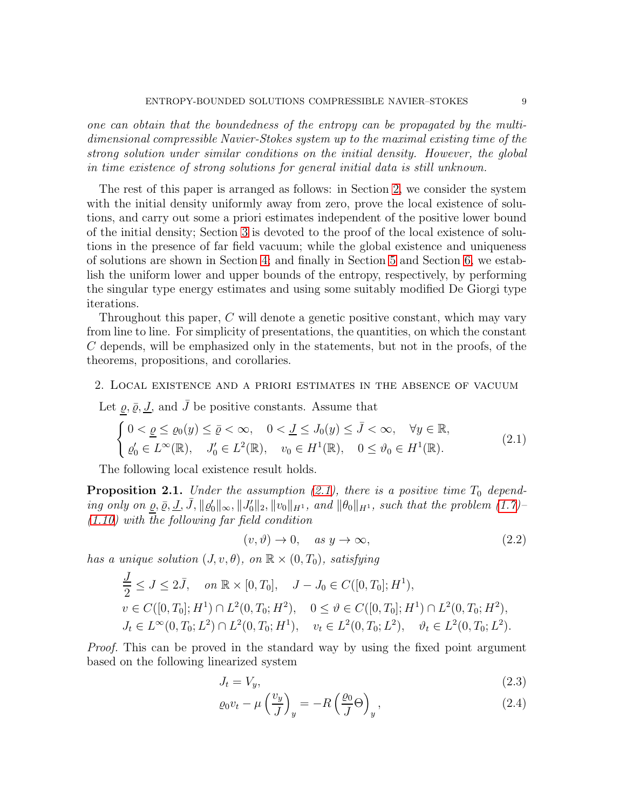one can obtain that the boundedness of the entropy can be propagated by the multidimensional compressible Navier-Stokes system up to the maximal existing time of the strong solution under similar conditions on the initial density. However, the global in time existence of strong solutions for general initial data is still unknown.

The rest of this paper is arranged as follows: in Section [2,](#page-8-0) we consider the system with the initial density uniformly away from zero, prove the local existence of solutions, and carry out some a priori estimates independent of the positive lower bound of the initial density; Section [3](#page-15-0) is devoted to the proof of the local existence of solutions in the presence of far field vacuum; while the global existence and uniqueness of solutions are shown in Section [4;](#page-18-0) and finally in Section [5](#page-32-0) and Section [6,](#page-37-0) we establish the uniform lower and upper bounds of the entropy, respectively, by performing the singular type energy estimates and using some suitably modified De Giorgi type iterations.

Throughout this paper,  $C$  will denote a genetic positive constant, which may vary from line to line. For simplicity of presentations, the quantities, on which the constant C depends, will be emphasized only in the statements, but not in the proofs, of the theorems, propositions, and corollaries.

#### <span id="page-8-0"></span>2. Local existence and a priori estimates in the absence of vacuum

Let  $\underline{\varrho}, \overline{\varrho}, \underline{J}$ , and  $\overline{J}$  be positive constants. Assume that

<span id="page-8-1"></span>
$$
\begin{cases}\n0 < \underline{\varrho} \le \varrho_0(y) \le \bar{\varrho} < \infty, \quad 0 < \underline{J} \le J_0(y) \le \bar{J} < \infty, \quad \forall y \in \mathbb{R}, \\
\varrho'_0 \in L^\infty(\mathbb{R}), \quad J'_0 \in L^2(\mathbb{R}), \quad v_0 \in H^1(\mathbb{R}), \quad 0 \le \vartheta_0 \in H^1(\mathbb{R}).\n\end{cases} \tag{2.1}
$$

The following local existence result holds.

<span id="page-8-4"></span>**Proposition 2.1.** Under the assumption  $(2.1)$ , there is a positive time  $T_0$  depending only on <u> $\rho$ ,  $\bar{\rho}$ , J</u>,  $\bar{J}$ ,  $\|\varrho'_0\|_{\infty}$ ,  $\|\bar{J}'_0\|_2$ ,  $\|\tilde{v}_0\|_{H^1}$ , and  $\|\theta_0\|_{H^1}$ , such that the problem [\(1.7\)](#page-3-0)-[\(1.10\)](#page-3-1) with the following far field condition

<span id="page-8-2"></span>
$$
(v, \vartheta) \to 0, \quad \text{as } y \to \infty,
$$
\n
$$
(2.2)
$$

has a unique solution  $(J, v, \theta)$ , on  $\mathbb{R} \times (0, T_0)$ , satisfying

$$
\frac{J}{2} \leq J \leq 2\bar{J}, \quad on \ \mathbb{R} \times [0, T_0], \quad J - J_0 \in C([0, T_0]; H^1),
$$
\n
$$
v \in C([0, T_0]; H^1) \cap L^2(0, T_0; H^2), \quad 0 \leq \vartheta \in C([0, T_0]; H^1) \cap L^2(0, T_0; H^2),
$$
\n
$$
J_t \in L^{\infty}(0, T_0; L^2) \cap L^2(0, T_0; H^1), \quad v_t \in L^2(0, T_0; L^2), \quad \vartheta_t \in L^2(0, T_0; L^2).
$$

Proof. This can be proved in the standard way by using the fixed point argument based on the following linearized system

<span id="page-8-3"></span>
$$
J_t = V_y,\tag{2.3}
$$

$$
\varrho_0 v_t - \mu \left(\frac{v_y}{J}\right)_y = -R \left(\frac{\varrho_0}{J} \Theta\right)_y, \tag{2.4}
$$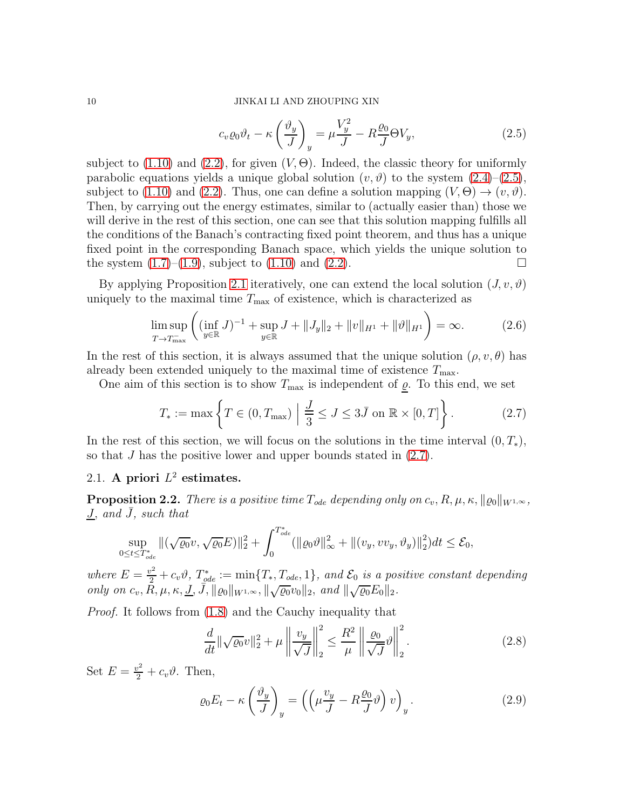### 10 JINKAI LI AND ZHOUPING XIN

$$
c_v \varrho_0 \vartheta_t - \kappa \left(\frac{\vartheta_y}{J}\right)_y = \mu \frac{V_y^2}{J} - R \frac{\varrho_0}{J} \Theta V_y,\tag{2.5}
$$

subject to  $(1.10)$  and  $(2.2)$ , for given  $(V, \Theta)$ . Indeed, the classic theory for uniformly parabolic equations yields a unique global solution  $(v, \vartheta)$  to the system  $(2.4)$ – $(2.5)$ , subject to [\(1.10\)](#page-3-1) and [\(2.2\)](#page-8-2). Thus, one can define a solution mapping  $(V, \Theta) \rightarrow (v, \vartheta)$ . Then, by carrying out the energy estimates, similar to (actually easier than) those we will derive in the rest of this section, one can see that this solution mapping fulfills all the conditions of the Banach's contracting fixed point theorem, and thus has a unique fixed point in the corresponding Banach space, which yields the unique solution to the system  $(1.7)$ – $(1.9)$ , subject to  $(1.10)$  and  $(2.2)$ .

By applying Proposition [2.1](#page-8-4) iteratively, one can extend the local solution  $(J, v, \vartheta)$ uniquely to the maximal time  $T_{\text{max}}$  of existence, which is characterized as

$$
\limsup_{T \to T_{\text{max}}^-} \left( (\inf_{y \in \mathbb{R}} J)^{-1} + \sup_{y \in \mathbb{R}} J + ||J_y||_2 + ||v||_{H^1} + ||\vartheta||_{H^1} \right) = \infty.
$$
 (2.6)

In the rest of this section, it is always assumed that the unique solution  $(\rho, v, \theta)$  has already been extended uniquely to the maximal time of existence  $T_{\text{max}}$ .

One aim of this section is to show  $T_{\text{max}}$  is independent of  $\rho$ . To this end, we set

<span id="page-9-0"></span>
$$
T_* := \max\left\{T \in (0, T_{\max}) \mid \frac{J}{3} \le J \le 3\bar{J} \text{ on } \mathbb{R} \times [0, T]\right\}.
$$
 (2.7)

In the rest of this section, we will focus on the solutions in the time interval  $(0, T_*)$ , so that J has the positive lower and upper bounds stated in [\(2.7\)](#page-9-0).

# 2.1. A priori  $L^2$  estimates.

<span id="page-9-3"></span>**Proposition 2.2.** There is a positive time  $T_{ode}$  depending only on  $c_v, R, \mu, \kappa, ||\varrho_0||_{W^{1,\infty}},$  $J, and J, such that$ 

$$
\sup_{0 \le t \le T_{ode}^*} \| (\sqrt{\varrho_0} v, \sqrt{\varrho_0} E) \|_2^2 + \int_0^{T_{ode}^*} (\|\varrho_0 \vartheta\|_{\infty}^2 + \| (v_y, v v_y, \vartheta_y) \|_2^2) dt \le \mathcal{E}_0,
$$

where  $E = \frac{v^2}{2} + c_v \vartheta$ ,  $T_{ode}^* := \min\{T_*, T_{ode}, 1\}$ , and  $\mathcal{E}_0$  is a positive constant depending only on  $c_v$ ,  $\tilde{R}$ ,  $\mu$ ,  $\kappa$ ,  $\underline{J}$ ,  $\overline{\tilde{J}}$ ,  $\|\varrho_0\|_{W^{1,\infty}}$ ,  $\|\sqrt{\varrho_0}v_0\|_2$ , and  $\|\sqrt{\varrho_0}E_0\|_2$ .

Proof. It follows from [\(1.8\)](#page-3-0) and the Cauchy inequality that

<span id="page-9-2"></span>
$$
\frac{d}{dt} \|\sqrt{\varrho_0}v\|_2^2 + \mu \left\|\frac{v_y}{\sqrt{J}}\right\|_2^2 \le \frac{R^2}{\mu} \left\|\frac{\varrho_0}{\sqrt{J}}v\right\|_2^2.
$$
\n(2.8)

Set  $E = \frac{v^2}{2} + c_v \vartheta$ . Then,

<span id="page-9-1"></span>
$$
\varrho_0 E_t - \kappa \left(\frac{\vartheta_y}{J}\right)_y = \left(\left(\mu \frac{v_y}{J} - R \frac{\varrho_0}{J} \vartheta\right) v\right)_y.
$$
\n(2.9)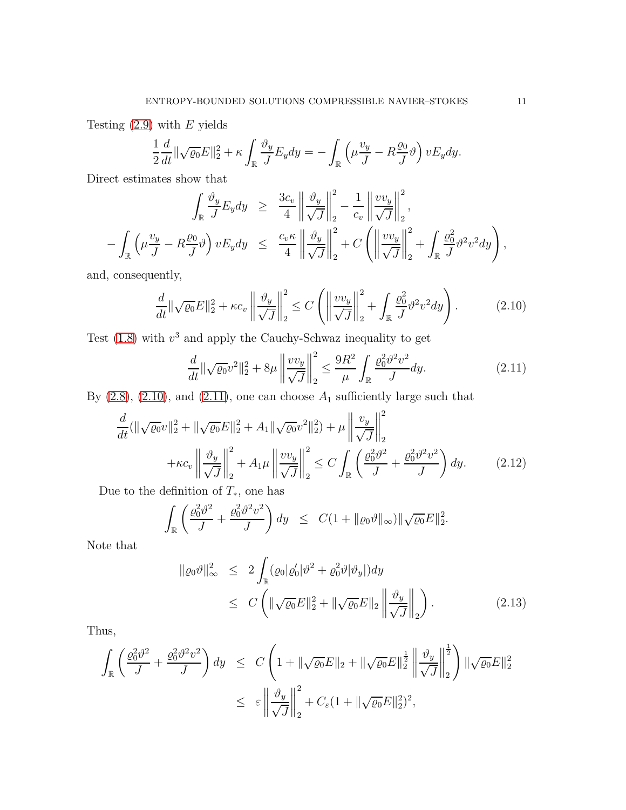Testing  $(2.9)$  with E yields

$$
\frac{1}{2}\frac{d}{dt}\|\sqrt{\varrho_0}E\|_2^2 + \kappa \int_{\mathbb{R}} \frac{\vartheta_y}{J}E_y dy = -\int_{\mathbb{R}} \left(\mu \frac{v_y}{J} - R\frac{\varrho_0}{J}\vartheta\right) v E_y dy.
$$

Direct estimates show that

$$
\int_{\mathbb{R}} \frac{\vartheta_y}{J} E_y dy \geq \frac{3c_v}{4} \left\| \frac{\vartheta_y}{\sqrt{J}} \right\|_2^2 - \frac{1}{c_v} \left\| \frac{v v_y}{\sqrt{J}} \right\|_2^2,
$$
  

$$
- \int_{\mathbb{R}} \left( \mu \frac{v_y}{J} - R \frac{\varrho_0}{J} \vartheta \right) v E_y dy \leq \frac{c_v \kappa}{4} \left\| \frac{\vartheta_y}{\sqrt{J}} \right\|_2^2 + C \left( \left\| \frac{v v_y}{\sqrt{J}} \right\|_2^2 + \int_{\mathbb{R}} \frac{\varrho_0^2}{J} \vartheta^2 v^2 dy \right),
$$

and, consequently,

<span id="page-10-0"></span>
$$
\frac{d}{dt} \|\sqrt{\varrho_0}E\|_2^2 + \kappa c_v \left\| \frac{\vartheta_y}{\sqrt{J}} \right\|_2^2 \le C \left( \left\| \frac{v v_y}{\sqrt{J}} \right\|_2^2 + \int_{\mathbb{R}} \frac{\varrho_0^2}{J} \vartheta^2 v^2 dy \right). \tag{2.10}
$$

Test  $(1.8)$  with  $v^3$  and apply the Cauchy-Schwaz inequality to get

<span id="page-10-2"></span><span id="page-10-1"></span>
$$
\frac{d}{dt} \|\sqrt{\varrho_0} v^2\|_2^2 + 8\mu \left\|\frac{v v_y}{\sqrt{J}}\right\|_2^2 \le \frac{9R^2}{\mu} \int_{\mathbb{R}} \frac{\varrho_0^2 \vartheta^2 v^2}{J} dy. \tag{2.11}
$$

By  $(2.8)$ ,  $(2.10)$ , and  $(2.11)$ , one can choose  $A_1$  sufficiently large such that

$$
\frac{d}{dt}(\|\sqrt{\varrho_{0}}v\|_{2}^{2} + \|\sqrt{\varrho_{0}}E\|_{2}^{2} + A_{1}\|\sqrt{\varrho_{0}}v^{2}\|_{2}^{2}) + \mu\left\|\frac{v_{y}}{\sqrt{J}}\right\|_{2}^{2} + \kappa c_{v}\left\|\frac{\vartheta_{y}}{\sqrt{J}}\right\|_{2}^{2} + A_{1}\mu\left\|\frac{v_{y}}{\sqrt{J}}\right\|_{2}^{2} \leq C\int_{\mathbb{R}}\left(\frac{\varrho_{0}^{2}\vartheta^{2}}{J} + \frac{\varrho_{0}^{2}\vartheta^{2}v^{2}}{J}\right)dy.
$$
\n(2.12)

Due to the definition of  $T_*$ , one has

$$
\int_{\mathbb{R}} \left( \frac{\varrho_0^2 \vartheta^2}{J} + \frac{\varrho_0^2 \vartheta^2 v^2}{J} \right) dy \leq C \left( 1 + \| \varrho_0 \vartheta \|_{\infty} \right) \| \sqrt{\varrho_0} E \|_2^2.
$$

Note that

<span id="page-10-3"></span>
$$
\|\varrho_0 \vartheta\|_{\infty}^2 \le 2 \int_{\mathbb{R}} (\varrho_0 |\varrho_0' | \vartheta^2 + \varrho_0^2 \vartheta |\vartheta_y|) dy
$$
  
\n
$$
\le C \left( \|\sqrt{\varrho_0} E\|_2^2 + \|\sqrt{\varrho_0} E\|_2 \left\| \frac{\vartheta_y}{\sqrt{J}} \right\|_2 \right). \tag{2.13}
$$

Thus,

$$
\int_{\mathbb{R}} \left( \frac{\varrho_0^2 \vartheta^2}{J} + \frac{\varrho_0^2 \vartheta^2 v^2}{J} \right) dy \leq C \left( 1 + \|\sqrt{\varrho_0} E\|_2 + \|\sqrt{\varrho_0} E\|_2^{\frac{1}{2}} \left\| \frac{\vartheta_y}{\sqrt{J}} \right\|_2^{\frac{1}{2}} \right) \|\sqrt{\varrho_0} E\|_2^2
$$
\n
$$
\leq \varepsilon \left\| \frac{\vartheta_y}{\sqrt{J}} \right\|_2^2 + C_{\varepsilon} (1 + \|\sqrt{\varrho_0} E\|_2^2)^2,
$$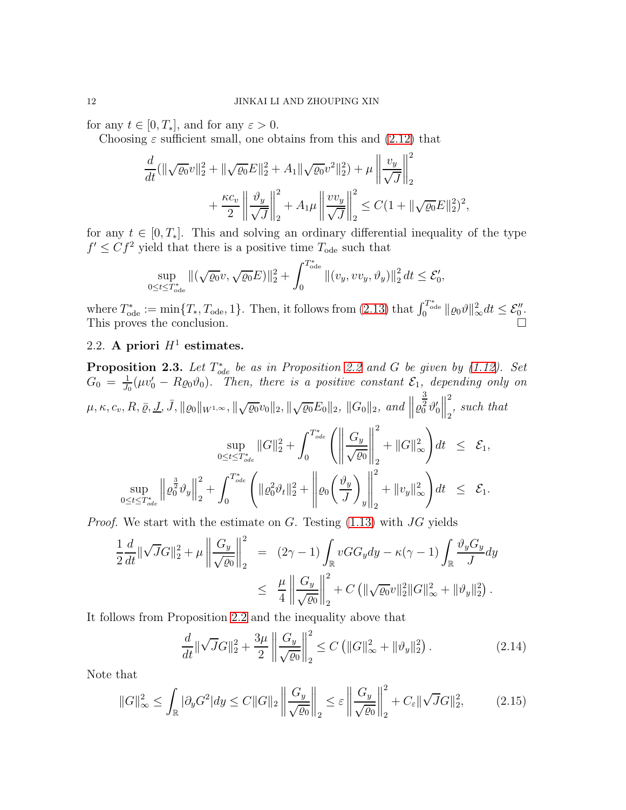for any  $t \in [0, T_*]$ , and for any  $\varepsilon > 0$ .

Choosing  $\varepsilon$  sufficient small, one obtains from this and [\(2.12\)](#page-10-2) that

$$
\frac{d}{dt}(\|\sqrt{\varrho_0}v\|_2^2 + \|\sqrt{\varrho_0}E\|_2^2 + A_1\|\sqrt{\varrho_0}v^2\|_2^2) + \mu\left\|\frac{v_y}{\sqrt{J}}\right\|_2^2 \n+ \frac{\kappa c_v}{2} \left\|\frac{\vartheta_y}{\sqrt{J}}\right\|_2^2 + A_1\mu\left\|\frac{v v_y}{\sqrt{J}}\right\|_2^2 \leq C(1 + \|\sqrt{\varrho_0}E\|_2^2)^2,
$$

for any  $t \in [0, T_*]$ . This and solving an ordinary differential inequality of the type  $f' \leq C f^2$  yield that there is a positive time  $T_{ode}$  such that

$$
\sup_{0 \le t \le T_{\text{ode}}^*} \| (\sqrt{\varrho_0} v, \sqrt{\varrho_0} E) \|_2^2 + \int_0^{T_{\text{ode}}^*} \| (v_y, v v_y, \vartheta_y) \|_2^2 \, dt \le \mathcal{E}_0',
$$

where  $T_{\text{ode}}^* := \min\{T_*, T_{\text{ode}}, 1\}$ . Then, it follows from  $(2.13)$  that  $\int_0^{T_{\text{ode}}^*} ||\varrho_0 \vartheta||_{\infty}^2 dt \leq \mathcal{E}_{0}''$ . This proves the conclusion.

# 2.2. A priori  $H^1$  estimates.

<span id="page-11-2"></span>**Proposition 2.3.** Let  $T_{ode}^*$  be as in Proposition [2.2](#page-9-3) and G be given by [\(1.12\)](#page-3-4). Set  $G_0 = \frac{1}{J_0}$  $\frac{1}{J_0}(\mu v'_0 - R\varrho_0\vartheta_0)$ . Then, there is a positive constant  $\mathcal{E}_1$ , depending only on  $\mu,\kappa,c_v,R, \bar{\varrho},\underline{J},\bar{J}, \| \varrho_0 \|_{W^{1,\infty}}, \| \sqrt{\varrho_0} v_0 \|_2, \| \sqrt{\varrho_0} E_0 \|_2, \ \| G_0 \|_2, \ and \ \big\| \varrho_0$ 3  $rac{2}{0} \vartheta'_0$  $\begin{array}{c} \vspace{0.1cm} \rule{0.2cm}{0.1cm} \vspace{0.1cm} \rule{0.1cm}{0.1cm} \vspace{0.1cm} \vspace{0.1cm} \end{array}$ 2  $_2$ <sup>, such that</sup> sup  $\sup_{0 \leq t \leq T_{ode}^*} ||G||_2^2 +$  $\int^{T_{ode}^*}$ 0  $\biggl( \biggl\| \biggr.$  $G_y$  $\sqrt{\varrho_0}$  $\begin{tabular}{|c|c|c|c|} \hline \quad \quad & \quad \quad & \quad \quad \\ \hline \quad \quad & \quad \quad & \quad \quad \\ \hline \quad \quad & \quad \quad & \quad \quad \\ \hline \quad \quad & \quad \quad & \quad \quad \\ \hline \end{tabular}$ 2 2  $+ \|G\|_{\infty}^{2}$ ∞  $\setminus$  $dt \leq \mathcal{E}_1$ , sup  $0 \leq t \leq T^*_{ode}$  $\left\|\varrho_0^{\frac{3}{2}}\vartheta_y\right\|$ 2  $_2^+$  $\int^{T_{ode}^*}$ 0  $\sqrt{ }$  $\|\varrho_0^2 \vartheta_t\|_2^2 +$  $\begin{tabular}{|c|c|c|c|} \hline \quad \quad & \quad \quad & \quad \quad \\ \hline \quad \quad & \quad \quad & \quad \quad \\ \hline \quad \quad & \quad \quad & \quad \quad \\ \hline \quad \quad & \quad \quad & \quad \quad \\ \hline \end{tabular}$  $\varrho_0$  $\int \vartheta_y$ J  $\setminus$  $\overline{y}$  $\begin{array}{c} \begin{array}{c} \begin{array}{c} \begin{array}{c} \end{array}\\ \end{array} \end{array} \end{array} \end{array}$ 2 2  $+ \|v_y\|_{\infty}^2$ ∞  $\setminus$  $dt \leq \mathcal{E}_1$ .

*Proof.* We start with the estimate on  $G$ . Testing  $(1.13)$  with  $JG$  yields

$$
\frac{1}{2}\frac{d}{dt}\|\sqrt{J}G\|_{2}^{2} + \mu \left\|\frac{G_{y}}{\sqrt{\varrho_{0}}}\right\|_{2}^{2} = (2\gamma - 1) \int_{\mathbb{R}} vG G_{y} dy - \kappa(\gamma - 1) \int_{\mathbb{R}} \frac{\vartheta_{y} G_{y}}{J} dy
$$
  

$$
\leq \frac{\mu}{4} \left\|\frac{G_{y}}{\sqrt{\varrho_{0}}}\right\|_{2}^{2} + C \left(\|\sqrt{\varrho_{0}}v\|_{2}^{2}\|G\|_{\infty}^{2} + \|\vartheta_{y}\|_{2}^{2}\right).
$$

It follows from Proposition [2.2](#page-9-3) and the inequality above that

<span id="page-11-0"></span>
$$
\frac{d}{dt} \|\sqrt{J}G\|_{2}^{2} + \frac{3\mu}{2} \left\| \frac{G_y}{\sqrt{\varrho_0}} \right\|_{2}^{2} \le C \left( \|G\|_{\infty}^{2} + \|\vartheta_y\|_{2}^{2} \right). \tag{2.14}
$$

Note that

<span id="page-11-1"></span>
$$
||G||_{\infty}^{2} \leq \int_{\mathbb{R}} |\partial_{y} G^{2}| dy \leq C ||G||_{2} \left\| \frac{G_{y}}{\sqrt{\varrho_{0}}} \right\|_{2} \leq \varepsilon \left\| \frac{G_{y}}{\sqrt{\varrho_{0}}} \right\|_{2}^{2} + C_{\varepsilon} ||\sqrt{J}G||_{2}^{2},
$$
 (2.15)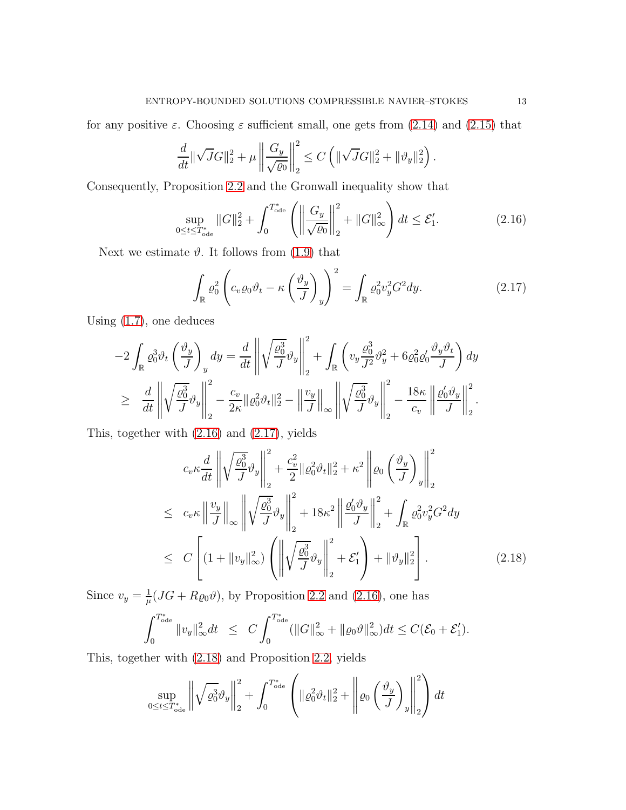for any positive  $\varepsilon$ . Choosing  $\varepsilon$  sufficient small, one gets from [\(2.14\)](#page-11-0) and [\(2.15\)](#page-11-1) that

$$
\frac{d}{dt} \|\sqrt{J}G\|_2^2 + \mu \left\| \frac{G_y}{\sqrt{\varrho_0}} \right\|_2^2 \le C \left( \|\sqrt{J}G\|_2^2 + \|\vartheta_y\|_2^2 \right).
$$

Consequently, Proposition [2.2](#page-9-3) and the Gronwall inequality show that

<span id="page-12-0"></span>
$$
\sup_{0 \le t \le T_{\text{ode}}^*} \|G\|_2^2 + \int_0^{T_{\text{ode}}^*} \left( \left\| \frac{G_y}{\sqrt{\varrho_0}} \right\|_2^2 + \|G\|_{\infty}^2 \right) dt \le \mathcal{E}_1'. \tag{2.16}
$$

Next we estimate  $\vartheta$ . It follows from [\(1.9\)](#page-3-0) that

<span id="page-12-1"></span>
$$
\int_{\mathbb{R}} \varrho_0^2 \left( c_v \varrho_0 \vartheta_t - \kappa \left( \frac{\vartheta_y}{J} \right)_y \right)^2 = \int_{\mathbb{R}} \varrho_0^2 v_y^2 G^2 dy. \tag{2.17}
$$

Using [\(1.7\)](#page-3-0), one deduces

$$
-2\int_{\mathbb{R}} \varrho_0^3 \vartheta_t \left(\frac{\vartheta_y}{J}\right)_y dy = \frac{d}{dt} \left\| \sqrt{\frac{\varrho_0^3}{J}} \vartheta_y \right\|_2^2 + \int_{\mathbb{R}} \left( v_y \frac{\varrho_0^3}{J^2} \vartheta_y^2 + 6 \varrho_0^2 \varrho_0' \frac{\vartheta_y \vartheta_t}{J} \right) dy
$$
  

$$
\geq \left. \frac{d}{dt} \left\| \sqrt{\frac{\varrho_0^3}{J}} \vartheta_y \right\|_2^2 - \frac{c_v}{2\kappa} \| \varrho_0^2 \vartheta_t \|^2_2 - \left\| \frac{v_y}{J} \right\|_{\infty} \left\| \sqrt{\frac{\varrho_0^3}{J}} \vartheta_y \right\|_2^2 - \frac{18\kappa}{c_v} \left\| \frac{\varrho_0' \vartheta_y}{J} \right\|_2^2.
$$

This, together with [\(2.16\)](#page-12-0) and [\(2.17\)](#page-12-1), yields

<span id="page-12-2"></span>
$$
c_v \kappa \frac{d}{dt} \left\| \sqrt{\frac{\varrho_0^3}{J}} \vartheta_y \right\|_2^2 + \frac{c_v^2}{2} \| \varrho_0^2 \vartheta_t \|_2^2 + \kappa^2 \left\| \varrho_0 \left( \frac{\vartheta_y}{J} \right)_y \right\|_2^2
$$
  
\n
$$
\leq c_v \kappa \left\| \frac{v_y}{J} \right\|_{\infty} \left\| \sqrt{\frac{\varrho_0^3}{J}} \vartheta_y \right\|_2^2 + 18\kappa^2 \left\| \frac{\varrho_0' \vartheta_y}{J} \right\|_2^2 + \int_{\mathbb{R}} \varrho_0^2 v_y^2 G^2 dy
$$
  
\n
$$
\leq C \left[ (1 + \|v_y\|_{\infty}^2) \left( \left\| \sqrt{\frac{\varrho_0^3}{J}} \vartheta_y \right\|_2^2 + \mathcal{E}_1' \right) + \| \vartheta_y \|_2^2 \right].
$$
 (2.18)

Since  $v_y = \frac{1}{u}$  $\frac{1}{\mu}(JG + R\varrho_0 \vartheta)$ , by Proposition [2.2](#page-9-3) and [\(2.16\)](#page-12-0), one has

$$
\int_0^{T_{\text{ode}}^*} \|v_y\|_{\infty}^2 dt \leq C \int_0^{T_{\text{ode}}^*} (\|G\|_{\infty}^2 + \|\varrho_0 \vartheta\|_{\infty}^2) dt \leq C(\mathcal{E}_0 + \mathcal{E}_1').
$$

This, together with [\(2.18\)](#page-12-2) and Proposition [2.2,](#page-9-3) yields

$$
\sup_{0 \le t \le T_{\text{ode}}^*} \left\| \sqrt{\varrho_0^3} \vartheta_y \right\|_2^2 + \int_0^{T_{\text{ode}}^*} \left( \|\varrho_0^2 \vartheta_t\|_2^2 + \left\| \varrho_0 \left( \frac{\vartheta_y}{J} \right)_y \right\|_2^2 \right) dt
$$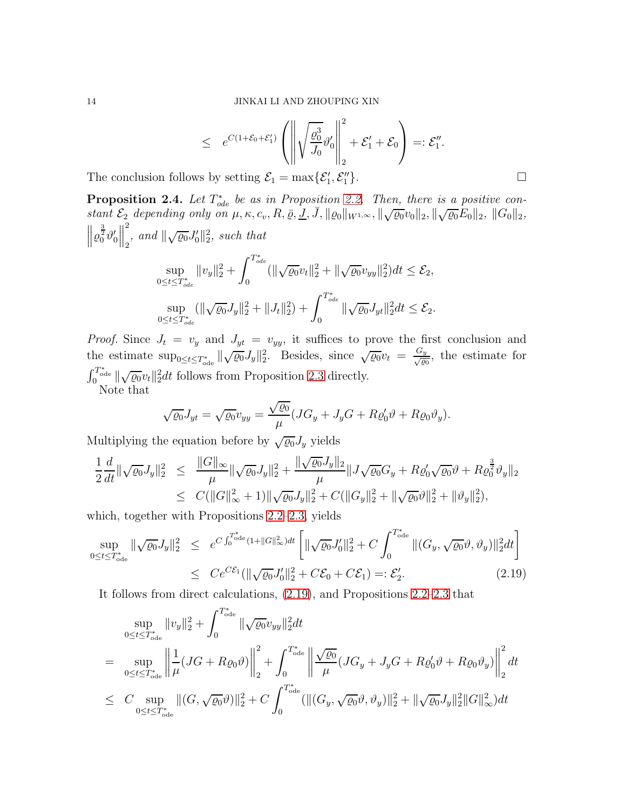$$
\leq e^{C(1+\mathcal{E}_0+\mathcal{E}_1')} \left( \left\| \sqrt{\frac{\varrho_0^3}{J_0}} \vartheta_0' \right\|_2^2 + \mathcal{E}_1' + \mathcal{E}_0 \right) =: \mathcal{E}_1''.
$$
  
s by setting  $\mathcal{E}_1 = \max{\{\mathcal{E}_1', \mathcal{E}_1''\}}$ .

The conclusion follows by setting  $\mathcal{E}_1 = \max{\{\mathcal{E}'_1, \mathcal{E}''_1\}}$ 

<span id="page-13-1"></span>**Proposition 2.4.** Let  $T_{ode}^*$  be as in Proposition [2.2.](#page-9-3) Then, there is a positive constant  $\mathcal{E}_2$  depending only on  $\mu$ ,  $\kappa$ ,  $c_v$ ,  $R$ ,  $\bar{\varrho}$ ,  $\overline{\underline{J}}$ ,  $\overline{J}$ ,  $\|\varrho_0\|_{W^{1,\infty}}$ ,  $\|\sqrt{\varrho_0}v_0\|_2$ ,  $\|\sqrt{\varrho_0}\overline{\underline{E}}_0\|_2$ ,  $\|G_0\|_2$ ,  $\left\|\varrho_0^{\frac{3}{2}}\vartheta_0'\right\|$  $\begin{array}{c} \vspace{0.1cm} \rule{0.2cm}{0.1cm} \vspace{0.1cm} \rule{0.1cm}{0.1cm} \vspace{0.1cm} \vspace{0.1cm} \end{array}$ 2  $\int_2^2$ , and  $\|\sqrt{\varrho_0}J_0'\|_2^2$ , such that  $\int^{T_{ode}^*}$ 

$$
\sup_{0 \le t \le T_{ode}^*} ||v_y||_2^2 + \int_0^{\tau_{ode}} (||\sqrt{\varrho_0}v_t||_2^2 + ||\sqrt{\varrho_0}v_{yy}||_2^2) dt \le \mathcal{E}_2,
$$
  
\n
$$
\sup_{0 \le t \le T_{ode}^*} (||\sqrt{\varrho_0}J_y||_2^2 + ||J_t||_2^2) + \int_0^{T_{ode}^*} ||\sqrt{\varrho_0}J_{yt}||_2^2 dt \le \mathcal{E}_2.
$$

*Proof.* Since  $J_t = v_y$  and  $J_{yt} = v_{yy}$ , it suffices to prove the first conclusion and the estimate  $\sup_{0 \leq t \leq T_{\text{ode}}^*} \|\sqrt{\varrho_0} J_y\|_2^2$ . Besides, since  $\sqrt{\varrho_0} v_t = \frac{G_y}{\sqrt{\varrho_0}}$ , the estimate for  $\int_{0}^{T_{\text{ode}}^{*}} ||\sqrt{\varrho_{0}}v_{t}||_{2}^{2} dt$  follows from Proposition [2.3](#page-11-2) directly.

Note that

$$
\sqrt{\varrho_0}J_{yt} = \sqrt{\varrho_0}v_{yy} = \frac{\sqrt{\varrho_0}}{\mu}(JG_y + J_yG + R\varrho'_0\vartheta + R\varrho_0\vartheta_y).
$$

Multiplying the equation before by  $\sqrt{\varrho_0} J_y$  yields

$$
\frac{1}{2}\frac{d}{dt}\|\sqrt{\varrho_0}J_y\|_2^2 \leq \frac{\|G\|_{\infty}}{\mu}\|\sqrt{\varrho_0}J_y\|_2^2 + \frac{\|\sqrt{\varrho_0}J_y\|_2}{\mu}\|J\sqrt{\varrho_0}G_y + R\varrho_0'\sqrt{\varrho_0}\vartheta + R\varrho_0^{\frac{3}{2}}\vartheta_y\|_2}{\leq C(\|G\|_{\infty}^2 + 1)\|\sqrt{\varrho_0}J_y\|_2^2 + C(\|G_y\|_2^2 + \|\sqrt{\varrho_0}\vartheta\|_2^2 + \|\vartheta_y\|_2^2),
$$

which, together with Propositions [2.2–](#page-9-3)[2.3,](#page-11-2) yields

<span id="page-13-0"></span>
$$
\sup_{0 \le t \le T_{\text{ode}}^*} \|\sqrt{\varrho_0} J_y\|_2^2 \le e^{C \int_0^{T_{\text{ode}}^*} (1 + \|G\|_{\infty}^2) dt} \left[ \|\sqrt{\varrho_0} J_0'\|_2^2 + C \int_0^{T_{\text{ode}}^*} \|(G_y, \sqrt{\varrho_0} \vartheta, \vartheta_y)\|_2^2 dt \right]
$$
  

$$
\le C e^{C \mathcal{E}_1} (\|\sqrt{\varrho_0} J_0'\|_2^2 + C \mathcal{E}_0 + C \mathcal{E}_1) =: \mathcal{E}_2'.
$$
 (2.19)

It follows from direct calculations, [\(2.19\)](#page-13-0), and Propositions [2.2](#page-9-3)[–2.3](#page-11-2) that

$$
\sup_{0 \leq t \leq T_{\text{ode}}^{*}} \|v_{y}\|_{2}^{2} + \int_{0}^{T_{\text{ode}}^{*}} \|\sqrt{\varrho_{0}}v_{yy}\|_{2}^{2} dt
$$
\n
$$
= \sup_{0 \leq t \leq T_{\text{ode}}^{*}} \left\| \frac{1}{\mu} (JG + R\varrho_{0}\vartheta) \right\|_{2}^{2} + \int_{0}^{T_{\text{ode}}^{*}} \left\| \frac{\sqrt{\varrho_{0}}}{\mu} (JG_{y} + J_{y}G + R\varrho_{0}'\vartheta + R\varrho_{0}\vartheta_{y}) \right\|_{2}^{2} dt
$$
\n
$$
\leq C \sup_{0 \leq t \leq T_{\text{ode}}^{*}} \|(G, \sqrt{\varrho_{0}}\vartheta)\|_{2}^{2} + C \int_{0}^{T_{\text{ode}}^{*}} (\|(G_{y}, \sqrt{\varrho_{0}}\vartheta, \vartheta_{y})\|_{2}^{2} + \|\sqrt{\varrho_{0}}J_{y}\|_{2}^{2} \|G\|_{\infty}^{2}) dt
$$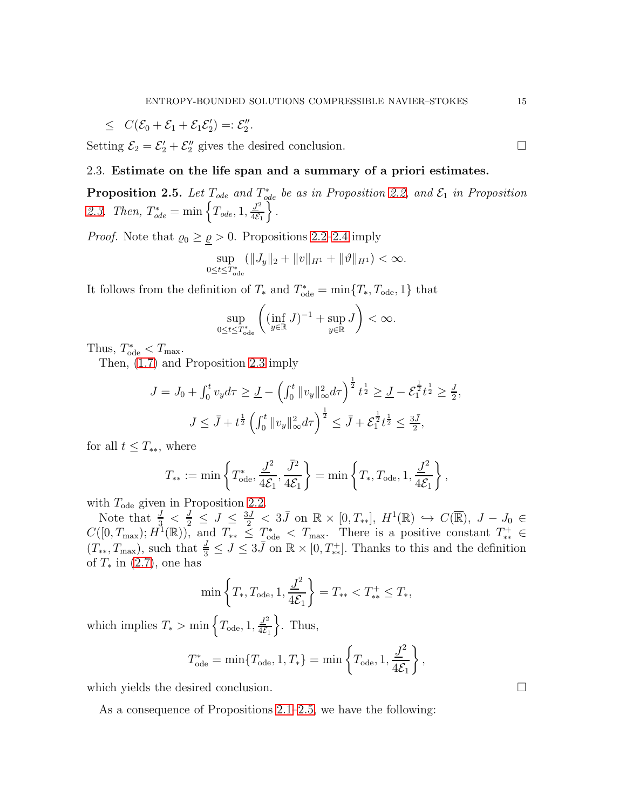$$
\leq C(\mathcal{E}_0+\mathcal{E}_1+\mathcal{E}_1\mathcal{E}_2')=:\mathcal{E}_2''.
$$

Setting  $\mathcal{E}_2 = \mathcal{E}'_2 + \mathcal{E}''_2$  gives the desired conclusion.

# 2.3. Estimate on the life span and a summary of a priori estimates.

<span id="page-14-0"></span>**Proposition 2.5.** Let  $T_{ode}$  and  $T_{ode}^*$  be as in Proposition [2.2,](#page-9-3) and  $\mathcal{E}_1$  in Proposition [2.3.](#page-11-2) Then,  $T_{ode}^* = \min \left\{ T_{ode}, 1, \frac{J^2}{4\epsilon} \right\}$  $4\mathcal{E}_1$  $\int$ .

*Proof.* Note that  $\varrho_0 \geq \varrho > 0$ . Propositions [2.2–](#page-9-3)[2.4](#page-13-1) imply

$$
\sup_{0\leq t\leq T_{\text{ode}}^*} (\|J_y\|_2 + \|v\|_{H^1} + \|\vartheta\|_{H^1}) < \infty.
$$

It follows from the definition of  $T_*$  and  $T_{ode}^* = \min\{T_*, T_{ode}, 1\}$  that

$$
\sup_{0\leq t\leq T_{\mathrm{ode}}^*}\left(\left(\inf_{y\in\mathbb{R}}J\right)^{-1}+\sup_{y\in\mathbb{R}}J\right)<\infty.
$$

Thus,  $T^*_{ode} < T_{max}$ .

Then, [\(1.7\)](#page-3-0) and Proposition [2.3](#page-11-2) imply

$$
J = J_0 + \int_0^t v_y d\tau \ge \underline{J} - \left(\int_0^t \|v_y\|_{\infty}^2 d\tau\right)^{\frac{1}{2}} t^{\frac{1}{2}} \ge \underline{J} - \mathcal{E}_1^{\frac{1}{2}} t^{\frac{1}{2}} \ge \frac{\underline{J}}{2},
$$
  

$$
J \le \overline{J} + t^{\frac{1}{2}} \left(\int_0^t \|v_y\|_{\infty}^2 d\tau\right)^{\frac{1}{2}} \le \overline{J} + \mathcal{E}_1^{\frac{1}{2}} t^{\frac{1}{2}} \le \frac{3\overline{J}}{2},
$$

for all  $t \leq T_{**}$ , where

$$
T_{**} := \min\left\{T_{\text{ode}}^*, \frac{\underline{J}^2}{4\mathcal{E}_1}, \frac{\overline{J}^2}{4\mathcal{E}_1}\right\} = \min\left\{T_*, T_{\text{ode}}, 1, \frac{\underline{J}^2}{4\mathcal{E}_1}\right\},\,
$$

with  $T_{ode}$  given in Proposition [2.2.](#page-9-3)

Note that  $\frac{J}{3} < \frac{J}{2} \leq J \leq \frac{3\overline{J}}{2} < 3\overline{J}$  on  $\mathbb{R} \times [0, T_{**}], H^1(\mathbb{R}) \hookrightarrow C(\overline{\mathbb{R}}), J - J_0 \in$  $C([0,T_{\max}); H^1(\mathbb{R}))$ , and  $T_{**} \leq T_{\max}$  There is a positive constant  $T_{**}^+ \in$  $(T_{**}, T_{\text{max}})$ , such that  $\frac{J}{3} \leq J \leq 3\overline{J}$  on  $\mathbb{R} \times [0, T_{**}^+]$ . Thanks to this and the definition of  $T_*$  in  $(2.7)$ , one has

$$
\min\left\{T_*, T_{\text{ode}}, 1, \frac{J^2}{4\mathcal{E}_1}\right\} = T_{**} < T_{**}^+ \leq T_*,
$$

which implies  $T_* > \min\left\{T_{ode}, 1, \frac{J^2}{4\mathcal{E}_1}\right\}$  $4\mathcal{E}_1$  $\}$ . Thus,

$$
T_{\text{ode}}^* = \min\{T_{\text{ode}}, 1, T_*\} = \min\left\{T_{\text{ode}}, 1, \frac{J^2}{4\mathcal{E}_1}\right\},\,
$$

which yields the desired conclusion.  $\Box$ 

As a consequence of Propositions [2.1–](#page-8-4)[2.5,](#page-14-0) we have the following: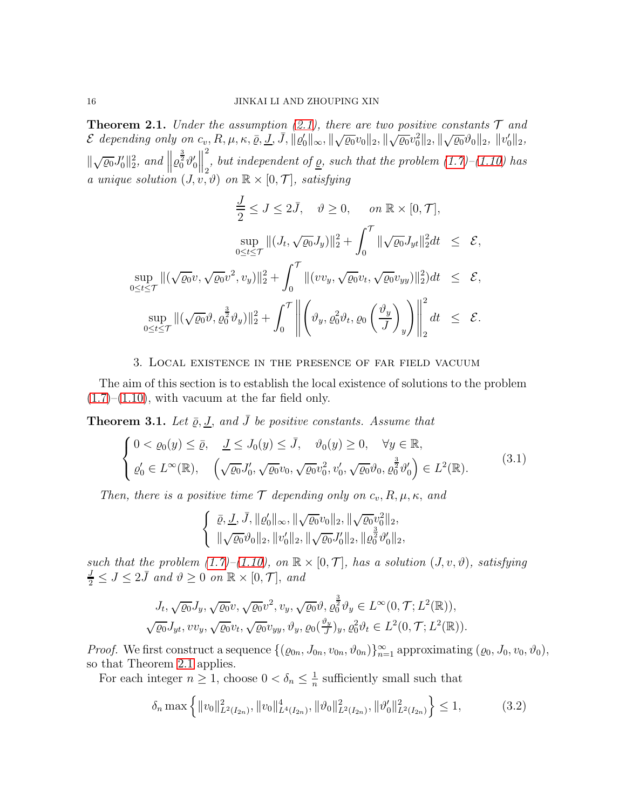<span id="page-15-1"></span>**Theorem 2.1.** Under the assumption [\(2.1\)](#page-8-1), there are two positive constants  $\mathcal{T}$  and  $\mathcal E$  depending only on  $c_v, R, \mu, \kappa, \overline{\varrho}, \underline{J}, \overline{J}, \|\varrho_0' \|_\infty, \|\sqrt{\varrho_0} v_0 \|_2, \|\sqrt{\varrho_0} v_0^2 \|_2, \|\sqrt{\varrho_0} \vartheta_0 \|_2, \|\overline{v_0}'\|^2$  $\|\sqrt{\varrho_0}J_0'\|_2^2$ , and  $\| \varrho_0^{\frac{3}{2}}\vartheta_0'$  $\begin{tabular}{|c|c|} \hline \quad \quad & \quad \quad & \quad \quad \\ \hline \quad \quad & \quad \quad & \quad \quad \\ \hline \quad \quad & \quad \quad & \quad \quad \\ \hline \end{tabular}$ 2 , but independent of <u> $\rho$ </u>, such that the problem  $(1.7)$ – $(1.10)$  has a unique solution  $(J, v, \vartheta)$  on  $\mathbb{R} \times [0, \mathcal{T}]$ , satisfying

$$
\frac{J}{2} \leq J \leq 2\bar{J}, \quad \vartheta \geq 0, \quad on \ \mathbb{R} \times [0, \mathcal{T}],
$$

$$
\sup_{0 \leq t \leq \mathcal{T}} \|(J_t, \sqrt{\varrho_0} J_y)\|_2^2 + \int_0^{\mathcal{T}} \|\sqrt{\varrho_0} J_{yt}\|_2^2 dt \leq \mathcal{E},
$$

$$
\sup_{0 \leq t \leq \mathcal{T}} \|\sqrt{\varrho_0} v, \sqrt{\varrho_0} v^2, v_y\|_2^2 + \int_0^{\mathcal{T}} \|(vv_y, \sqrt{\varrho_0} v_t, \sqrt{\varrho_0} v_{yy})\|_2^2 dt \leq \mathcal{E},
$$

$$
\sup_{0 \leq t \leq \mathcal{T}} \|\sqrt{\varrho_0} \vartheta, \varrho_0^{\frac{3}{2}} \vartheta_y)\|_2^2 + \int_0^{\mathcal{T}} \left\| \left( \vartheta_y, \varrho_0^2 \vartheta_t, \varrho_0 \left( \frac{\vartheta_y}{J} \right)_y \right) \right\|_2^2 dt \leq \mathcal{E}.
$$

## 3. Local existence in the presence of far field vacuum

<span id="page-15-0"></span>The aim of this section is to establish the local existence of solutions to the problem  $(1.7)$ – $(1.10)$ , with vacuum at the far field only.

<span id="page-15-4"></span>**Theorem 3.1.** Let  $\bar{\varrho}, \underline{J}$ , and  $\bar{J}$  be positive constants. Assume that

<span id="page-15-3"></span>
$$
\begin{cases}\n0 < \varrho_0(y) \leq \bar{\varrho}, \quad \underline{J} \leq J_0(y) \leq \bar{J}, \quad \vartheta_0(y) \geq 0, \quad \forall y \in \mathbb{R}, \\
\varrho_0' \in L^\infty(\mathbb{R}), \quad \left(\sqrt{\varrho_0} J_0', \sqrt{\varrho_0} v_0, \sqrt{\varrho_0} v_0^2, v_0', \sqrt{\varrho_0} \vartheta_0, \varrho_0^{\frac{3}{2}} v_0' \right) \in L^2(\mathbb{R}).\n\end{cases} \tag{3.1}
$$

Then, there is a positive time  $\mathcal T$  depending only on  $c_v, R, \mu, \kappa$ , and

$$
\left\{\begin{array}{l} \bar{\varrho}, \underline{J}, \bar{J}, \|\varrho_0'\|_{\infty}, \|\sqrt{\varrho_0}v_0\|_2, \|\sqrt{\varrho_0}v_0^2\|_2, \\ \|\sqrt{\varrho_0}\vartheta_0\|_2, \|\overline{v}_0'\|_2, \|\sqrt{\varrho_0}J_0'\|_2, \|\varrho_0^{\frac{3}{2}}\vartheta_0'\|_2, \end{array} \right.
$$

such that the problem [\(1.7\)](#page-3-0)–[\(1.10\)](#page-3-1), on  $\mathbb{R} \times [0, \mathcal{T}]$ , has a solution  $(J, v, \vartheta)$ , satisfying  $\frac{J}{2} \leq J \leq 2\bar{J}$  and  $\vartheta \geq 0$  on  $\mathbb{R} \times [0, \mathcal{T}],$  and

$$
J_t, \sqrt{\varrho_0} J_y, \sqrt{\varrho_0} v, \sqrt{\varrho_0} v^2, v_y, \sqrt{\varrho_0} \vartheta, \varrho_0^{\frac{3}{2}} \vartheta_y \in L^{\infty}(0, \mathcal{T}; L^2(\mathbb{R})),
$$
  

$$
\sqrt{\varrho_0} J_{yt}, v v_y, \sqrt{\varrho_0} v_t, \sqrt{\varrho_0} v_{yy}, \vartheta_y, \varrho_0(\frac{\vartheta_y}{J})_y, \varrho_0^2 \vartheta_t \in L^2(0, \mathcal{T}; L^2(\mathbb{R})).
$$

*Proof.* We first construct a sequence  $\{(\varrho_{0n}, J_{0n}, v_{0n}, \vartheta_{0n})\}_{n=1}^{\infty}$  approximating  $(\varrho_0, J_0, v_0, \vartheta_0)$ , so that Theorem [2.1](#page-15-1) applies.

For each integer  $n \geq 1$ , choose  $0 < \delta_n \leq \frac{1}{n}$  $\frac{1}{n}$  sufficiently small such that

<span id="page-15-2"></span>
$$
\delta_n \max \left\{ ||v_0||_{L^2(I_{2n})}^2, ||v_0||_{L^4(I_{2n})}^4, ||\vartheta_0||_{L^2(I_{2n})}^2, ||\vartheta'_0||_{L^2(I_{2n})}^2 \right\} \le 1,
$$
\n(3.2)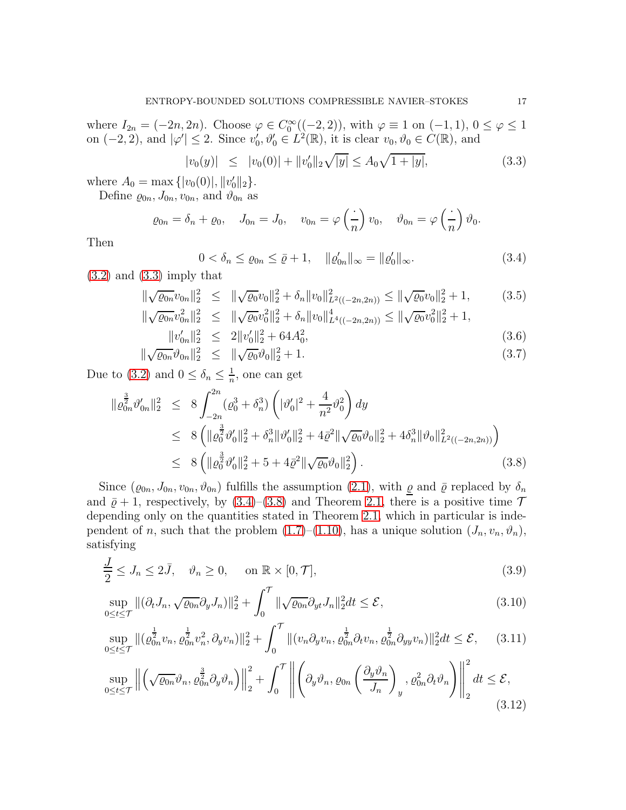where  $I_{2n} = (-2n, 2n)$ . Choose  $\varphi \in C_0^{\infty}((-2, 2))$ , with  $\varphi \equiv 1$  on  $(-1, 1)$ ,  $0 \le \varphi \le 1$ on  $(-2, 2)$ , and  $|\varphi'| \leq 2$ . Since  $v'_0, \vartheta'_0 \in L^2(\mathbb{R})$ , it is clear  $v_0, \vartheta_0 \in C(\mathbb{R})$ , and

<span id="page-16-0"></span>
$$
|v_0(y)| \le |v_0(0)| + ||v'_0||_2 \sqrt{|y|} \le A_0 \sqrt{1 + |y|}, \tag{3.3}
$$

where  $A_0 = \max \{ |v_0(0)|, ||v'_0||_2 \}.$ 

Define  $\varrho_{0n}, J_{0n}, v_{0n}$ , and  $\vartheta_{0n}$  as

$$
\varrho_{0n} = \delta_n + \varrho_0, \quad J_{0n} = J_0, \quad v_{0n} = \varphi\left(\frac{\cdot}{n}\right)v_0, \quad \vartheta_{0n} = \varphi\left(\frac{\cdot}{n}\right)\vartheta_0.
$$

Then

<span id="page-16-1"></span>
$$
0 < \delta_n \le \varrho_{0n} \le \bar{\varrho} + 1, \quad \|\varrho'_{0n}\|_{\infty} = \|\varrho'_0\|_{\infty}.\tag{3.4}
$$

 $(3.2)$  and  $(3.3)$  imply that

$$
\|\sqrt{\varrho_{0n}}v_{0n}\|_{2}^{2} \leq \|\sqrt{\varrho_{0}}v_{0}\|_{2}^{2} + \delta_{n} \|v_{0}\|_{L^{2}((-2n,2n))}^{2} \leq \|\sqrt{\varrho_{0}}v_{0}\|_{2}^{2} + 1, \tag{3.5}
$$

$$
\|\sqrt{\varrho_{0n}}v_{0}^{2}\|_{2}^{2} \leq \|\sqrt{\varrho_{0}}v_{0}^{2}\|_{2}^{2} + \delta_{n} \|v_{0}\|_{L^{4}((-2n,2n))}^{4} \leq \|\sqrt{\varrho_{0}}v_{0}^{2}\|_{2}^{2} + 1
$$

$$
\|\sqrt{\varrho_{0n}}v_{0n}^2\|_2^2 \leq \|\sqrt{\varrho_{0}}v_{0}^2\|_2^2 + \delta_n\|v_{0}\|_{L^4((-2n,2n))}^4 \leq \|\sqrt{\varrho_{0}}v_{0}^2\|_2^2 + 1,
$$
  

$$
\|v'_{0n}\|_2^2 \leq 2\|v'_{0}\|_2^2 + 64A_0^2,
$$
 (3.6)

$$
\|\sqrt{\varrho_{0n}}\vartheta_{0n}\|_2^2 \leq \|\sqrt{\varrho_{0}}\vartheta_{0}\|_2^2 + 1. \tag{3.7}
$$

Due to [\(3.2\)](#page-15-2) and  $0 \leq \delta_n \leq \frac{1}{n}$  $\frac{1}{n}$ , one can get

<span id="page-16-2"></span>
$$
\begin{split} \|\varrho_{0n}^{\frac{3}{2}}\vartheta'_{0n}\|_{2}^{2} &\leq 8 \int_{-2n}^{2n} (\varrho_{0}^{3} + \delta_{n}^{3}) \left( |\vartheta'_{0}|^{2} + \frac{4}{n^{2}} \vartheta_{0}^{2} \right) dy \\ &\leq 8 \left( \|\varrho_{0}^{\frac{3}{2}}\vartheta'_{0}\|_{2}^{2} + \delta_{n}^{3} \|\vartheta'_{0}\|_{2}^{2} + 4\bar{\varrho}^{2} \|\sqrt{\varrho_{0}}\vartheta_{0}\|_{2}^{2} + 4\delta_{n}^{3} \|\vartheta_{0}\|_{L^{2}((-2n,2n))}^{2} \right) \\ &\leq 8 \left( \|\varrho_{0}^{\frac{3}{2}}\vartheta'_{0}\|_{2}^{2} + 5 + 4\bar{\varrho}^{2} \|\sqrt{\varrho_{0}}\vartheta_{0}\|_{2}^{2} \right). \end{split} \tag{3.8}
$$

Since  $(\varrho_{0n}, J_{0n}, v_{0n}, \vartheta_{0n})$  fulfills the assumption [\(2.1\)](#page-8-1), with  $\varrho$  and  $\bar{\varrho}$  replaced by  $\delta_n$ and  $\bar{\varrho}$  + 1, respectively, by [\(3.4\)](#page-16-1)–[\(3.8\)](#page-16-2) and Theorem [2.1,](#page-15-1) there is a positive time  $\mathcal T$ depending only on the quantities stated in Theorem [2.1,](#page-15-1) which in particular is independent of n, such that the problem  $(1.7)$ – $(1.10)$ , has a unique solution  $(J_n, v_n, \vartheta_n)$ , satisfying

$$
\frac{J}{2} \le J_n \le 2\bar{J}, \quad \vartheta_n \ge 0, \quad \text{on } \mathbb{R} \times [0, \mathcal{T}],
$$
\n(3.9)

<span id="page-16-5"></span><span id="page-16-3"></span>
$$
\sup_{0 \le t \le \mathcal{T}} \| (\partial_t J_n, \sqrt{\varrho_{0n}} \partial_y J_n) \|_2^2 + \int_0^{\mathcal{T}} \| \sqrt{\varrho_{0n}} \partial_{yt} J_n \|_2^2 dt \le \mathcal{E},
$$
\n(3.10)

$$
\sup_{0 \le t \le \mathcal{T}} \| (\varrho_{0n}^{\frac{1}{2}} v_n, \varrho_{0n}^{\frac{1}{2}} v_n^2, \partial_y v_n) \|_2^2 + \int_0^{\mathcal{T}} \| (v_n \partial_y v_n, \varrho_{0n}^{\frac{1}{2}} \partial_t v_n, \varrho_{0n}^{\frac{1}{2}} \partial_y v_n) \|_2^2 dt \le \mathcal{E}, \quad (3.11)
$$

<span id="page-16-4"></span>
$$
\sup_{0 \le t \le \mathcal{T}} \left\| \left( \sqrt{\varrho_{0n}} \vartheta_n, \varrho_{0n}^{\frac{3}{2}} \partial_y \vartheta_n \right) \right\|_2^2 + \int_0^{\mathcal{T}} \left\| \left( \partial_y \vartheta_n, \varrho_{0n} \left( \frac{\partial_y \vartheta_n}{J_n} \right)_y, \varrho_{0n}^2 \partial_t \vartheta_n \right) \right\|_2^2 dt \le \mathcal{E},\tag{3.12}
$$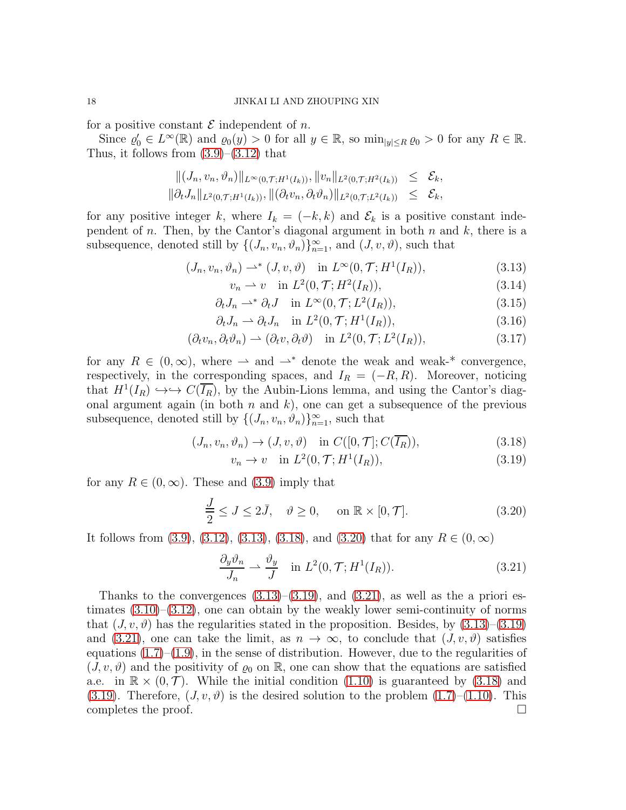for a positive constant  $\mathcal E$  independent of  $n$ .

Since  $\varrho_0' \in L^{\infty}(\mathbb{R})$  and  $\varrho_0(y) > 0$  for all  $y \in \mathbb{R}$ , so  $\min_{|y| \le R} \varrho_0 > 0$  for any  $R \in \mathbb{R}$ . Thus, it follows from  $(3.9)$ – $(3.12)$  that

$$
\begin{aligned}\n\|(J_n, v_n, \vartheta_n)\|_{L^{\infty}(0,\mathcal{T};H^1(I_k))}, \|v_n\|_{L^2(0,\mathcal{T};H^2(I_k))} \leq \mathcal{E}_k, \\
\|\partial_t J_n\|_{L^2(0,\mathcal{T};H^1(I_k))}, \|\(\partial_t v_n, \partial_t \vartheta_n)\|_{L^2(0,\mathcal{T};L^2(I_k))} \leq \mathcal{E}_k,\n\end{aligned}
$$

for any positive integer k, where  $I_k = (-k, k)$  and  $\mathcal{E}_k$  is a positive constant independent of n. Then, by the Cantor's diagonal argument in both  $n$  and  $k$ , there is a subsequence, denoted still by  $\{(J_n, v_n, \vartheta_n)\}_{n=1}^{\infty}$ , and  $(J, v, \vartheta)$ , such that

<span id="page-17-0"></span>
$$
(J_n, v_n, \vartheta_n) \rightharpoonup^* (J, v, \vartheta) \quad \text{in } L^{\infty}(0, \mathcal{T}; H^1(I_R)), \tag{3.13}
$$

$$
v_n \rightharpoonup v \quad \text{in } L^2(0, \mathcal{T}; H^2(I_R)), \tag{3.14}
$$

$$
\partial_t J_n \rightharpoonup^* \partial_t J \quad \text{in } L^\infty(0, \mathcal{T}; L^2(I_R)), \tag{3.15}
$$

$$
\partial_t J_n \rightharpoonup \partial_t J_n \quad \text{in } L^2(0, \mathcal{T}; H^1(I_R)), \tag{3.16}
$$

$$
(\partial_t v_n, \partial_t \vartheta_n) \rightharpoonup (\partial_t v, \partial_t \vartheta) \quad \text{in } L^2(0, \mathcal{T}; L^2(I_R)), \tag{3.17}
$$

for any  $R \in (0, \infty)$ , where  $\rightarrow$  and  $\rightarrow^*$  denote the weak and weak-\* convergence, respectively, in the corresponding spaces, and  $I_R = (-R, R)$ . Moreover, noticing that  $H^1(I_R) \hookrightarrow \hookrightarrow C(\overline{I_R})$ , by the Aubin-Lions lemma, and using the Cantor's diagonal argument again (in both  $n$  and  $k$ ), one can get a subsequence of the previous subsequence, denoted still by  $\{(J_n, v_n, \vartheta_n)\}_{n=1}^{\infty}$ , such that

<span id="page-17-1"></span>
$$
(J_n, v_n, \vartheta_n) \to (J, v, \vartheta) \quad \text{in } C([0, \mathcal{T}]; C(\overline{I_R})), \tag{3.18}
$$

$$
v_n \to v \quad \text{in } L^2(0, \mathcal{T}; H^1(I_R)), \tag{3.19}
$$

for any  $R \in (0,\infty)$ . These and  $(3.9)$  imply that

<span id="page-17-2"></span>
$$
\frac{J}{2} \le J \le 2\bar{J}, \quad \vartheta \ge 0, \quad \text{on } \mathbb{R} \times [0, \mathcal{T}]. \tag{3.20}
$$

It follows from [\(3.9\)](#page-16-3), [\(3.12\)](#page-16-4), [\(3.13\)](#page-17-0), [\(3.18\)](#page-17-1), and [\(3.20\)](#page-17-2) that for any  $R \in (0, \infty)$ 

<span id="page-17-3"></span>
$$
\frac{\partial_y \vartheta_n}{J_n} \rightharpoonup \frac{\vartheta_y}{J} \quad \text{in } L^2(0, \mathcal{T}; H^1(I_R)). \tag{3.21}
$$

Thanks to the convergences  $(3.13)$ – $(3.19)$ , and  $(3.21)$ , as well as the a priori estimates  $(3.10)$ – $(3.12)$ , one can obtain by the weakly lower semi-continuity of norms that  $(J, v, \vartheta)$  has the regularities stated in the proposition. Besides, by  $(3.13)$ – $(3.19)$ and [\(3.21\)](#page-17-3), one can take the limit, as  $n \to \infty$ , to conclude that  $(J, v, \vartheta)$  satisfies equations  $(1.7)$ – $(1.9)$ , in the sense of distribution. However, due to the regularities of  $(J, v, \vartheta)$  and the positivity of  $\varrho_0$  on R, one can show that the equations are satisfied a.e. in  $\mathbb{R} \times (0, \mathcal{T})$ . While the initial condition [\(1.10\)](#page-3-1) is guaranteed by [\(3.18\)](#page-17-1) and [\(3.19\)](#page-17-1). Therefore,  $(J, v, \vartheta)$  is the desired solution to the problem  $(1.7)$ – $(1.10)$ . This completes the proof.  $\Box$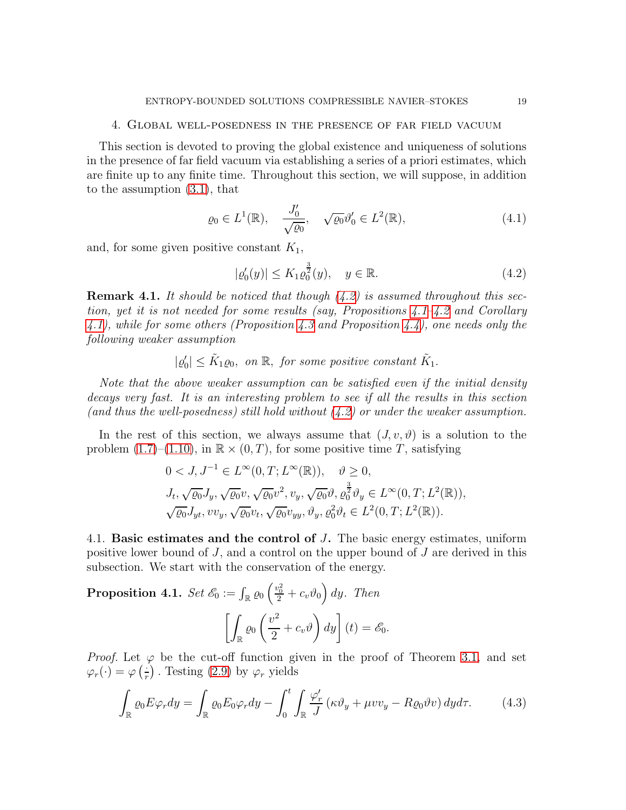## <span id="page-18-0"></span>4. Global well-posedness in the presence of far field vacuum

This section is devoted to proving the global existence and uniqueness of solutions in the presence of far field vacuum via establishing a series of a priori estimates, which are finite up to any finite time. Throughout this section, we will suppose, in addition to the assumption [\(3.1\)](#page-15-3), that

<span id="page-18-4"></span>
$$
\varrho_0 \in L^1(\mathbb{R}), \quad \frac{J_0'}{\sqrt{\varrho_0}}, \quad \sqrt{\varrho_0} \vartheta_0' \in L^2(\mathbb{R}), \tag{4.1}
$$

and, for some given positive constant  $K_1$ ,

<span id="page-18-1"></span>
$$
|\varrho_0'(y)| \le K_1 \varrho_0^{\frac{3}{2}}(y), \quad y \in \mathbb{R}.\tag{4.2}
$$

**Remark 4.1.** It should be noticed that though  $(4.2)$  is assumed throughout this section, yet it is not needed for some results (say, Propositions  $4.1 - 4.2$  $4.1 - 4.2$  and Corollary [4.1\)](#page-20-0), while for some others (Proposition [4.3](#page-21-0) and Proposition [4.4\)](#page-26-0), one needs only the following weaker assumption

 $|\varrho_0'|\leq \tilde{K}_1\varrho_0$ , on  $\mathbb{R}$ , for some positive constant  $\tilde{K}_1$ .

Note that the above weaker assumption can be satisfied even if the initial density decays very fast. It is an interesting problem to see if all the results in this section (and thus the well-posedness) still hold without  $(4.2)$  or under the weaker assumption.

In the rest of this section, we always assume that  $(J, v, \vartheta)$  is a solution to the problem  $(1.7)$ – $(1.10)$ , in  $\mathbb{R} \times (0,T)$ , for some positive time T, satisfying

$$
0 < J, J^{-1} \in L^{\infty}(0, T; L^{\infty}(\mathbb{R})), \quad \vartheta \ge 0,
$$
  
\n
$$
J_t, \sqrt{\varrho_0} J_y, \sqrt{\varrho_0} v, \sqrt{\varrho_0} v^2, v_y, \sqrt{\varrho_0} \vartheta, \varrho_0^{\frac{3}{2}} \vartheta_y \in L^{\infty}(0, T; L^2(\mathbb{R})),
$$
  
\n
$$
\sqrt{\varrho_0} J_{yt}, vv_y, \sqrt{\varrho_0} v_t, \sqrt{\varrho_0} v_{yy}, \vartheta_y, \varrho_0^2 \vartheta_t \in L^2(0, T; L^2(\mathbb{R})).
$$

4.1. Basic estimates and the control of J. The basic energy estimates, uniform positive lower bound of  $J$ , and a control on the upper bound of  $J$  are derived in this subsection. We start with the conservation of the energy.

<span id="page-18-2"></span>**Proposition 4.1.** Set  $\mathscr{E}_0 := \int_{\mathbb{R}} \varrho_0 \left( \frac{v_0^2}{2} + c_v \vartheta_0 \right) dy$ . Then  $\Gamma$ .  $\frac{\varrho_0}{\mathbb{R}}$  $\sqrt{v^2}$  $\frac{1}{2}+c_v\vartheta$  $\bigg) dy \bigg] (t) = \mathscr{E}_0.$ 

*Proof.* Let  $\varphi$  be the cut-off function given in the proof of Theorem [3.1,](#page-15-4) and set  $\varphi_r(\cdot) = \varphi\left(\frac{\cdot}{r}\right)$ . Testing [\(2.9\)](#page-9-1) by  $\varphi_r$  yields

<span id="page-18-3"></span>
$$
\int_{\mathbb{R}} \varrho_0 E \varphi_r dy = \int_{\mathbb{R}} \varrho_0 E_0 \varphi_r dy - \int_0^t \int_{\mathbb{R}} \frac{\varphi'_r}{J} \left( \kappa \vartheta_y + \mu v v_y - R \varrho_0 \vartheta v \right) dy d\tau. \tag{4.3}
$$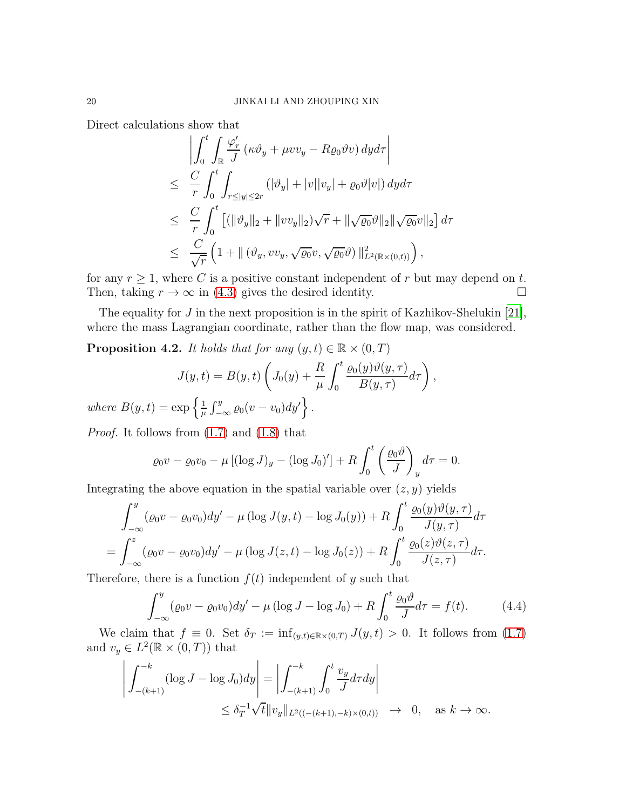Direct calculations show that

$$
\left| \int_0^t \int_{\mathbb{R}} \frac{\varphi'_r}{J} \left( \kappa \vartheta_y + \mu v v_y - R \varrho_0 \vartheta v \right) dy d\tau \right|
$$
  
\n
$$
\leq \frac{C}{r} \int_0^t \int_{r \leq |y| \leq 2r} \left( |\vartheta_y| + |v| |v_y| + \varrho_0 \vartheta |v| \right) dy d\tau
$$
  
\n
$$
\leq \frac{C}{r} \int_0^t \left[ \left( ||\vartheta_y||_2 + ||v v_y||_2 \right) \sqrt{r} + ||\sqrt{\varrho_0} \vartheta ||_2 ||\sqrt{\varrho_0} v||_2 \right] d\tau
$$
  
\n
$$
\leq \frac{C}{\sqrt{r}} \left( 1 + ||\left( \vartheta_y, v v_y, \sqrt{\varrho_0} v, \sqrt{\varrho_0} \vartheta \right) ||_{L^2(\mathbb{R} \times (0, t))}^2 \right),
$$

for any  $r \ge 1$ , where C is a positive constant independent of r but may depend on t.<br>Then, taking  $r \to \infty$  in (4.3) gives the desired identity. Then, taking  $r \to \infty$  in [\(4.3\)](#page-18-3) gives the desired identity.

The equality for  $J$  in the next proposition is in the spirit of Kazhikov-Shelukin [\[21\]](#page-48-4), where the mass Lagrangian coordinate, rather than the flow map, was considered.

<span id="page-19-0"></span>**Proposition 4.2.** It holds that for any  $(y, t) \in \mathbb{R} \times (0, T)$ 

$$
J(y,t) = B(y,t) \left( J_0(y) + \frac{R}{\mu} \int_0^t \frac{\varrho_0(y)\vartheta(y,\tau)}{B(y,\tau)} d\tau \right),
$$
  
exp $\int_0^1 \int_0^y \varrho_0(y,\tau) dy' \Big|_0^t$ 

where  $B(y,t) = \exp \left\{\frac{1}{y}\right\}$  $\frac{1}{\mu} \int_{-\infty}^{y} \varrho_0(v-v_0) dy' \bigg\}$ .

Proof. It follows from [\(1.7\)](#page-3-0) and [\(1.8\)](#page-3-0) that

$$
\varrho_0 v - \varrho_0 v_0 - \mu \left[ (\log J)_y - (\log J_0)' \right] + R \int_0^t \left( \frac{\varrho_0 \vartheta}{J} \right)_y d\tau = 0.
$$

Integrating the above equation in the spatial variable over  $(z, y)$  yields

$$
\int_{-\infty}^{y} (\varrho_0 v - \varrho_0 v_0) dy' - \mu (\log J(y, t) - \log J_0(y)) + R \int_0^t \frac{\varrho_0(y) \vartheta(y, \tau)}{J(y, \tau)} d\tau \n= \int_{-\infty}^{z} (\varrho_0 v - \varrho_0 v_0) dy' - \mu (\log J(z, t) - \log J_0(z)) + R \int_0^t \frac{\varrho_0(z) \vartheta(z, \tau)}{J(z, \tau)} d\tau.
$$

Therefore, there is a function  $f(t)$  independent of y such that

<span id="page-19-1"></span>
$$
\int_{-\infty}^{y} (\varrho_0 v - \varrho_0 v_0) dy' - \mu (\log J - \log J_0) + R \int_{0}^{t} \frac{\varrho_0 \vartheta}{J} d\tau = f(t).
$$
 (4.4)

We claim that  $f \equiv 0$ . Set  $\delta_T := \inf_{(y,t)\in\mathbb{R}\times(0,T)} J(y,t) > 0$ . It follows from [\(1.7\)](#page-3-0) and  $v_y \in L^2(\mathbb{R} \times (0,T))$  that

$$
\left| \int_{-(k+1)}^{-k} (\log J - \log J_0) dy \right| = \left| \int_{-(k+1)}^{-k} \int_0^t \frac{v_y}{J} d\tau dy \right|
$$
  

$$
\leq \delta_T^{-1} \sqrt{t} \|v_y\|_{L^2((-k+1), -k) \times (0,t))} \to 0, \text{ as } k \to \infty.
$$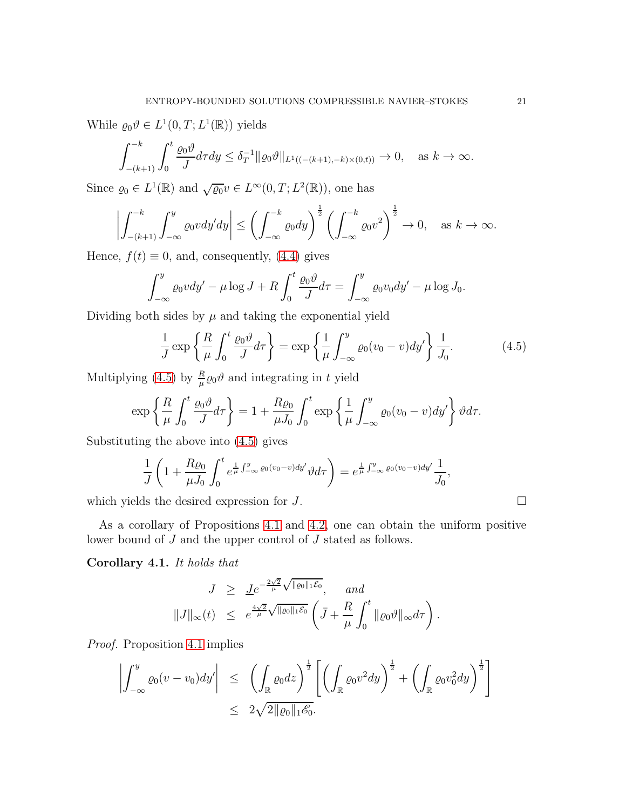While  $\varrho_0 \vartheta \in L^1(0,T; L^1(\mathbb{R}))$  yields

$$
\int_{-(k+1)}^{-k} \int_0^t \frac{\varrho_0 \vartheta}{J} d\tau dy \le \delta_T^{-1} \| \varrho_0 \vartheta \|_{L^1((-k+1), -k) \times (0,t))} \to 0, \quad \text{as } k \to \infty.
$$

Since  $\varrho_0 \in L^1(\mathbb{R})$  and  $\sqrt{\varrho_0}v \in L^{\infty}(0,T; L^2(\mathbb{R}))$ , one has

$$
\left| \int_{-(k+1)}^{-k} \int_{-\infty}^{y} \varrho_0 v dy' dy \right| \le \left( \int_{-\infty}^{-k} \varrho_0 dy \right)^{\frac{1}{2}} \left( \int_{-\infty}^{-k} \varrho_0 v^2 \right)^{\frac{1}{2}} \to 0, \quad \text{as } k \to \infty.
$$

Hence,  $f(t) \equiv 0$ , and, consequently, [\(4.4\)](#page-19-1) gives

$$
\int_{-\infty}^{y} \varrho_0 v dy' - \mu \log J + R \int_0^t \frac{\varrho_0 \vartheta}{J} d\tau = \int_{-\infty}^{y} \varrho_0 v_0 dy' - \mu \log J_0.
$$

Dividing both sides by  $\mu$  and taking the exponential yield

<span id="page-20-1"></span>
$$
\frac{1}{J}\exp\left\{\frac{R}{\mu}\int_0^t\frac{\varrho_0\vartheta}{J}d\tau\right\} = \exp\left\{\frac{1}{\mu}\int_{-\infty}^y\varrho_0(v_0-v)dy'\right\}\frac{1}{J_0}.\tag{4.5}
$$

Multiplying [\(4.5\)](#page-20-1) by  $\frac{R}{\mu}\rho_0\vartheta$  and integrating in t yield

$$
\exp\left\{\frac{R}{\mu}\int_0^t\frac{\varrho_0\vartheta}{J}d\tau\right\} = 1 + \frac{R\varrho_0}{\mu J_0}\int_0^t\exp\left\{\frac{1}{\mu}\int_{-\infty}^y\varrho_0(v_0 - v)dy'\right\}\vartheta d\tau.
$$

Substituting the above into [\(4.5\)](#page-20-1) gives

$$
\frac{1}{J}\left(1+\frac{R\varrho_{0}}{\mu J_{0}}\int_{0}^{t}e^{\frac{1}{\mu}\int_{-\infty}^{y}\varrho_{0}(v_{0}-v)dy'}\vartheta d\tau\right)=e^{\frac{1}{\mu}\int_{-\infty}^{y}\varrho_{0}(v_{0}-v)dy'}\frac{1}{J_{0}},
$$

which yields the desired expression for  $J$ .

As a corollary of Propositions [4.1](#page-18-2) and [4.2,](#page-19-0) one can obtain the uniform positive lower bound of J and the upper control of J stated as follows.

<span id="page-20-0"></span>Corollary 4.1. It holds that

$$
J \geq \underline{J}e^{-\frac{2\sqrt{2}}{\mu}\sqrt{\|\varrho_0\|_1 \mathcal{E}_0}}, \quad \text{and}
$$
  

$$
||J||_{\infty}(t) \leq e^{\frac{4\sqrt{2}}{\mu}\sqrt{\|\varrho_0\|_1 \mathcal{E}_0}} \left(\bar{J} + \frac{R}{\mu} \int_0^t ||\varrho_0 \vartheta||_{\infty} d\tau \right).
$$

Proof. Proposition [4.1](#page-18-2) implies

$$
\left| \int_{-\infty}^{y} \varrho_0(v - v_0) dy' \right| \leq \left( \int_{\mathbb{R}} \varrho_0 dz \right)^{\frac{1}{2}} \left[ \left( \int_{\mathbb{R}} \varrho_0 v^2 dy \right)^{\frac{1}{2}} + \left( \int_{\mathbb{R}} \varrho_0 v_0^2 dy \right)^{\frac{1}{2}} \right]
$$
  

$$
\leq 2\sqrt{2||\varrho_0||_1 \mathscr{E}_0}.
$$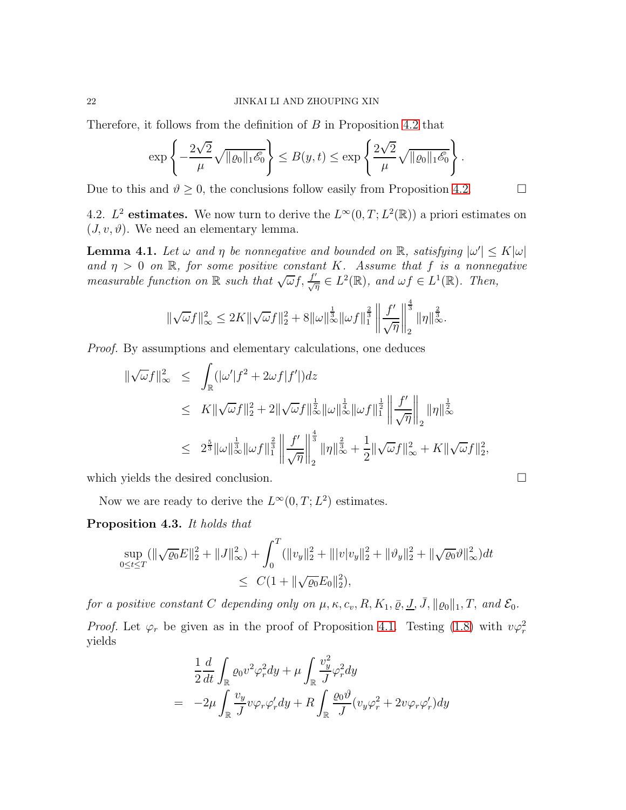Therefore, it follows from the definition of B in Proposition [4.2](#page-19-0) that

$$
\exp\left\{-\frac{2\sqrt{2}}{\mu}\sqrt{\|\varrho_0\|_1\mathscr{E}_0}\right\} \leq B(y,t) \leq \exp\left\{\frac{2\sqrt{2}}{\mu}\sqrt{\|\varrho_0\|_1\mathscr{E}_0}\right\}.
$$

Due to this and  $\vartheta \geq 0$ , the conclusions follow easily from Proposition [4.2.](#page-19-0)

4.2.  $L^2$  estimates. We now turn to derive the  $L^{\infty}(0,T; L^2(\mathbb{R}))$  a priori estimates on  $(J, v, \vartheta)$ . We need an elementary lemma.

<span id="page-21-1"></span>**Lemma 4.1.** Let  $\omega$  and  $\eta$  be nonnegative and bounded on  $\mathbb{R}$ , satisfying  $|\omega'| \leq K |\omega|$ and  $\eta > 0$  on  $\mathbb{R}$ , for some positive constant K. Assume that f is a nonnegative measurable function on R such that  $\sqrt{\omega} f, \frac{f'}{\sqrt{\eta}} \in L^2(\mathbb{R})$ , and  $\omega f \in L^1(\mathbb{R})$ . Then,

$$
\|\sqrt{\omega}f\|_{\infty}^2 \le 2K\|\sqrt{\omega}f\|_2^2 + 8\|\omega\|_{\infty}^{\frac{1}{3}}\|\omega f\|_1^{\frac{2}{3}}\left\|\frac{f'}{\sqrt{\eta}}\right\|_2^{\frac{4}{3}}\|\eta\|_{\infty}^{\frac{2}{3}}.
$$

Proof. By assumptions and elementary calculations, one deduces

$$
\begin{array}{rcl}\n\|\sqrt{\omega}f\|_{\infty}^{2} & \leq & \displaystyle\int_{\mathbb{R}}(|\omega'|f^{2}+2\omega f|f'|)dz \\
& \leq & K\|\sqrt{\omega}f\|_{2}^{2}+2\|\sqrt{\omega}f\|_{\infty}^{\frac{1}{2}}\|\omega\|_{\infty}^{\frac{1}{4}}\|\omega f\|_{1}^{\frac{1}{2}}\left\|\frac{f'}{\sqrt{\eta}}\right\|_{2}\|\eta\|_{\infty}^{\frac{1}{2}} \\
& \leq & 2^{\frac{5}{3}}\|\omega\|_{\infty}^{\frac{1}{3}}\|\omega f\|_{1}^{\frac{2}{3}}\left\|\frac{f'}{\sqrt{\eta}}\right\|_{2}^{\frac{4}{3}}\|\eta\|_{\infty}^{\frac{2}{3}}+\frac{1}{2}\|\sqrt{\omega}f\|_{\infty}^{2}+K\|\sqrt{\omega}f\|_{2}^{2}\n\end{array}
$$

,

which yields the desired conclusion.

Now we are ready to derive the  $L^{\infty}(0,T; L^2)$  estimates.

<span id="page-21-0"></span>Proposition 4.3. It holds that

$$
\sup_{0 \le t \le T} (\|\sqrt{\varrho_0}E\|_2^2 + \|J\|_{\infty}^2) + \int_0^T (\|v_y\|_2^2 + \||v|v_y\|_2^2 + \|\vartheta_y\|_2^2 + \|\sqrt{\varrho_0}\vartheta\|_{\infty}^2)dt
$$
  

$$
\le C(1 + \|\sqrt{\varrho_0}E_0\|_2^2),
$$

for a positive constant C depending only on  $\mu$ ,  $\kappa$ ,  $c_v$ ,  $R$ ,  $K_1$ ,  $\bar{\varrho}$ ,  $\bar{J}$ ,  $\|\varrho_0\|_1$ ,  $T$ , and  $\mathcal{E}_0$ .

*Proof.* Let  $\varphi_r$  be given as in the proof of Proposition [4.1.](#page-18-2) Testing [\(1.8\)](#page-3-0) with  $v\varphi_r^2$ yields

$$
\frac{1}{2}\frac{d}{dt}\int_{\mathbb{R}}\varrho_{0}v^{2}\varphi_{r}^{2}dy + \mu \int_{\mathbb{R}}\frac{v_{y}^{2}}{J}\varphi_{r}^{2}dy \n= -2\mu \int_{\mathbb{R}}\frac{v_{y}}{J}v\varphi_{r}\varphi_{r}'dy + R\int_{\mathbb{R}}\frac{\varrho_{0}\vartheta}{J}(v_{y}\varphi_{r}^{2} + 2v\varphi_{r}\varphi_{r}')dy
$$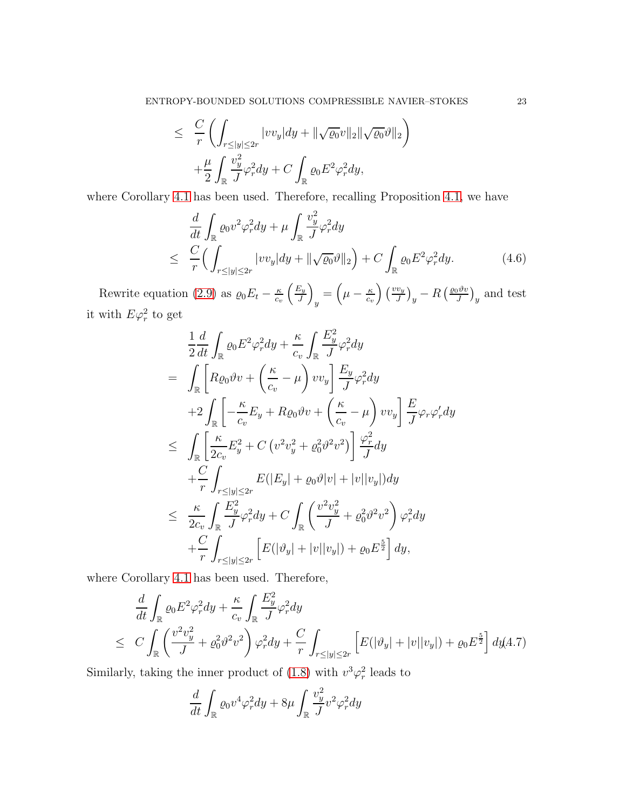$$
\leq \frac{C}{r} \left( \int_{r \leq |y| \leq 2r} |vv_y| dy + ||\sqrt{\varrho_0}v||_2 ||\sqrt{\varrho_0}v||_2 \right) +\frac{\mu}{2} \int_{\mathbb{R}} \frac{v_y^2}{J} \varphi_r^2 dy + C \int_{\mathbb{R}} \varrho_0 E^2 \varphi_r^2 dy,
$$

where Corollary [4.1](#page-20-0) has been used. Therefore, recalling Proposition [4.1,](#page-18-2) we have

<span id="page-22-1"></span>
$$
\frac{d}{dt} \int_{\mathbb{R}} \varrho_0 v^2 \varphi_r^2 dy + \mu \int_{\mathbb{R}} \frac{v_y^2}{J} \varphi_r^2 dy
$$
\n
$$
\leq \frac{C}{r} \Big( \int_{r \le |y| \le 2r} |v v_y| dy + ||\sqrt{\varrho_0} \vartheta||_2 \Big) + C \int_{\mathbb{R}} \varrho_0 E^2 \varphi_r^2 dy. \tag{4.6}
$$

Rewrite equation [\(2.9\)](#page-9-1) as  $\varrho_0 E_t - \frac{\kappa}{c_t}$  $c_v$  $E_y$ J  $\setminus$  $y = \left(\mu - \frac{\kappa}{c_v}\right)$  $\left(\frac{w}{J}\right)\left(\frac{vv_y}{J}\right)_y-R\left(\frac{\varrho_0\vartheta v}{J}\right)$  $\frac{\partial \vartheta v}{\partial y}$  and test it with  $E\varphi_r^2$  to get

$$
\frac{1}{2}\frac{d}{dt}\int_{\mathbb{R}}\varrho_{0}E^{2}\varphi_{r}^{2}dy + \frac{\kappa}{c_{v}}\int_{\mathbb{R}}\frac{E_{y}^{2}}{J}\varphi_{r}^{2}dy \n= \int_{\mathbb{R}}\left[R\varrho_{0}\vartheta v + \left(\frac{\kappa}{c_{v}} - \mu\right)vv_{y}\right]\frac{E_{y}}{J}\varphi_{r}^{2}dy \n+2\int_{\mathbb{R}}\left[-\frac{\kappa}{c_{v}}E_{y} + R\varrho_{0}\vartheta v + \left(\frac{\kappa}{c_{v}} - \mu\right)vv_{y}\right]\frac{E}{J}\varphi_{r}\varphi_{r}'dy \n\leq \int_{\mathbb{R}}\left[\frac{\kappa}{2c_{v}}E_{y}^{2} + C\left(v^{2}v_{y}^{2} + \varrho_{0}^{2}\vartheta^{2}v^{2}\right)\right]\frac{\varphi_{r}^{2}}{J}dy \n+ \frac{C}{r}\int_{r\leq|y|\leq2r}E(|E_{y}| + \varrho_{0}\vartheta|v| + |v||v_{y}|)dy \n\leq \frac{\kappa}{2c_{v}}\int_{\mathbb{R}}\frac{E_{y}^{2}}{J}\varphi_{r}^{2}dy + C\int_{\mathbb{R}}\left(\frac{v^{2}v_{y}^{2}}{J} + \varrho_{0}^{2}\vartheta^{2}v^{2}\right)\varphi_{r}^{2}dy \n+ \frac{C}{r}\int_{r\leq|y|\leq2r}\left[E(|\vartheta_{y}| + |v||v_{y}|) + \varrho_{0}E^{\frac{5}{2}}\right]dy,
$$

where Corollary [4.1](#page-20-0) has been used. Therefore,

<span id="page-22-2"></span>
$$
\frac{d}{dt} \int_{\mathbb{R}} \varrho_0 E^2 \varphi_r^2 dy + \frac{\kappa}{c_v} \int_{\mathbb{R}} \frac{E_y^2}{J} \varphi_r^2 dy
$$
\n
$$
\leq C \int_{\mathbb{R}} \left( \frac{v^2 v_y^2}{J} + \varrho_0^2 \vartheta^2 v^2 \right) \varphi_r^2 dy + \frac{C}{r} \int_{r \le |y| \le 2r} \left[ E(|\vartheta_y| + |v||v_y|) + \varrho_0 E^{\frac{5}{2}} \right] dy (4.7)
$$

Similarly, taking the inner product of [\(1.8\)](#page-3-0) with  $v^3\varphi_r^2$  leads to

<span id="page-22-0"></span>
$$
\frac{d}{dt} \int_{\mathbb{R}} \varrho_0 v^4 \varphi_r^2 dy + 8\mu \int_{\mathbb{R}} \frac{v_y^2}{J} v^2 \varphi_r^2 dy
$$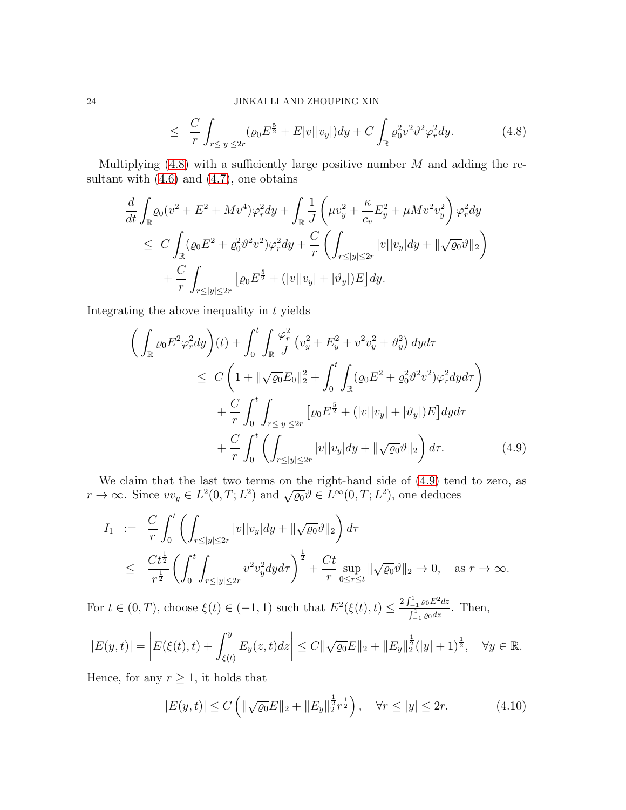$$
\leq \frac{C}{r} \int_{r \leq |y| \leq 2r} (\varrho_0 E^{\frac{5}{2}} + E|v||v_y|) dy + C \int_{\mathbb{R}} \varrho_0^2 v^2 \varrho_x^2 dy. \tag{4.8}
$$

Multiplying  $(4.8)$  with a sufficiently large positive number M and adding the resultant with  $(4.6)$  and  $(4.7)$ , one obtains

$$
\frac{d}{dt} \int_{\mathbb{R}} \varrho_0 (v^2 + E^2 + Mv^4) \varphi_r^2 dy + \int_{\mathbb{R}} \frac{1}{J} \left( \mu v_y^2 + \frac{\kappa}{c_v} E_y^2 + \mu M v^2 v_y^2 \right) \varphi_r^2 dy
$$
\n
$$
\leq C \int_{\mathbb{R}} (\varrho_0 E^2 + \varrho_0^2 \vartheta^2 v^2) \varphi_r^2 dy + \frac{C}{r} \left( \int_{r \le |y| \le 2r} |v| |v_y| dy + ||\sqrt{\varrho_0} \vartheta||_2 \right)
$$
\n
$$
+ \frac{C}{r} \int_{r \le |y| \le 2r} \left[ \varrho_0 E^{\frac{5}{2}} + (|v| |v_y| + |\vartheta_y|) E \right] dy.
$$

Integrating the above inequality in  $t$  yields

<span id="page-23-0"></span>
$$
\left(\int_{\mathbb{R}}\varrho_{0}E^{2}\varphi_{r}^{2}dy\right)(t) + \int_{0}^{t}\int_{\mathbb{R}}\frac{\varphi_{r}^{2}}{J}\left(v_{y}^{2} + E_{y}^{2} + v^{2}v_{y}^{2} + \vartheta_{y}^{2}\right)dyd\tau
$$
\n
$$
\leq C\left(1 + \|\sqrt{\varrho_{0}}E_{0}\|_{2}^{2} + \int_{0}^{t}\int_{\mathbb{R}}(\varrho_{0}E^{2} + \varrho_{0}^{2}\vartheta^{2}v^{2})\varphi_{r}^{2}dyd\tau\right)
$$
\n
$$
+ \frac{C}{r}\int_{0}^{t}\int_{r\leq|y|\leq2r}\left[\varrho_{0}E^{\frac{5}{2}} + (|v||v_{y}| + |\vartheta_{y}|)E\right]dyd\tau
$$
\n
$$
+ \frac{C}{r}\int_{0}^{t}\left(\int_{r\leq|y|\leq2r}|v||v_{y}|dy + \|\sqrt{\varrho_{0}}\vartheta\|_{2}\right)d\tau.
$$
\n(4.9)

We claim that the last two terms on the right-hand side of [\(4.9\)](#page-23-0) tend to zero, as  $r \to \infty$ . Since  $vv_y \in L^2(0,T; L^2)$  and  $\sqrt{\varrho_0} \vartheta \in L^{\infty}(0,T; L^2)$ , one deduces

$$
I_1 := \frac{C}{r} \int_0^t \left( \int_{r \le |y| \le 2r} |v| |v_y| dy + \|\sqrt{\varrho_0} \vartheta\|_2 \right) d\tau
$$
  

$$
\le \frac{Ct^{\frac{1}{2}}}{r^{\frac{1}{2}}} \left( \int_0^t \int_{r \le |y| \le 2r} v^2 v_y^2 dy d\tau \right)^{\frac{1}{2}} + \frac{Ct}{r} \sup_{0 \le \tau \le t} \|\sqrt{\varrho_0} \vartheta\|_2 \to 0, \text{ as } r \to \infty.
$$

For  $t \in (0, T)$ , choose  $\xi(t) \in (-1, 1)$  such that  $E^2(\xi(t), t) \leq \frac{2\int_{-1}^{1} \varrho_0 E^2 dz}{\int_{-1}^{1} \varrho_0 dz}$  $\frac{\int_{-1}^{1} \varrho_0 dz}{\int_{-1}^{1} \varrho_0 dz}$ . Then,

$$
|E(y,t)| = \left| E(\xi(t),t) + \int_{\xi(t)}^y E_y(z,t)dz \right| \leq C \|\sqrt{\varrho_0}E\|_2 + \|E_y\|_2^{\frac{1}{2}}(|y|+1)^{\frac{1}{2}}, \quad \forall y \in \mathbb{R}.
$$

Hence, for any  $r \geq 1$ , it holds that

<span id="page-23-1"></span>
$$
|E(y,t)| \le C \left( \|\sqrt{\varrho_0} E\|_2 + \|E_y\|_2^{\frac{1}{2}} r^{\frac{1}{2}} \right), \quad \forall r \le |y| \le 2r. \tag{4.10}
$$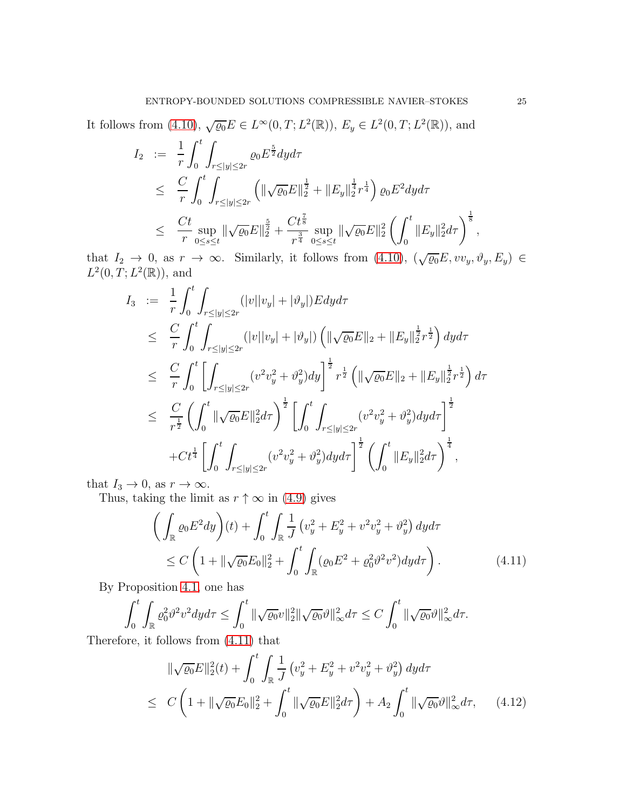It follows from [\(4.10\)](#page-23-1),  $\sqrt{\varrho_0} E \in L^{\infty}(0,T; L^2(\mathbb{R}))$ ,  $E_y \in L^2(0,T; L^2(\mathbb{R}))$ , and

$$
I_2 := \frac{1}{r} \int_0^t \int_{r \le |y| \le 2r} \varrho_0 E^{\frac{5}{2}} dy d\tau
$$
  
\n
$$
\le \frac{C}{r} \int_0^t \int_{r \le |y| \le 2r} \left( \|\sqrt{\varrho_0} E\|_2^{\frac{1}{2}} + \|E_y\|_2^{\frac{1}{4}} r^{\frac{1}{4}} \right) \varrho_0 E^2 dy d\tau
$$
  
\n
$$
\le \frac{Ct}{r} \sup_{0 \le s \le t} \|\sqrt{\varrho_0} E\|_2^{\frac{5}{2}} + \frac{Ct^{\frac{7}{8}}}{r^{\frac{3}{4}}} \sup_{0 \le s \le t} \|\sqrt{\varrho_0} E\|_2^2 \left( \int_0^t \|E_y\|_2^2 d\tau \right)^{\frac{1}{8}},
$$

that  $I_2 \to 0$ , as  $r \to \infty$ . Similarly, it follows from [\(4.10\)](#page-23-1),  $(\sqrt{\varrho_0}E, vv_y, \vartheta_y, E_y) \in$  $L^2(0, T; L^2(\mathbb{R}))$ , and

$$
I_3 := \frac{1}{r} \int_0^t \int_{r \le |y| \le 2r} (|v||v_y| + |\vartheta_y|) E dy d\tau
$$
  
\n
$$
\le \frac{C}{r} \int_0^t \int_{r \le |y| \le 2r} (|v||v_y| + |\vartheta_y|) \left( \|\sqrt{\varrho_0} E\|_2 + \|E_y\|_2^{\frac{1}{2}} r^{\frac{1}{2}} \right) dy d\tau
$$
  
\n
$$
\le \frac{C}{r} \int_0^t \left[ \int_{r \le |y| \le 2r} (v^2 v_y^2 + \vartheta_y^2) dy \right]^{\frac{1}{2}} r^{\frac{1}{2}} \left( \|\sqrt{\varrho_0} E\|_2 + \|E_y\|_2^{\frac{1}{2}} r^{\frac{1}{2}} \right) d\tau
$$
  
\n
$$
\le \frac{C}{r^{\frac{1}{2}}} \left( \int_0^t \|\sqrt{\varrho_0} E\|_2^2 d\tau \right)^{\frac{1}{2}} \left[ \int_0^t \int_{r \le |y| \le 2r} (v^2 v_y^2 + \vartheta_y^2) dy d\tau \right]^{\frac{1}{2}}
$$
  
\n
$$
+ C t^{\frac{1}{4}} \left[ \int_0^t \int_{r \le |y| \le 2r} (v^2 v_y^2 + \vartheta_y^2) dy d\tau \right]^{\frac{1}{2}} \left( \int_0^t \|E_y\|_2^2 d\tau \right)^{\frac{1}{4}},
$$

that  $I_3 \to 0$ , as  $r \to \infty$ .

Thus, taking the limit as  $r \uparrow \infty$  in [\(4.9\)](#page-23-0) gives

<span id="page-24-0"></span>
$$
\left(\int_{\mathbb{R}}\varrho_{0}E^{2}dy\right)(t) + \int_{0}^{t}\int_{\mathbb{R}}\frac{1}{J}\left(v_{y}^{2} + E_{y}^{2} + v^{2}v_{y}^{2} + \vartheta_{y}^{2}\right)dyd\tau
$$
\n
$$
\leq C\left(1 + \|\sqrt{\varrho_{0}}E_{0}\|_{2}^{2} + \int_{0}^{t}\int_{\mathbb{R}}(\varrho_{0}E^{2} + \varrho_{0}^{2}\vartheta^{2}v^{2})dyd\tau\right).
$$
\n(4.11)

By Proposition [4.1,](#page-18-2) one has

$$
\int_0^t \int_{\mathbb{R}} \varrho_0^2 \vartheta^2 v^2 dy d\tau \le \int_0^t \|\sqrt{\varrho_0}v\|_2^2 \|\sqrt{\varrho_0}\vartheta\|_{\infty}^2 d\tau \le C \int_0^t \|\sqrt{\varrho_0}\vartheta\|_{\infty}^2 d\tau.
$$

Therefore, it follows from [\(4.11\)](#page-24-0) that

<span id="page-24-1"></span>
$$
\|\sqrt{\varrho_0}E\|_2^2(t) + \int_0^t \int_{\mathbb{R}} \frac{1}{J} \left(v_y^2 + E_y^2 + v^2 v_y^2 + v^2 y\right) dy d\tau
$$
  
\n
$$
\leq C \left(1 + \|\sqrt{\varrho_0}E_0\|_2^2 + \int_0^t \|\sqrt{\varrho_0}E\|_2^2 d\tau\right) + A_2 \int_0^t \|\sqrt{\varrho_0}v\|_\infty^2 d\tau, \qquad (4.12)
$$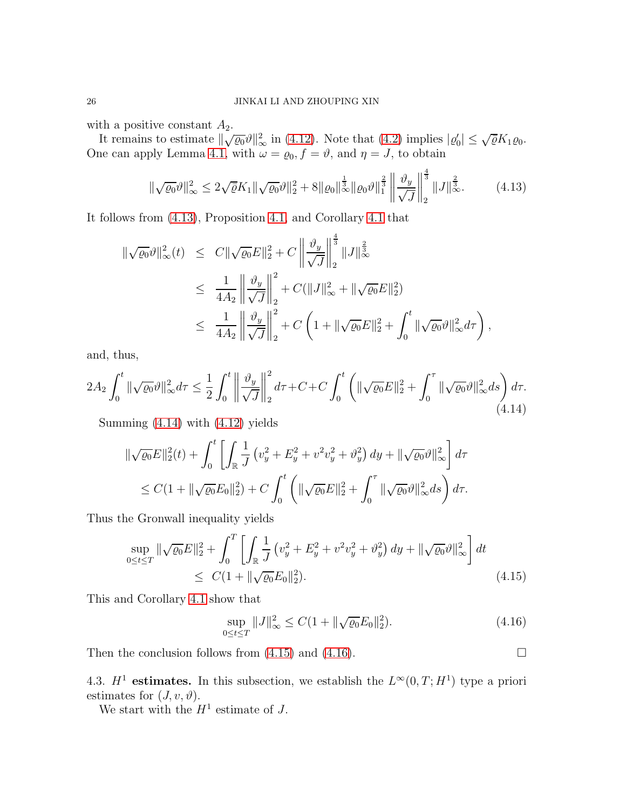with a positive constant  $A_2$ .

It remains to estimate  $\|\sqrt{\varrho_0}\vartheta\|_{\infty}^2$  in [\(4.12\)](#page-24-1). Note that [\(4.2\)](#page-18-1) implies  $|\varrho_0| \leq \sqrt{\overline{\varrho}} K_1 \varrho_0$ . One can apply Lemma [4.1,](#page-21-1) with  $\omega = \varrho_0, f = \vartheta$ , and  $\eta = J$ , to obtain

<span id="page-25-0"></span>
$$
\|\sqrt{\varrho_0}\vartheta\|_{\infty}^2 \le 2\sqrt{\varrho}K_1\|\sqrt{\varrho_0}\vartheta\|_2^2 + 8\|\varrho_0\|_{\infty}^{\frac{1}{3}}\|\varrho_0\vartheta\|_1^{\frac{2}{3}} \left\|\frac{\vartheta_y}{\sqrt{J}}\right\|_2^{\frac{4}{3}}\|J\|_{\infty}^{\frac{2}{3}}.
$$
 (4.13)

It follows from [\(4.13\)](#page-25-0), Proposition [4.1,](#page-18-2) and Corollary [4.1](#page-20-0) that

$$
\begin{split} \|\sqrt{\varrho_{0}}\vartheta\|_{\infty}^{2}(t) &\leq\ C\|\sqrt{\varrho_{0}}E\|_{2}^{2}+C\left\|\frac{\vartheta_{y}}{\sqrt{J}}\right\|_{2}^{\frac{4}{3}}\|J\|_{\infty}^{\frac{2}{3}}\\ &\leq\ \frac{1}{4A_{2}}\left\|\frac{\vartheta_{y}}{\sqrt{J}}\right\|_{2}^{2}+C(\|J\|_{\infty}^{2}+\|\sqrt{\varrho_{0}}E\|_{2}^{2})\\ &\leq\ \frac{1}{4A_{2}}\left\|\frac{\vartheta_{y}}{\sqrt{J}}\right\|_{2}^{2}+C\left(1+\|\sqrt{\varrho_{0}}E\|_{2}^{2}+\int_{0}^{t}\|\sqrt{\varrho_{0}}\vartheta\|_{\infty}^{2}d\tau\right), \end{split}
$$

and, thus,

<span id="page-25-1"></span>
$$
2A_2 \int_0^t \|\sqrt{\varrho_0}\vartheta\|_{\infty}^2 d\tau \le \frac{1}{2} \int_0^t \left\|\frac{\vartheta_y}{\sqrt{J}}\right\|_2^2 d\tau + C + C \int_0^t \left(\|\sqrt{\varrho_0}E\|_2^2 + \int_0^\tau \|\sqrt{\varrho_0}\vartheta\|_{\infty}^2 ds\right) d\tau. \tag{4.14}
$$

Summing [\(4.14\)](#page-25-1) with [\(4.12\)](#page-24-1) yields

$$
\|\sqrt{\varrho_0}E\|_2^2(t) + \int_0^t \left[ \int_{\mathbb{R}} \frac{1}{J} \left( v_y^2 + E_y^2 + v^2 v_y^2 + v_y^2 \right) dy + \|\sqrt{\varrho_0} \vartheta\|_{\infty}^2 \right] d\tau
$$
  

$$
\leq C(1 + \|\sqrt{\varrho_0}E_0\|_2^2) + C \int_0^t \left( \|\sqrt{\varrho_0}E\|_2^2 + \int_0^\tau \|\sqrt{\varrho_0} \vartheta\|_{\infty}^2 ds \right) d\tau.
$$

Thus the Gronwall inequality yields

$$
\sup_{0 \le t \le T} \|\sqrt{\varrho_0} E\|_2^2 + \int_0^T \left[ \int_{\mathbb{R}} \frac{1}{J} \left( v_y^2 + E_y^2 + v^2 v_y^2 + \vartheta_y^2 \right) dy + \|\sqrt{\varrho_0} \vartheta\|_{\infty}^2 \right] dt
$$
  
 
$$
\le C(1 + \|\sqrt{\varrho_0} E_0\|_2^2). \tag{4.15}
$$

This and Corollary [4.1](#page-20-0) show that

<span id="page-25-3"></span><span id="page-25-2"></span>
$$
\sup_{0 \le t \le T} \|J\|_{\infty}^2 \le C(1 + \|\sqrt{\varrho_0}E_0\|_2^2). \tag{4.16}
$$

Then the conclusion follows from  $(4.15)$  and  $(4.16)$ .

4.3.  $H^1$  estimates. In this subsection, we establish the  $L^{\infty}(0,T;H^1)$  type a priori estimates for  $(J, v, \vartheta)$ .

We start with the  $H^1$  estimate of J.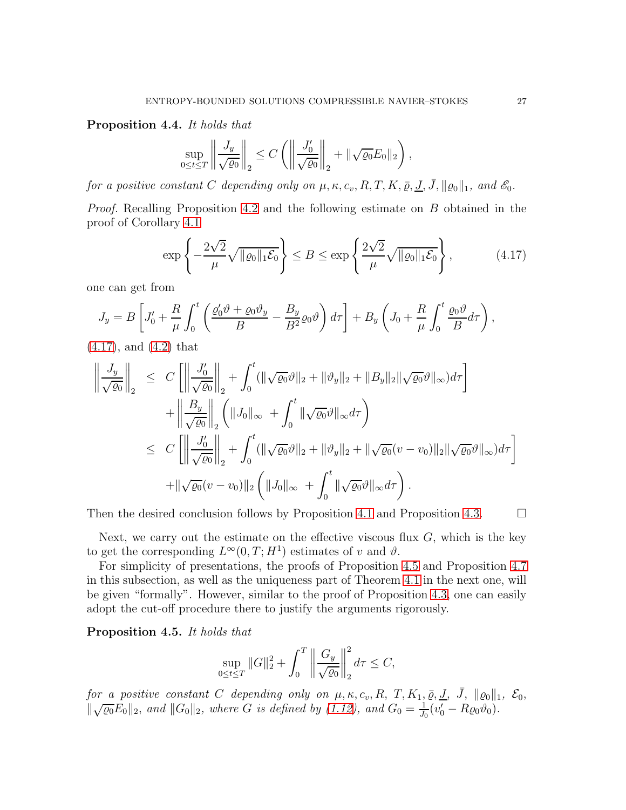<span id="page-26-0"></span>Proposition 4.4. It holds that

$$
\sup_{0\leq t\leq T}\left\|\frac{J_y}{\sqrt{\varrho_0}}\right\|_2 \leq C\left(\left\|\frac{J'_0}{\sqrt{\varrho_0}}\right\|_2 + \|\sqrt{\varrho_0}E_0\|_2\right),
$$

for a positive constant C depending only on  $\mu, \kappa, c_v, R, T, K, \bar{\rho}, J, \bar{J}, ||\rho_0||_1$ , and  $\mathscr{E}_0$ .

Proof. Recalling Proposition [4.2](#page-19-0) and the following estimate on B obtained in the proof of Corollary [4.1](#page-20-0)

<span id="page-26-1"></span>
$$
\exp\left\{-\frac{2\sqrt{2}}{\mu}\sqrt{\|\varrho_0\|_1\mathcal{E}_0}\right\} \le B \le \exp\left\{\frac{2\sqrt{2}}{\mu}\sqrt{\|\varrho_0\|_1\mathcal{E}_0}\right\},\tag{4.17}
$$

one can get from

$$
J_y = B \left[ J'_0 + \frac{R}{\mu} \int_0^t \left( \frac{\varrho'_0 \vartheta + \varrho_0 \vartheta_y}{B} - \frac{B_y}{B^2} \varrho_0 \vartheta \right) d\tau \right] + B_y \left( J_0 + \frac{R}{\mu} \int_0^t \frac{\varrho_0 \vartheta}{B} d\tau \right),
$$

[\(4.17\)](#page-26-1), and [\(4.2\)](#page-18-1) that

$$
\left\| \frac{J_y}{\sqrt{\varrho_0}} \right\|_2 \leq C \left[ \left\| \frac{J'_0}{\sqrt{\varrho_0}} \right\|_2 + \int_0^t (\|\sqrt{\varrho_0}\vartheta\|_2 + \|\vartheta_y\|_2 + \|B_y\|_2 \|\sqrt{\varrho_0}\vartheta\|_{\infty}) d\tau \right] + \left\| \frac{B_y}{\sqrt{\varrho_0}} \right\|_2 \left( \|J_0\|_{\infty} + \int_0^t \|\sqrt{\varrho_0}\vartheta\|_{\infty} d\tau \right) \leq C \left[ \left\| \frac{J'_0}{\sqrt{\varrho_0}} \right\|_2 + \int_0^t (\|\sqrt{\varrho_0}\vartheta\|_2 + \|\vartheta_y\|_2 + \|\sqrt{\varrho_0}(v - v_0)\|_2 \|\sqrt{\varrho_0}\vartheta\|_{\infty}) d\tau \right] + \|\sqrt{\varrho_0}(v - v_0)\|_2 \left( \|J_0\|_{\infty} + \int_0^t \|\sqrt{\varrho_0}\vartheta\|_{\infty} d\tau \right).
$$

Then the desired conclusion follows by Proposition [4.1](#page-18-2) and Proposition [4.3.](#page-21-0)  $\Box$ 

Next, we carry out the estimate on the effective viscous flux  $G$ , which is the key to get the corresponding  $L^{\infty}(0,T;H^1)$  estimates of v and  $\vartheta$ .

For simplicity of presentations, the proofs of Proposition [4.5](#page-26-2) and Proposition [4.7](#page-28-0) in this subsection, as well as the uniqueness part of Theorem [4.1](#page-30-0) in the next one, will be given "formally". However, similar to the proof of Proposition [4.3,](#page-21-0) one can easily adopt the cut-off procedure there to justify the arguments rigorously.

<span id="page-26-2"></span>Proposition 4.5. It holds that

$$
\sup_{0 \le t \le T} \|G\|_2^2 + \int_0^T \left\| \frac{G_y}{\sqrt{\varrho_0}} \right\|_2^2 d\tau \le C,
$$

for a positive constant C depending only on  $\mu$ ,  $\kappa$ ,  $c_v$ ,  $R$ ,  $T$ ,  $K_1$ ,  $\bar{\varrho}$ ,  $\bar{J}$ ,  $\bar{J}$ ,  $\|\varrho_0\|_1$ ,  $\mathcal{E}_0$ ,  $\|\sqrt{\varrho_0}E_0\|_2$ , and  $\|G_0\|_2$ , where G is defined by [\(1.12\)](#page-3-4), and  $G_0 = \frac{1}{J_0}$  $\frac{1}{J_0}(v'_0-R\varrho_0\vartheta_0).$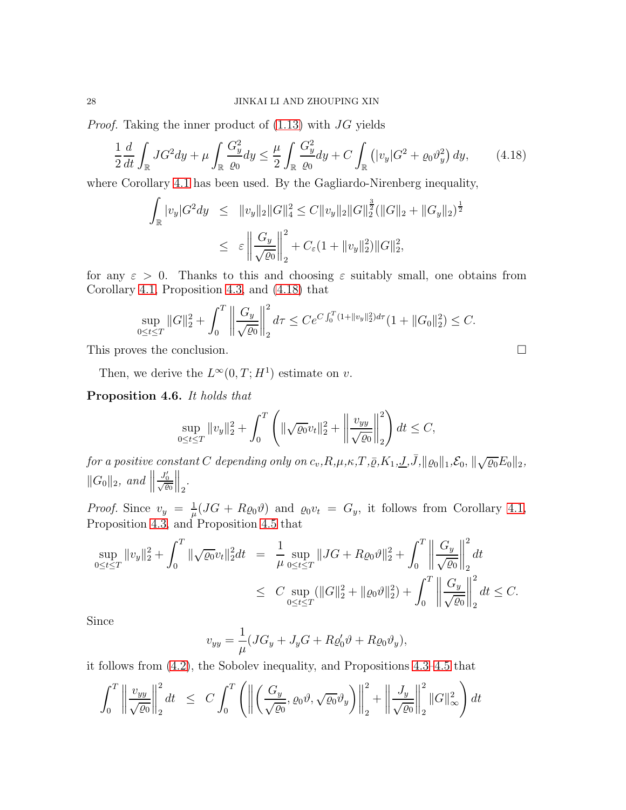*Proof.* Taking the inner product of  $(1.13)$  with JG yields

<span id="page-27-0"></span>
$$
\frac{1}{2}\frac{d}{dt}\int_{\mathbb{R}}JG^2dy+\mu\int_{\mathbb{R}}\frac{G_y^2}{\varrho_0}dy\leq\frac{\mu}{2}\int_{\mathbb{R}}\frac{G_y^2}{\varrho_0}dy+C\int_{\mathbb{R}}\left(|v_y|G^2+\varrho_0\vartheta_y^2\right)dy,\qquad(4.18)
$$

where Corollary [4.1](#page-20-0) has been used. By the Gagliardo-Nirenberg inequality,

$$
\int_{\mathbb{R}} |v_y| G^2 dy \leq ||v_y||_2 ||G||_4^2 \leq C ||v_y||_2 ||G||_2^{\frac{3}{2}} (||G||_2 + ||G_y||_2)^{\frac{1}{2}}
$$
  

$$
\leq \varepsilon \left\| \frac{G_y}{\sqrt{\varrho_0}} \right\|_2^2 + C_{\varepsilon} (1 + ||v_y||_2^2) ||G||_2^2,
$$

for any  $\varepsilon > 0$ . Thanks to this and choosing  $\varepsilon$  suitably small, one obtains from Corollary [4.1,](#page-20-0) Proposition [4.3,](#page-21-0) and [\(4.18\)](#page-27-0) that

$$
\sup_{0 \le t \le T} ||G||_2^2 + \int_0^T \left\| \frac{G_y}{\sqrt{\varrho_0}} \right\|_2^2 d\tau \le C e^{C \int_0^T (1 + ||v_y||_2^2) d\tau} (1 + ||G_0||_2^2) \le C.
$$

This proves the conclusion.

Then, we derive the  $L^{\infty}(0,T;H^1)$  estimate on v.

<span id="page-27-1"></span>Proposition 4.6. It holds that

$$
\sup_{0 \le t \le T} \|v_y\|_2^2 + \int_0^T \left( \|\sqrt{\varrho_0} v_t\|_2^2 + \left\|\frac{v_{yy}}{\sqrt{\varrho_0}}\right\|_2^2 \right) dt \le C,
$$

for a positive constant C depending only on  $c_v, R, \mu, \kappa, T, \bar{\varrho}, K_1, \underline{J}, \bar{J}, ||\varrho_0||_1, \mathcal{E}_0, ||\sqrt{\varrho_0}E_0||_2$ ,  $||G_0||_2$ , and  $||$  $\frac{J_0'}{\sqrt{\varrho_0}}$  $\Big\|_2.$ 

*Proof.* Since  $v_y = \frac{1}{u}$  $\frac{1}{\mu}(JG + R_{Q0}\vartheta)$  and  $\varrho_0v_t = G_y$ , it follows from Corollary [4.1,](#page-20-0) Proposition [4.3,](#page-21-0) and Proposition [4.5](#page-26-2) that

$$
\sup_{0 \le t \le T} ||v_y||_2^2 + \int_0^T ||\sqrt{\varrho_0} v_t||_2^2 dt = \frac{1}{\mu} \sup_{0 \le t \le T} ||JG + R\varrho_0 \vartheta||_2^2 + \int_0^T \left\| \frac{G_y}{\sqrt{\varrho_0}} \right\|_2^2 dt
$$
  

$$
\le C \sup_{0 \le t \le T} (||G||_2^2 + ||\varrho_0 \vartheta||_2^2) + \int_0^T \left\| \frac{G_y}{\sqrt{\varrho_0}} \right\|_2^2 dt \le C.
$$

Since

$$
v_{yy} = \frac{1}{\mu} (JG_y + J_yG + R\varrho'_0\vartheta + R\varrho_0\vartheta_y),
$$

it follows from [\(4.2\)](#page-18-1), the Sobolev inequality, and Propositions [4.3](#page-21-0)[–4.5](#page-26-2) that

$$
\int_0^T \left\| \frac{v_{yy}}{\sqrt{\varrho_0}} \right\|_2^2 dt \leq C \int_0^T \left( \left\| \left( \frac{G_y}{\sqrt{\varrho_0}}, \varrho_0 \vartheta, \sqrt{\varrho_0} \vartheta_y \right) \right\|_2^2 + \left\| \frac{J_y}{\sqrt{\varrho_0}} \right\|_2^2 ||G||_{\infty}^2 \right) dt
$$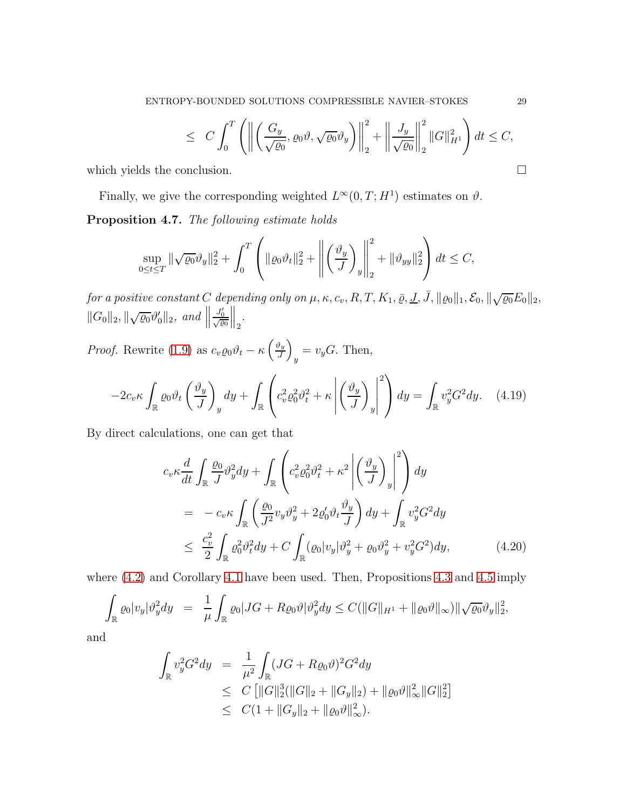$$
\leq C \int_0^T \left( \left\| \left( \frac{G_y}{\sqrt{\varrho_0}}, \varrho_0 \vartheta, \sqrt{\varrho_0} \vartheta_y \right) \right\|_2^2 + \left\| \frac{J_y}{\sqrt{\varrho_0}} \right\|_2^2 \|G\|_{H^1}^2 \right) dt \leq C,
$$

which yields the conclusion.  $\Box$ 

<span id="page-28-0"></span>Finally, we give the corresponding weighted  $L^{\infty}(0,T;H^1)$  estimates on  $\vartheta$ . Proposition 4.7. The following estimate holds

$$
\sup_{0\leq t\leq T} \|\sqrt{\varrho_0}\vartheta_y\|_2^2 + \int_0^T \left( \|\varrho_0\vartheta_t\|_2^2 + \left\| \left(\frac{\vartheta_y}{J}\right)_y \right\|_2^2 + \|\vartheta_{yy}\|_2^2 \right) dt \leq C,
$$

for a positive constant C depending only on  $\mu$ ,  $\kappa$ ,  $c_v$ ,  $R$ ,  $T$ ,  $K_1$ ,  $\bar{\varrho}$ ,  $\underline{J}$ ,  $\bar{J}$ ,  $\|\varrho_0\|_1$ ,  $\mathcal{E}_0$ ,  $\|\sqrt{\varrho_0}E_0\|_2$ ,  $||G_0||_2, ||\sqrt{\varrho_0}\vartheta'_0||_2, \text{ and } ||$  $\frac{J_0'}{\sqrt{\varrho_0}}$  $\Big\|_2.$ 

*Proof.* Rewrite [\(1.9\)](#page-3-0) as  $c_v \varrho_0 \vartheta_t - \kappa \left(\frac{\vartheta_y}{J}\right)$ J  $\overline{ }$  $y = v_y G$ . Then,

$$
-2c_v\kappa \int_{\mathbb{R}} \varrho_0 \vartheta_t \left(\frac{\vartheta_y}{J}\right)_y dy + \int_{\mathbb{R}} \left(c_v^2 \varrho_0^2 \vartheta_t^2 + \kappa \left| \left(\frac{\vartheta_y}{J}\right)_y \right|^2 \right) dy = \int_{\mathbb{R}} v_y^2 G^2 dy. \tag{4.19}
$$

By direct calculations, one can get that

<span id="page-28-1"></span>
$$
c_v \kappa \frac{d}{dt} \int_{\mathbb{R}} \frac{\varrho_0}{J} \vartheta_y^2 dy + \int_{\mathbb{R}} \left( c_v^2 \varrho_0^2 \vartheta_t^2 + \kappa^2 \left| \left( \frac{\vartheta_y}{J} \right)_y \right|^2 \right) dy
$$
  
\n
$$
= -c_v \kappa \int_{\mathbb{R}} \left( \frac{\varrho_0}{J^2} v_y \vartheta_y^2 + 2 \varrho_0' \vartheta_t \frac{\vartheta_y}{J} \right) dy + \int_{\mathbb{R}} v_y^2 G^2 dy
$$
  
\n
$$
\leq \frac{c_v^2}{2} \int_{\mathbb{R}} \varrho_0^2 \vartheta_t^2 dy + C \int_{\mathbb{R}} (\varrho_0 |v_y| \vartheta_y^2 + \varrho_0 \vartheta_y^2 + v_y^2 G^2) dy,
$$
 (4.20)

where  $(4.2)$  and Corollary [4.1](#page-20-0) have been used. Then, Propositions [4.3](#page-21-0) and [4.5](#page-26-2) imply

$$
\int_{\mathbb{R}} \varrho_0 |v_y| \vartheta_y^2 dy = \frac{1}{\mu} \int_{\mathbb{R}} \varrho_0 |JG + R\varrho_0 \vartheta | \vartheta_y^2 dy \leq C(||G||_{H^1} + ||\varrho_0 \vartheta ||_{\infty}) ||\sqrt{\varrho_0} \vartheta_y||_2^2,
$$

and

$$
\int_{\mathbb{R}} v_y^2 G^2 dy = \frac{1}{\mu^2} \int_{\mathbb{R}} (JG + R\varrho_0 \vartheta)^2 G^2 dy
$$
  
\n
$$
\leq C \left[ ||G||_2^3 (||G||_2 + ||G_y||_2) + ||\varrho_0 \vartheta||_{\infty}^2 ||G||_2^2 \right]
$$
  
\n
$$
\leq C (1 + ||G_y||_2 + ||\varrho_0 \vartheta||_{\infty}^2).
$$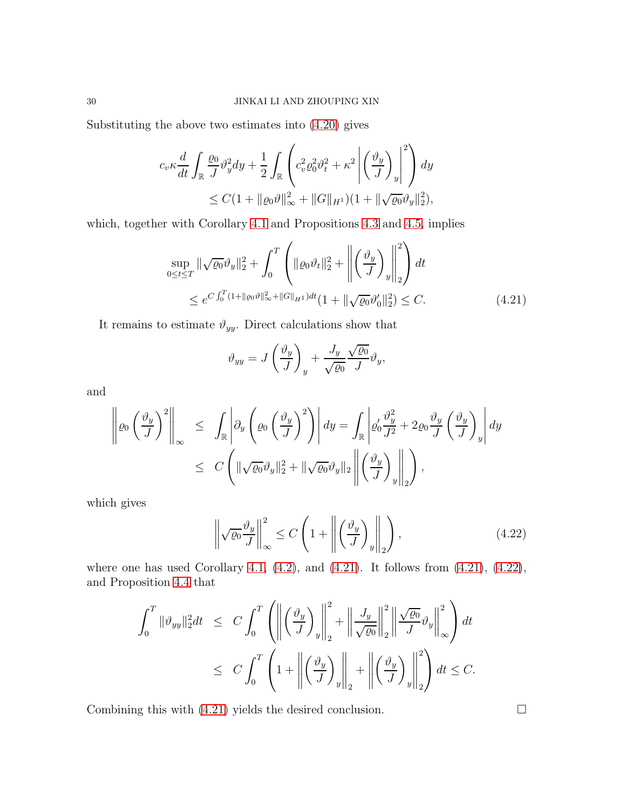Substituting the above two estimates into [\(4.20\)](#page-28-1) gives

$$
c_v \kappa \frac{d}{dt} \int_{\mathbb{R}} \frac{\varrho_0}{J} \vartheta_y^2 dy + \frac{1}{2} \int_{\mathbb{R}} \left( c_v^2 \varrho_0^2 \vartheta_t^2 + \kappa^2 \left| \left( \frac{\vartheta_y}{J} \right)_y \right|^2 \right) dy
$$
  
 
$$
\leq C \left( 1 + ||\varrho_0 \vartheta||_{\infty}^2 + ||G||_{H^1} \right) \left( 1 + ||\sqrt{\varrho_0} \vartheta_y||_2^2 \right),
$$

which, together with Corollary [4.1](#page-20-0) and Propositions [4.3](#page-21-0) and [4.5,](#page-26-2) implies

<span id="page-29-0"></span>
$$
\sup_{0 \le t \le T} \|\sqrt{\varrho_0} \vartheta_y\|_2^2 + \int_0^T \left( \|\varrho_0 \vartheta_t\|_2^2 + \left\| \left(\frac{\vartheta_y}{J}\right)_y \right\|_2^2 \right) dt
$$
  
 
$$
\le e^{C \int_0^T (1 + \|\varrho_0 \vartheta\|_\infty^2 + \|G\|_{H^1}) dt} (1 + \|\sqrt{\varrho_0} \vartheta_0'\|_2^2) \le C.
$$
 (4.21)

It remains to estimate  $\vartheta_{yy}$ . Direct calculations show that

$$
\vartheta_{yy} = J\left(\frac{\vartheta_y}{J}\right)_y + \frac{J_y}{\sqrt{\varrho_0}} \frac{\sqrt{\varrho_0}}{J} \vartheta_y,
$$

and

$$
\left\| \varrho_0 \left( \frac{\vartheta_y}{J} \right)^2 \right\|_{\infty} \leq \int_{\mathbb{R}} \left| \partial_y \left( \varrho_0 \left( \frac{\vartheta_y}{J} \right)^2 \right) \right| dy = \int_{\mathbb{R}} \left| \varrho'_0 \frac{\vartheta_y^2}{J^2} + 2 \varrho_0 \frac{\vartheta_y}{J} \left( \frac{\vartheta_y}{J} \right)_y \right| dy
$$
  

$$
\leq C \left( \|\sqrt{\varrho_0} \vartheta_y\|_2^2 + \|\sqrt{\varrho_0} \vartheta_y\|_2 \left\| \left( \frac{\vartheta_y}{J} \right)_y \right\|_2 \right),
$$

which gives

<span id="page-29-1"></span>
$$
\left\| \sqrt{\varrho_0} \frac{\vartheta_y}{J} \right\|_{\infty}^2 \le C \left( 1 + \left\| \left( \frac{\vartheta_y}{J} \right)_y \right\|_2 \right),\tag{4.22}
$$

where one has used Corollary [4.1,](#page-20-0)  $(4.2)$ , and  $(4.21)$ . It follows from  $(4.21)$ ,  $(4.22)$ , and Proposition [4.4](#page-26-0) that

$$
\int_0^T \|\vartheta_{yy}\|_2^2 dt \le C \int_0^T \left( \left\| \left( \frac{\vartheta_y}{J} \right)_y \right\|_2^2 + \left\| \frac{J_y}{\sqrt{\varrho_0}} \right\|_2^2 \left\| \frac{\sqrt{\varrho_0}}{J} \vartheta_y \right\|_\infty^2 \right) dt
$$
  

$$
\le C \int_0^T \left( 1 + \left\| \left( \frac{\vartheta_y}{J} \right)_y \right\|_2 + \left\| \left( \frac{\vartheta_y}{J} \right)_y \right\|_2^2 \right) dt \le C.
$$

Combining this with  $(4.21)$  yields the desired conclusion.  $\Box$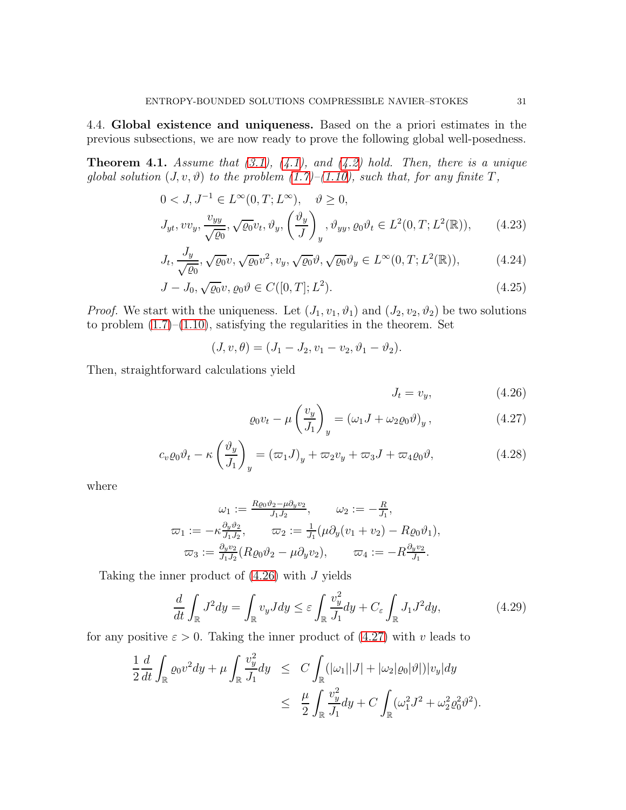4.4. Global existence and uniqueness. Based on the a priori estimates in the previous subsections, we are now ready to prove the following global well-posedness.

<span id="page-30-0"></span>**Theorem 4.1.** Assume that  $(3.1)$ ,  $(4.1)$ , and  $(4.2)$  hold. Then, there is a unique global solution  $(J, v, \vartheta)$  to the problem  $(1.7)$ – $(1.10)$ , such that, for any finite T,

<span id="page-30-3"></span>
$$
0 < J, J^{-1} \in L^{\infty}(0, T; L^{\infty}), \quad \vartheta \ge 0,
$$
  
\n
$$
J_{yt}, vv_y, \frac{v_{yy}}{\sqrt{\varrho_0}}, \sqrt{\varrho_0}v_t, \vartheta_y, \left(\frac{\vartheta_y}{J}\right)_y, \vartheta_{yy}, \varrho_0 \vartheta_t \in L^2(0, T; L^2(\mathbb{R})), \qquad (4.23)
$$

$$
J_t, \frac{J_y}{\sqrt{\varrho_0}}, \sqrt{\varrho_0}v, \sqrt{\varrho_0}v^2, v_y, \sqrt{\varrho_0}\vartheta, \sqrt{\varrho_0}\vartheta_y \in L^{\infty}(0, T; L^2(\mathbb{R})),\tag{4.24}
$$

$$
J - J_0, \sqrt{\varrho_0} v, \varrho_0 \vartheta \in C([0, T]; L^2). \tag{4.25}
$$

*Proof.* We start with the uniqueness. Let  $(J_1, v_1, \vartheta_1)$  and  $(J_2, v_2, \vartheta_2)$  be two solutions to problem  $(1.7)$ – $(1.10)$ , satisfying the regularities in the theorem. Set

$$
(J, v, \theta) = (J_1 - J_2, v_1 - v_2, \vartheta_1 - \vartheta_2).
$$

Then, straightforward calculations yield

<span id="page-30-1"></span>
$$
J_t = v_y,\t\t(4.26)
$$

$$
\varrho_0 v_t - \mu \left(\frac{v_y}{J_1}\right)_y = \left(\omega_1 J + \omega_2 \varrho_0 \vartheta\right)_y, \tag{4.27}
$$

$$
c_v \varrho_0 \vartheta_t - \kappa \left(\frac{\vartheta_y}{J_1}\right)_y = (\varpi_1 J)_y + \varpi_2 v_y + \varpi_3 J + \varpi_4 \varrho_0 \vartheta, \tag{4.28}
$$

where

$$
\omega_1 := \frac{R_{\ell 0} \vartheta_2 - \mu \partial_y v_2}{J_1 J_2}, \qquad \omega_2 := -\frac{R}{J_1},
$$
  

$$
\varpi_1 := -\kappa \frac{\partial_y \vartheta_2}{J_1 J_2}, \qquad \varpi_2 := \frac{1}{J_1} (\mu \partial_y (v_1 + v_2) - R_{\ell 0} \vartheta_1),
$$
  

$$
\varpi_3 := \frac{\partial_y v_2}{J_1 J_2} (R_{\ell 0} \vartheta_2 - \mu \partial_y v_2), \qquad \varpi_4 := -R \frac{\partial_y v_2}{J_1}.
$$

Taking the inner product of  $(4.26)$  with J yields

<span id="page-30-2"></span>
$$
\frac{d}{dt} \int_{\mathbb{R}} J^2 dy = \int_{\mathbb{R}} v_y J dy \le \varepsilon \int_{\mathbb{R}} \frac{v_y^2}{J_1} dy + C_{\varepsilon} \int_{\mathbb{R}} J_1 J^2 dy,
$$
\n(4.29)

for any positive  $\varepsilon > 0$ . Taking the inner product of [\(4.27\)](#page-30-1) with v leads to

$$
\frac{1}{2}\frac{d}{dt}\int_{\mathbb{R}}\varrho_{0}v^{2}dy + \mu \int_{\mathbb{R}}\frac{v_{y}^{2}}{J_{1}}dy \leq C\int_{\mathbb{R}}(|\omega_{1}||J| + |\omega_{2}|\varrho_{0}|\vartheta|)|v_{y}|dy \n\leq \frac{\mu}{2}\int_{\mathbb{R}}\frac{v_{y}^{2}}{J_{1}}dy + C\int_{\mathbb{R}}(\omega_{1}^{2}J^{2} + \omega_{2}^{2}\varrho_{0}^{2}\vartheta^{2}).
$$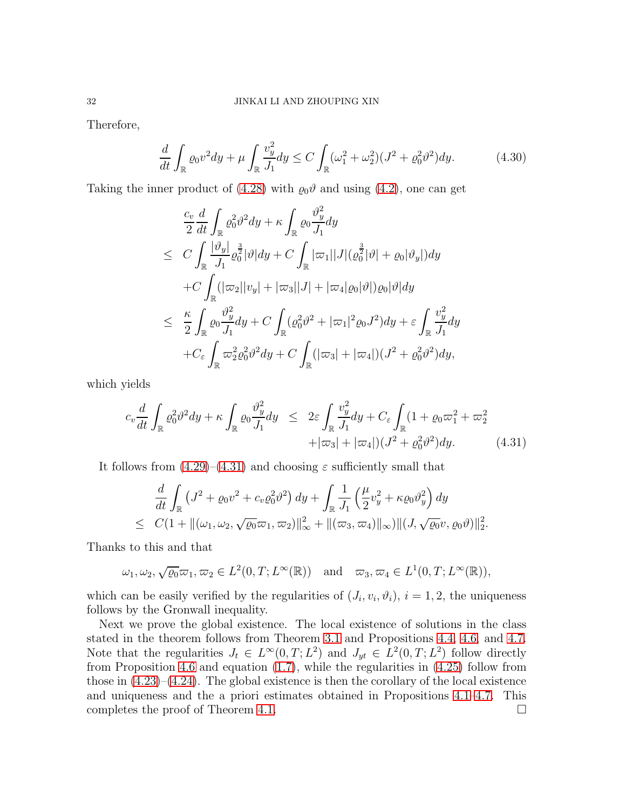Therefore,

$$
\frac{d}{dt} \int_{\mathbb{R}} \varrho_0 v^2 dy + \mu \int_{\mathbb{R}} \frac{v_y^2}{J_1} dy \le C \int_{\mathbb{R}} (\omega_1^2 + \omega_2^2)(J^2 + \varrho_0^2 \vartheta^2) dy. \tag{4.30}
$$

Taking the inner product of [\(4.28\)](#page-30-1) with  $\varrho_0 \vartheta$  and using [\(4.2\)](#page-18-1), one can get

$$
\frac{c_v}{2} \frac{d}{dt} \int_{\mathbb{R}} \rho_0^2 \vartheta^2 dy + \kappa \int_{\mathbb{R}} \varrho_0 \frac{\vartheta_y^2}{J_1} dy
$$
\n
$$
\leq C \int_{\mathbb{R}} \frac{|\vartheta_y|}{J_1} \rho_0^{\frac{3}{2}} |\vartheta| dy + C \int_{\mathbb{R}} |\varpi_1| |J| (\varrho_0^{\frac{3}{2}} |\vartheta| + \varrho_0 |\vartheta_y|) dy
$$
\n
$$
+ C \int_{\mathbb{R}} (|\varpi_2| |v_y| + |\varpi_3| |J| + |\varpi_4 |\varrho_0 |\vartheta|) \varrho_0 |\vartheta| dy
$$
\n
$$
\leq \frac{\kappa}{2} \int_{\mathbb{R}} \varrho_0 \frac{\vartheta_y^2}{J_1} dy + C \int_{\mathbb{R}} (\varrho_0^2 \vartheta^2 + |\varpi_1|^2 \varrho_0 J^2) dy + \varepsilon \int_{\mathbb{R}} \frac{\vartheta_y^2}{J_1} dy
$$
\n
$$
+ C_{\varepsilon} \int_{\mathbb{R}} \varpi_2^2 \varrho_0^2 \vartheta^2 dy + C \int_{\mathbb{R}} (|\varpi_3| + |\varpi_4|) (J^2 + \varrho_0^2 \vartheta^2) dy,
$$

which yields

<span id="page-31-0"></span>
$$
c_v \frac{d}{dt} \int_{\mathbb{R}} \varrho_0^2 \vartheta^2 dy + \kappa \int_{\mathbb{R}} \varrho_0 \frac{\vartheta_y^2}{J_1} dy \leq 2\varepsilon \int_{\mathbb{R}} \frac{\vartheta_y^2}{J_1} dy + C_\varepsilon \int_{\mathbb{R}} (1 + \varrho_0 \varpi_1^2 + \varpi_2^2 + |\varpi_3| + |\varpi_4|) (J^2 + \varrho_0^2 \vartheta^2) dy. \tag{4.31}
$$

.

It follows from  $(4.29)$ – $(4.31)$  and choosing  $\varepsilon$  sufficiently small that

$$
\frac{d}{dt} \int_{\mathbb{R}} \left( J^2 + \varrho_0 v^2 + c_v \varrho_0^2 \vartheta^2 \right) dy + \int_{\mathbb{R}} \frac{1}{J_1} \left( \frac{\mu}{2} v_y^2 + \kappa \varrho_0 \vartheta_y^2 \right) dy
$$
  
\n
$$
\leq C \left( 1 + \| (\omega_1, \omega_2, \sqrt{\varrho_0} \varpi_1, \varpi_2) \|_{\infty}^2 + \| (\varpi_3, \varpi_4) \|_{\infty} \right) \| (J, \sqrt{\varrho_0} v, \varrho_0 \vartheta) \|_2^2
$$

Thanks to this and that

 $\omega_1, \omega_2, \sqrt{\varrho_0} \varpi_1, \varpi_2 \in L^2(0,T; L^{\infty}(\mathbb{R})) \text{ and } \varpi_3, \varpi_4 \in L^1(0,T; L^{\infty}(\mathbb{R})),$ 

which can be easily verified by the regularities of  $(J_i, v_i, \vartheta_i)$ ,  $i = 1, 2$ , the uniqueness follows by the Gronwall inequality.

Next we prove the global existence. The local existence of solutions in the class stated in the theorem follows from Theorem [3.1](#page-15-4) and Propositions [4.4,](#page-26-0) [4.6,](#page-27-1) and [4.7.](#page-28-0) Note that the regularities  $J_t \in L^{\infty}(0,T; L^2)$  and  $J_{yt} \in L^2(0,T; L^2)$  follow directly from Proposition [4.6](#page-27-1) and equation [\(1.7\)](#page-3-0), while the regularities in [\(4.25\)](#page-30-3) follow from those in  $(4.23)$ – $(4.24)$ . The global existence is then the corollary of the local existence and uniqueness and the a priori estimates obtained in Propositions [4.1](#page-18-2)[–4.7.](#page-28-0) This completes the proof of Theorem [4.1.](#page-30-0)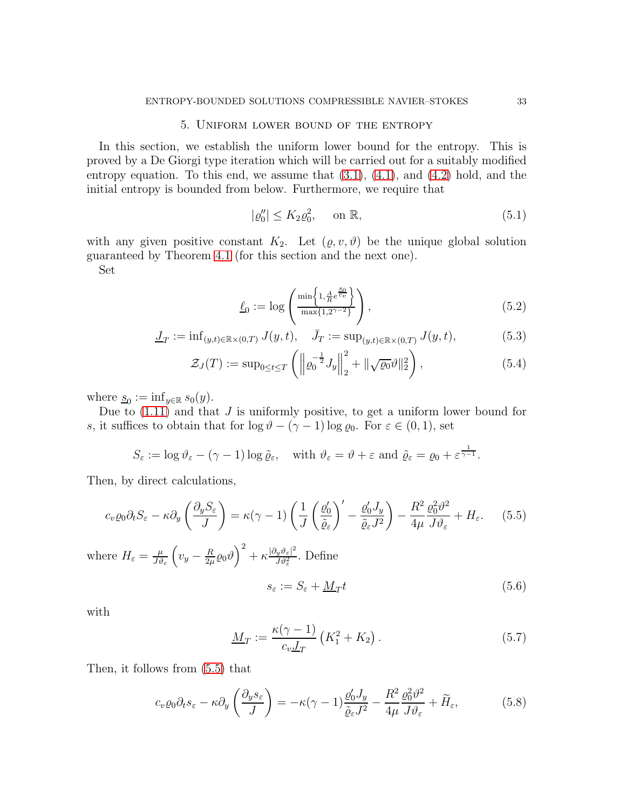# 5. Uniform lower bound of the entropy

<span id="page-32-0"></span>In this section, we establish the uniform lower bound for the entropy. This is proved by a De Giorgi type iteration which will be carried out for a suitably modified entropy equation. To this end, we assume that  $(3.1)$ ,  $(4.1)$ , and  $(4.2)$  hold, and the initial entropy is bounded from below. Furthermore, we require that

<span id="page-32-2"></span>
$$
|\varrho_0''| \le K_2 \varrho_0^2, \qquad \text{on } \mathbb{R},\tag{5.1}
$$

with any given positive constant  $K_2$ . Let  $(\varrho, v, \vartheta)$  be the unique global solution guaranteed by Theorem [4.1](#page-30-0) (for this section and the next one).

Set

$$
\underline{\ell}_0 := \log \left( \frac{\min \left\{ 1, \frac{A}{R} e^{\frac{s_0}{c_v}} \right\}}{\max \{ 1, 2^{\gamma - 2} \}} \right),\tag{5.2}
$$

<span id="page-32-4"></span>
$$
\underline{J}_T := \inf_{(y,t)\in\mathbb{R}\times(0,T)} J(y,t), \quad \bar{J}_T := \sup_{(y,t)\in\mathbb{R}\times(0,T)} J(y,t),\tag{5.3}
$$

$$
\mathcal{Z}_J(T) := \sup_{0 \le t \le T} \left( \left\| \varrho_0^{-\frac{1}{2}} J_y \right\|_2^2 + \|\sqrt{\varrho_0} \vartheta\|_2^2 \right),\tag{5.4}
$$

where  $\underline{s}_0 := \inf_{y \in \mathbb{R}} s_0(y)$ .

Due to  $(1.11)$  and that J is uniformly positive, to get a uniform lower bound for s, it suffices to obtain that for  $\log \vartheta - (\gamma - 1) \log \varrho_0$ . For  $\varepsilon \in (0, 1)$ , set

$$
S_{\varepsilon} := \log \vartheta_{\varepsilon} - (\gamma - 1) \log \tilde{\varrho}_{\varepsilon}, \quad \text{with } \vartheta_{\varepsilon} = \vartheta + \varepsilon \text{ and } \tilde{\varrho}_{\varepsilon} = \varrho_0 + \varepsilon^{\frac{1}{\gamma - 1}}.
$$

Then, by direct calculations,

<span id="page-32-1"></span>
$$
c_v \varrho_0 \partial_t S_{\varepsilon} - \kappa \partial_y \left( \frac{\partial_y S_{\varepsilon}}{J} \right) = \kappa (\gamma - 1) \left( \frac{1}{J} \left( \frac{\varrho_0'}{\tilde{\varrho}_{\varepsilon}} \right)' - \frac{\varrho_0' J_y}{\tilde{\varrho}_{\varepsilon} J^2} \right) - \frac{R^2}{4\mu} \frac{\varrho_0^2 \vartheta^2}{J \vartheta_{\varepsilon}} + H_{\varepsilon}.
$$
 (5.5)

where  $H_{\varepsilon} = \frac{\mu}{J\vartheta}$  $J\vartheta_{\varepsilon}$  $\left(v_y - \frac{R}{2\mu}\right)$  $\left(\frac{R}{2\mu}\varrho_{0}\vartheta\right)^{2}+\kappa\frac{|\partial_{y}\vartheta_{\varepsilon}|^{2}}{J\vartheta_{\varepsilon}^{2}}$  $\frac{\partial_y v_{\varepsilon}|^2}{\partial v_{\varepsilon}^2}$ . Define  $s_{\varepsilon} := S_{\varepsilon} + M_T t$ 

with

<span id="page-32-6"></span><span id="page-32-3"></span>
$$
\underline{M}_T := \frac{\kappa(\gamma - 1)}{c_v \underline{J}_T} \left( K_1^2 + K_2 \right). \tag{5.7}
$$

Then, it follows from [\(5.5\)](#page-32-1) that

<span id="page-32-5"></span>
$$
c_v \varrho_0 \partial_t s_\varepsilon - \kappa \partial_y \left( \frac{\partial_y s_\varepsilon}{J} \right) = -\kappa (\gamma - 1) \frac{\varrho'_0 J_y}{\tilde{\varrho}_\varepsilon J^2} - \frac{R^2}{4\mu} \frac{\varrho_0^2 \vartheta^2}{J \vartheta_\varepsilon} + \tilde{H}_\varepsilon,\tag{5.8}
$$

 $(5.6)$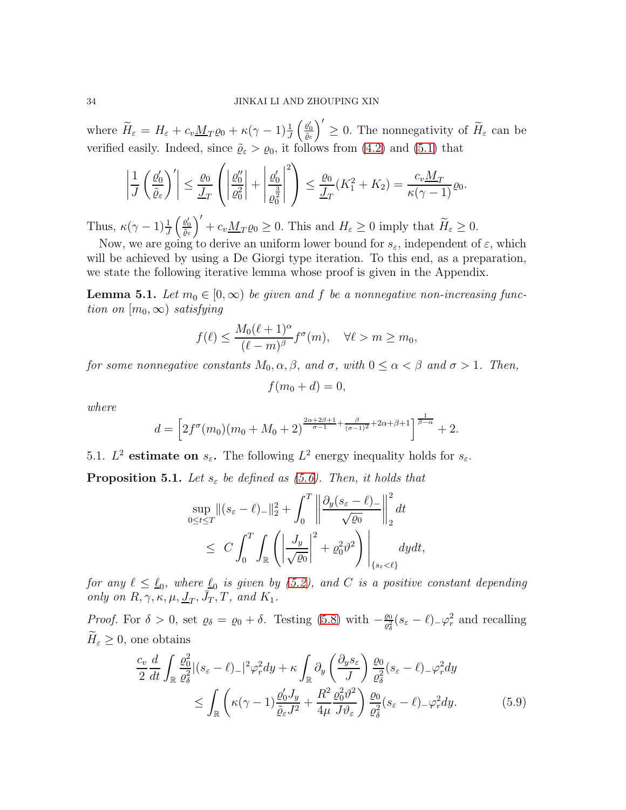where  $H_{\varepsilon} = H_{\varepsilon} + c_v \underline{M}_T \varrho_0 + \kappa (\gamma - 1) \frac{1}{J}$  $\left(\begin{array}{c} \underline{\varrho}'_0 \\ \overline{\tilde{\varrho}}_{\varepsilon} \end{array}\right)$  $\left(\right)^{\prime} \geq 0$ . The nonnegativity of  $\widetilde{H}_{\varepsilon}$  can be verified easily. Indeed, since  $\tilde{\varrho}_{\varepsilon} > \varrho_0$ , it follows from [\(4.2\)](#page-18-1) and [\(5.1\)](#page-32-2) that

$$
\left|\frac{1}{J}\left(\frac{\varrho'_0}{\tilde{\varrho}_{\varepsilon}}\right)'\right| \leq \frac{\varrho_0}{J_T}\left(\left|\frac{\varrho''_0}{\varrho_0^2}\right| + \left|\frac{\varrho'_0}{\varrho_0^{\frac{3}{2}}}\right|^2\right) \leq \frac{\varrho_0}{J_T}(K_1^2 + K_2) = \frac{c_v M_T}{\kappa(\gamma - 1)}\varrho_0.
$$

Thus,  $\kappa(\gamma - 1) \frac{1}{J}$  $\left(\begin{array}{c} \underline{\varrho}'_0 \\ \overline{\tilde{\varrho}}_{\varepsilon} \end{array}\right)$  $\int' + c_v \underline{M}_T \varrho_0 \ge 0$ . This and  $H_\varepsilon \ge 0$  imply that  $\widetilde{H}_\varepsilon \ge 0$ .

Now, we are going to derive an uniform lower bound for  $s_{\varepsilon}$ , independent of  $\varepsilon$ , which will be achieved by using a De Giorgi type iteration. To this end, as a preparation, we state the following iterative lemma whose proof is given in the Appendix.

<span id="page-33-2"></span>**Lemma 5.1.** Let  $m_0 \in [0, \infty)$  be given and f be a nonnegative non-increasing function on  $[m_0, \infty)$  satisfying

$$
f(\ell) \le \frac{M_0(\ell+1)^{\alpha}}{(\ell-m)^{\beta}} f^{\sigma}(m), \quad \forall \ell > m \ge m_0,
$$

for some nonnegative constants  $M_0, \alpha, \beta$ , and  $\sigma$ , with  $0 \leq \alpha < \beta$  and  $\sigma > 1$ . Then,

$$
f(m_0+d)=0,
$$

where

$$
d = \left[2f^{\sigma}(m_0)(m_0 + M_0 + 2)^{\frac{2\alpha + 2\beta + 1}{\sigma - 1} + \frac{\beta}{(\sigma - 1)^2} + 2\alpha + \beta + 1}\right]^{\frac{1}{\beta - \alpha}} + 2.
$$

5.1.  $L^2$  estimate on  $s_{\varepsilon}$ . The following  $L^2$  energy inequality holds for  $s_{\varepsilon}$ .

<span id="page-33-0"></span>**Proposition 5.1.** Let  $s_{\varepsilon}$  be defined as [\(5.6\)](#page-32-3). Then, it holds that

$$
\sup_{0 \le t \le T} \|(s_{\varepsilon} - \ell)_{-}\|_{2}^{2} + \int_{0}^{T} \left\| \frac{\partial_{y}(s_{\varepsilon} - \ell)_{-}}{\sqrt{\varrho_{0}}}\right\|_{2}^{2} dt
$$
  

$$
\le C \int_{0}^{T} \int_{\mathbb{R}} \left( \left| \frac{J_{y}}{\sqrt{\varrho_{0}}} \right|^{2} + \varrho_{0}^{2} \vartheta^{2} \right) \Big|_{\{s_{\varepsilon} < \ell\}} dy dt,
$$

for any  $\ell \leq \ell_0$ , where  $\ell_0$  is given by [\(5.2\)](#page-32-4), and C is a positive constant depending only on  $R, \gamma, \kappa, \mu, \underline{J}_T, \overline{J}_T, T$ , and  $K_1$ .

*Proof.* For  $\delta > 0$ , set  $\varrho_{\delta} = \varrho_0 + \delta$ . Testing [\(5.8\)](#page-32-5) with  $-\frac{\varrho_0}{\varrho_{\delta}^2}$  $\frac{\varrho_0}{\varrho_{\delta}^2}(s_{\varepsilon}-\ell)_{-}\varphi_r^2$  and recalling  $H_{\varepsilon} \geq 0$ , one obtains

<span id="page-33-1"></span>
$$
\frac{c_v}{2} \frac{d}{dt} \int_{\mathbb{R}} \frac{\varrho_0^2}{\varrho_\delta^2} |(s_\varepsilon - \ell)_-|^2 \varphi_r^2 dy + \kappa \int_{\mathbb{R}} \partial_y \left( \frac{\partial_y s_\varepsilon}{J} \right) \frac{\varrho_0}{\varrho_\delta^2} (s_\varepsilon - \ell)_- \varphi_r^2 dy
$$
\n
$$
\leq \int_{\mathbb{R}} \left( \kappa (\gamma - 1) \frac{\varrho_0' J_y}{\tilde{\varrho}_\varepsilon J^2} + \frac{R^2}{4\mu} \frac{\varrho_0^2 \vartheta^2}{J \vartheta_\varepsilon} \right) \frac{\varrho_0}{\varrho_\delta^2} (s_\varepsilon - \ell)_- \varphi_r^2 dy. \tag{5.9}
$$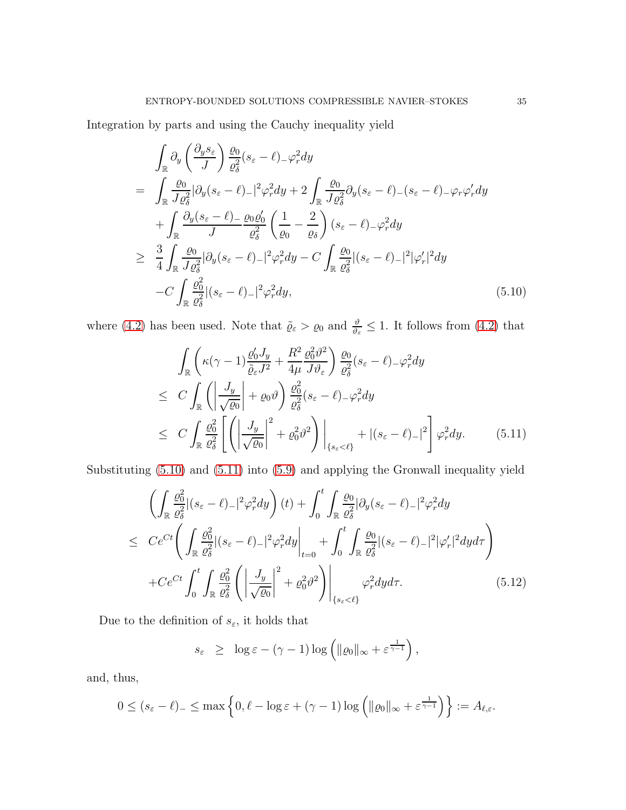Integration by parts and using the Cauchy inequality yield

<span id="page-34-0"></span>
$$
\int_{\mathbb{R}} \partial_{y} \left( \frac{\partial_{y} s_{\varepsilon}}{J} \right) \frac{\varrho_{0}}{\varrho_{\delta}^{2}} (s_{\varepsilon} - \ell)_{-} \varphi_{r}^{2} dy \n= \int_{\mathbb{R}} \frac{\varrho_{0}}{J \varrho_{\delta}^{2}} |\partial_{y} (s_{\varepsilon} - \ell)_{-}|^{2} \varphi_{r}^{2} dy + 2 \int_{\mathbb{R}} \frac{\varrho_{0}}{J \varrho_{\delta}^{2}} \partial_{y} (s_{\varepsilon} - \ell)_{-} (s_{\varepsilon} - \ell)_{-} \varphi_{r} \varphi_{r}' dy \n+ \int_{\mathbb{R}} \frac{\partial_{y} (s_{\varepsilon} - \ell)_{-}}{J} \frac{\varrho_{0} \varrho_{0}'}{\varrho_{\delta}^{2}} \left( \frac{1}{\varrho_{0}} - \frac{2}{\varrho_{\delta}} \right) (s_{\varepsilon} - \ell)_{-} \varphi_{r}^{2} dy \n\geq \frac{3}{4} \int_{\mathbb{R}} \frac{\varrho_{0}}{J \varrho_{\delta}^{2}} |\partial_{y} (s_{\varepsilon} - \ell)_{-}|^{2} \varphi_{r}^{2} dy - C \int_{\mathbb{R}} \frac{\varrho_{0}}{\varrho_{\delta}^{2}} |(s_{\varepsilon} - \ell)_{-}|^{2} |\varphi_{r}'|^{2} dy \n- C \int_{\mathbb{R}} \frac{\varrho_{0}^{2}}{\varrho_{\delta}^{2}} |(s_{\varepsilon} - \ell)_{-}|^{2} \varphi_{r}^{2} dy, \tag{5.10}
$$

where [\(4.2\)](#page-18-1) has been used. Note that  $\tilde{\varrho}_{\varepsilon} > \varrho_0$  and  $\frac{\vartheta}{\vartheta_{\varepsilon}} \leq 1$ . It follows from (4.2) that

<span id="page-34-1"></span>
$$
\int_{\mathbb{R}} \left( \kappa(\gamma - 1) \frac{\varrho_0' J_y}{\tilde{\varrho}_{\varepsilon} J^2} + \frac{R^2}{4\mu} \frac{\varrho_0^2 \vartheta^2}{J \vartheta_{\varepsilon}} \right) \frac{\varrho_0}{\varrho_{\varepsilon}^2} (s_{\varepsilon} - \ell)_{-\varphi_r}^2 dy
$$
\n
$$
\leq C \int_{\mathbb{R}} \left( \left| \frac{J_y}{\sqrt{\varrho_0}} \right| + \varrho_0 \vartheta \right) \frac{\varrho_0^2}{\varrho_{\varepsilon}^2} (s_{\varepsilon} - \ell)_{-\varphi_r}^2 dy
$$
\n
$$
\leq C \int_{\mathbb{R}} \frac{\varrho_0^2}{\varrho_{\varepsilon}^2} \left[ \left( \left| \frac{J_y}{\sqrt{\varrho_0}} \right|^2 + \varrho_0^2 \vartheta^2 \right) \right|_{\{s_{\varepsilon} < \ell\}} + |(s_{\varepsilon} - \ell)_{-\tau}|^2 \right] \varphi_r^2 dy. \tag{5.11}
$$

Substituting [\(5.10\)](#page-34-0) and [\(5.11\)](#page-34-1) into [\(5.9\)](#page-33-1) and applying the Gronwall inequality yield

<span id="page-34-2"></span>
$$
\left(\int_{\mathbb{R}}\frac{\varrho_{0}^{2}}{\varrho_{\delta}^{2}}|(s_{\varepsilon}-\ell)_{-}|^{2}\varphi_{r}^{2}dy\right)(t)+\int_{0}^{t}\int_{\mathbb{R}}\frac{\varrho_{0}}{\varrho_{\delta}^{2}}|\partial_{y}(s_{\varepsilon}-\ell)_{-}|^{2}\varphi_{r}^{2}dy
$$
\n
$$
\leq C e^{Ct}\left(\int_{\mathbb{R}}\frac{\varrho_{0}^{2}}{\varrho_{\delta}^{2}}|(s_{\varepsilon}-\ell)_{-}|^{2}\varphi_{r}^{2}dy\Big|_{t=0}+\int_{0}^{t}\int_{\mathbb{R}}\frac{\varrho_{0}}{\varrho_{\delta}^{2}}|(s_{\varepsilon}-\ell)_{-}|^{2}|\varphi_{r}'|^{2}dyd\tau\right)
$$
\n
$$
+Ce^{Ct}\int_{0}^{t}\int_{\mathbb{R}}\frac{\varrho_{0}^{2}}{\varrho_{\delta}^{2}}\left(\left|\frac{J_{y}}{\sqrt{\varrho_{0}}}\right|^{2}+\varrho_{0}^{2}\vartheta^{2}\right)\Big|_{\{s_{\varepsilon}<\ell\}}\varphi_{r}^{2}dyd\tau.\tag{5.12}
$$

Due to the definition of  $s_\varepsilon,$  it holds that

$$
s_{\varepsilon} \geq \log \varepsilon - (\gamma - 1) \log \left( \|\varrho_0\|_{\infty} + \varepsilon^{\frac{1}{\gamma - 1}} \right),
$$

and, thus,

$$
0 \le (s_{\varepsilon} - \ell)_{-} \le \max\left\{0, \ell - \log \varepsilon + (\gamma - 1) \log \left( \|\varrho_0\|_{\infty} + \varepsilon^{\frac{1}{\gamma - 1}} \right) \right\} := A_{\ell, \varepsilon}.
$$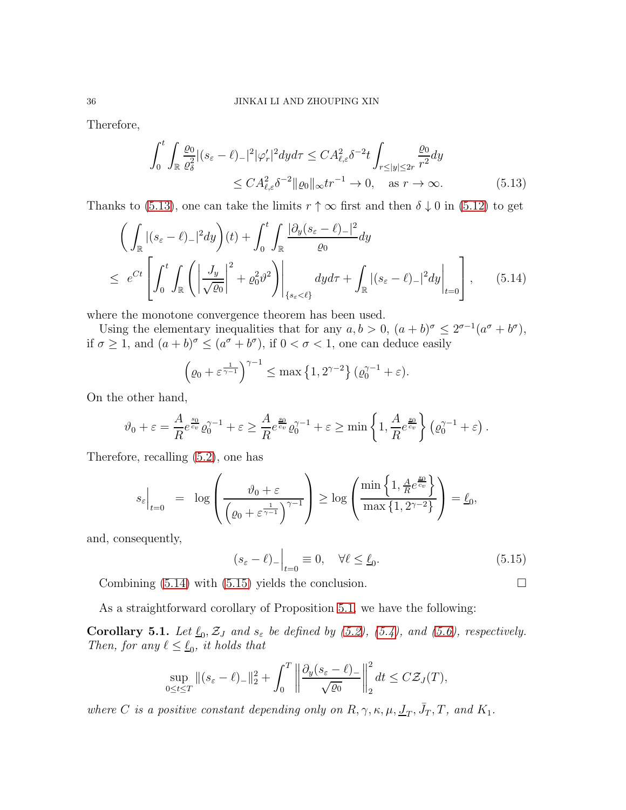Therefore,

<span id="page-35-0"></span>
$$
\int_0^t \int_{\mathbb{R}} \frac{\varrho_0}{\varrho_\delta^2} |(s_\varepsilon - \ell)_-|^2 |\varphi_r'|^2 dy d\tau \le C A_{\ell, \varepsilon}^2 \delta^{-2} t \int_{r \le |y| \le 2r} \frac{\varrho_0}{r^2} dy
$$
  
 
$$
\le C A_{\ell, \varepsilon}^2 \delta^{-2} ||\varrho_0||_{\infty} tr^{-1} \to 0, \quad \text{as } r \to \infty.
$$
 (5.13)

Thanks to [\(5.13\)](#page-35-0), one can take the limits  $r \uparrow \infty$  first and then  $\delta \downarrow 0$  in [\(5.12\)](#page-34-2) to get

$$
\left(\int_{\mathbb{R}}|(s_{\varepsilon}-\ell)_{-}|^{2}dy\right)(t)+\int_{0}^{t}\int_{\mathbb{R}}\frac{|\partial_{y}(s_{\varepsilon}-\ell)_{-}|^{2}}{\varrho_{0}}dy
$$
\n
$$
\leq e^{Ct}\left[\int_{0}^{t}\int_{\mathbb{R}}\left(\left|\frac{J_{y}}{\sqrt{\varrho_{0}}}\right|^{2}+\varrho_{0}^{2}\vartheta^{2}\right)\right|_{\{s_{\varepsilon}<\ell\}}dyd\tau+\int_{\mathbb{R}}|(s_{\varepsilon}-\ell)_{-}|^{2}dy\right|_{t=0}\right],\qquad(5.14)
$$

where the monotone convergence theorem has been used.

Using the elementary inequalities that for any  $a, b > 0$ ,  $(a + b)^{\sigma} \leq 2^{\sigma-1}(a^{\sigma} + b^{\sigma})$ , if  $\sigma \ge 1$ , and  $(a+b)^{\sigma} \le (a^{\sigma} + b^{\sigma})$ , if  $0 < \sigma < 1$ , one can deduce easily

$$
\left(\varrho_0 + \varepsilon^{\frac{1}{\gamma - 1}}\right)^{\gamma - 1} \le \max\left\{1, 2^{\gamma - 2}\right\} (\varrho_0^{\gamma - 1} + \varepsilon).
$$

On the other hand,

$$
\vartheta_0 + \varepsilon = \frac{A}{R} e^{\frac{s_0}{c_v}} \varrho_0^{\gamma - 1} + \varepsilon \ge \frac{A}{R} e^{\frac{s_0}{c_v}} \varrho_0^{\gamma - 1} + \varepsilon \ge \min\left\{1, \frac{A}{R} e^{\frac{s_0}{c_v}}\right\} \left(\varrho_0^{\gamma - 1} + \varepsilon\right).
$$

Therefore, recalling [\(5.2\)](#page-32-4), one has

$$
s_{\varepsilon}\Big|_{t=0} = \log\left(\frac{\vartheta_0 + \varepsilon}{\left(\varrho_0 + \varepsilon^{\frac{1}{\gamma-1}}\right)^{\gamma-1}}\right) \ge \log\left(\frac{\min\left\{1, \frac{A}{R}e^{\frac{s_0}{c_v}}\right\}}{\max\left\{1, 2^{\gamma-2}\right\}}\right) = \underline{\ell}_0,
$$

and, consequently,

<span id="page-35-2"></span>
$$
(s_{\varepsilon} - \ell)_{-}\Big|_{t=0} \equiv 0, \quad \forall \ell \leq \underline{\ell}_{0}.
$$
 (5.15)

Combining  $(5.14)$  with  $(5.15)$  yields the conclusion.

As a straightforward corollary of Proposition [5.1,](#page-33-0) we have the following:

<span id="page-35-3"></span>**Corollary 5.1.** Let  $\underline{\ell}_0$ ,  $\mathcal{Z}_J$  and  $s_{\varepsilon}$  be defined by [\(5.2\)](#page-32-4), [\(5.4\)](#page-32-4), and [\(5.6\)](#page-32-3), respectively. Then, for any  $\ell \leq \underline{\ell}_0$ , it holds that

$$
\sup_{0\leq t\leq T}||(s_{\varepsilon}-\ell)_-||_2^2+\int_0^T \left\|\frac{\partial_y(s_{\varepsilon}-\ell)_-}{\sqrt{\varrho_0}}\right\|_2^2 dt \leq C\mathcal{Z}_J(T),
$$

where C is a positive constant depending only on  $R, \gamma, \kappa, \mu, \underline{J}_T, \overline{J}_T, T$ , and  $K_1$ .

<span id="page-35-1"></span>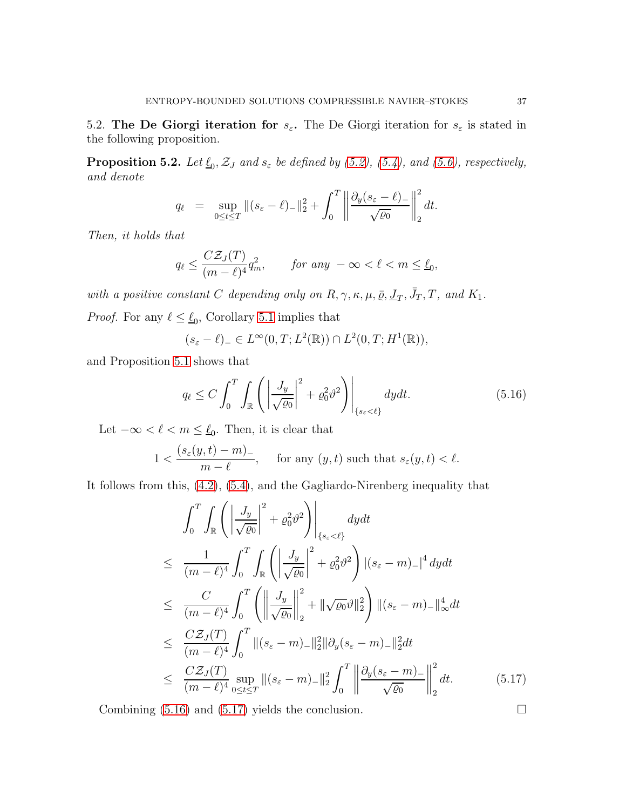5.2. The De Giorgi iteration for  $s_{\varepsilon}$ . The De Giorgi iteration for  $s_{\varepsilon}$  is stated in the following proposition.

<span id="page-36-2"></span>**Proposition 5.2.** Let  $\underline{\ell}_0$ ,  $\mathcal{Z}_J$  and  $s_{\varepsilon}$  be defined by [\(5.2\)](#page-32-4), [\(5.4\)](#page-32-4), and [\(5.6\)](#page-32-3), respectively, and denote

$$
q_{\ell} = \sup_{0 \leq t \leq T} \|(s_{\varepsilon} - \ell)_{-}\|_{2}^{2} + \int_{0}^{T} \left\| \frac{\partial_{y}(s_{\varepsilon} - \ell)_{-}}{\sqrt{\varrho_{0}}} \right\|_{2}^{2} dt.
$$

Then, it holds that

$$
q_{\ell} \le \frac{C\mathcal{Z}_J(T)}{(m-\ell)^4} q_m^2, \qquad \text{for any } -\infty < \ell < m \le \underline{\ell}_0,
$$

with a positive constant C depending only on  $R, \gamma, \kappa, \mu, \bar{\varrho}, \underline{J}_T, \bar{J}_T, T$ , and  $K_1$ .

*Proof.* For any  $\ell \leq \ell_0$ , Corollary [5.1](#page-35-3) implies that

$$
(s_{\varepsilon} - \ell)_{-} \in L^{\infty}(0, T; L^{2}(\mathbb{R})) \cap L^{2}(0, T; H^{1}(\mathbb{R})),
$$

and Proposition [5.1](#page-33-0) shows that

<span id="page-36-0"></span>
$$
q_{\ell} \le C \int_0^T \int_{\mathbb{R}} \left( \left| \frac{J_y}{\sqrt{\varrho_0}} \right|^2 + \varrho_0^2 \vartheta^2 \right) \Big|_{\{s_{\varepsilon} < \ell\}} dy dt. \tag{5.16}
$$

Let  $-\infty < \ell < m \leq \underline{\ell}_0$ . Then, it is clear that

$$
1 < \frac{(s_{\varepsilon}(y, t) - m) -}{m - \ell}, \quad \text{ for any } (y, t) \text{ such that } s_{\varepsilon}(y, t) < \ell.
$$

It follows from this, [\(4.2\)](#page-18-1), [\(5.4\)](#page-32-4), and the Gagliardo-Nirenberg inequality that

<span id="page-36-1"></span>
$$
\int_{0}^{T} \int_{\mathbb{R}} \left( \left| \frac{J_{y}}{\sqrt{\varrho_{0}}} \right|^{2} + \varrho_{0}^{2} \vartheta^{2} \right) \Big|_{\{s_{\varepsilon} < \ell\}} dy dt
$$
\n
$$
\leq \frac{1}{(m-\ell)^{4}} \int_{0}^{T} \int_{\mathbb{R}} \left( \left| \frac{J_{y}}{\sqrt{\varrho_{0}}} \right|^{2} + \varrho_{0}^{2} \vartheta^{2} \right) |(s_{\varepsilon} - m) - |^{4} dy dt
$$
\n
$$
\leq \frac{C}{(m-\ell)^{4}} \int_{0}^{T} \left( \left\| \frac{J_{y}}{\sqrt{\varrho_{0}}} \right\|_{2}^{2} + \|\sqrt{\varrho_{0}}\vartheta\|_{2}^{2} \right) ||(s_{\varepsilon} - m) - ||^{4}_{\infty} dt
$$
\n
$$
\leq \frac{C \mathcal{Z}_{J}(T)}{(m-\ell)^{4}} \int_{0}^{T} ||(s_{\varepsilon} - m) - ||^{2}_{2} ||\partial_{y} (s_{\varepsilon} - m) - ||^{2}_{2} dt
$$
\n
$$
\leq \frac{C \mathcal{Z}_{J}(T)}{(m-\ell)^{4}} \sup_{0 \leq t \leq T} ||(s_{\varepsilon} - m) - ||^{2}_{2} \int_{0}^{T} \left\| \frac{\partial_{y} (s_{\varepsilon} - m) -}{\sqrt{\varrho_{0}}} \right\|_{2}^{2} dt.
$$
\n(5.17)

Combining  $(5.16)$  and  $(5.17)$  yields the conclusion.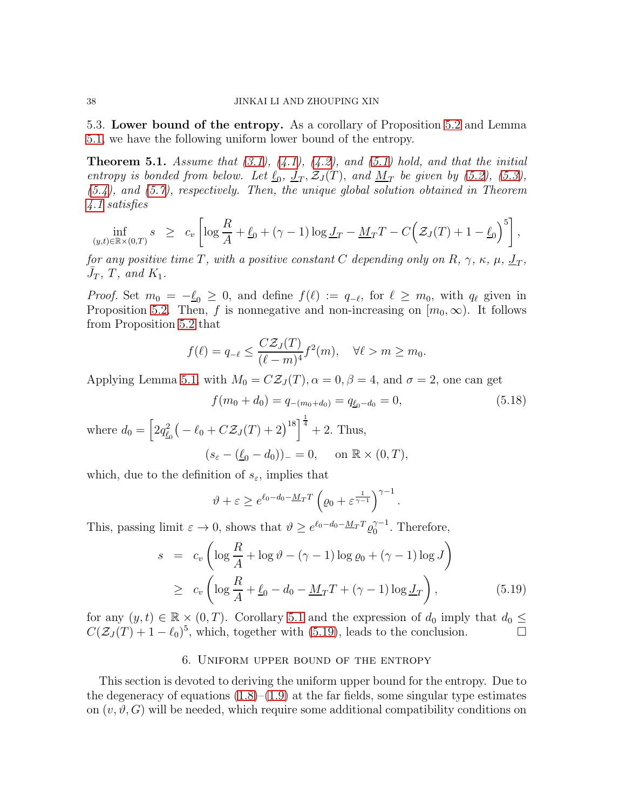5.3. Lower bound of the entropy. As a corollary of Proposition [5.2](#page-36-2) and Lemma [5.1,](#page-33-2) we have the following uniform lower bound of the entropy.

<span id="page-37-2"></span>**Theorem 5.1.** Assume that  $(3.1)$ ,  $(4.1)$ ,  $(4.2)$ , and  $(5.1)$  hold, and that the initial entropy is bonded from below. Let  $\underline{\ell}_0$ ,  $\underline{J}_T$ ,  $\mathcal{Z}_J(T)$ , and  $\underline{M}_T$  be given by [\(5.2\)](#page-32-4), [\(5.3\)](#page-32-4), [\(5.4\)](#page-32-4), and [\(5.7\)](#page-32-6), respectively. Then, the unique global solution obtained in Theorem [4.1](#page-30-0) satisfies

$$
\inf_{(y,t)\in\mathbb{R}\times(0,T)} s \geq c_v \left[ \log\frac{R}{A} + \underline{\ell}_0 + (\gamma - 1) \log \underline{J}_T - \underline{M}_T T - C \Big( \mathcal{Z}_J(T) + 1 - \underline{\ell}_0 \Big)^5 \right],
$$

for any positive time T, with a positive constant C depending only on R,  $\gamma$ ,  $\kappa$ ,  $\mu$ ,  $\underline{J}_T$ ,  $\bar{J}_T$ ,  $\bar{T}$ , and  $K_1$ .

*Proof.* Set  $m_0 = -\ell_0 \geq 0$ , and define  $f(\ell) := q_{-\ell}$ , for  $\ell \geq m_0$ , with  $q_{\ell}$  given in Proposition [5.2.](#page-36-2) Then, f is nonnegative and non-increasing on  $[m_0, \infty)$ . It follows from Proposition [5.2](#page-36-2) that

$$
f(\ell) = q_{-\ell} \le \frac{C\mathcal{Z}_J(T)}{(\ell - m)^4} f^2(m), \quad \forall \ell > m \ge m_0.
$$

Applying Lemma [5.1,](#page-33-2) with  $M_0 = C\mathcal{Z}_J(T)$ ,  $\alpha = 0$ ,  $\beta = 4$ , and  $\sigma = 2$ , one can get

$$
f(m_0 + d_0) = q_{-(m_0 + d_0)} = q_{\underline{\ell}_0 - d_0} = 0,
$$
\n(5.18)

where  $d_0 = \left[2q_{\underline{\ell}_0}^2(-\ell_0 + C\mathcal{Z}_J(T) + 2)^{18}\right]^{\frac{1}{4}} + 2$ . Thus,  $(s_{\varepsilon} - (\underline{\ell}_0 - d_0))_{-} = 0$ , on  $\mathbb{R} \times (0, T)$ ,

which, due to the definition of  $s_{\varepsilon}$ , implies that

$$
\vartheta + \varepsilon \ge e^{\ell_0 - d_0 - \underline{M}_T T} \left( \varrho_0 + \varepsilon^{\frac{1}{\gamma - 1}} \right)^{\gamma - 1}.
$$

This, passing limit  $\varepsilon \to 0$ , shows that  $\vartheta \geq e^{\ell_0 - d_0 - M_T T} \varrho_0^{\gamma - 1}$ . Therefore,

<span id="page-37-1"></span>
$$
s = c_v \left( \log \frac{R}{A} + \log \vartheta - (\gamma - 1) \log \varrho_0 + (\gamma - 1) \log J \right)
$$
  
\n
$$
\geq c_v \left( \log \frac{R}{A} + \underline{\ell}_0 - d_0 - \underline{M}_T T + (\gamma - 1) \log \underline{J}_T \right),
$$
 (5.19)

<span id="page-37-0"></span>for any  $(y, t) \in \mathbb{R} \times (0, T)$ . Corollary [5.1](#page-35-3) and the expression of  $d_0$  imply that  $d_0 \leq$  $C(\mathcal{Z}_J(T) + 1 - \ell_0)^5$ , which, together with [\(5.19\)](#page-37-1), leads to the conclusion.

# 6. Uniform upper bound of the entropy

This section is devoted to deriving the uniform upper bound for the entropy. Due to the degeneracy of equations  $(1.8)$ – $(1.9)$  at the far fields, some singular type estimates on  $(v, \vartheta, G)$  will be needed, which require some additional compatibility conditions on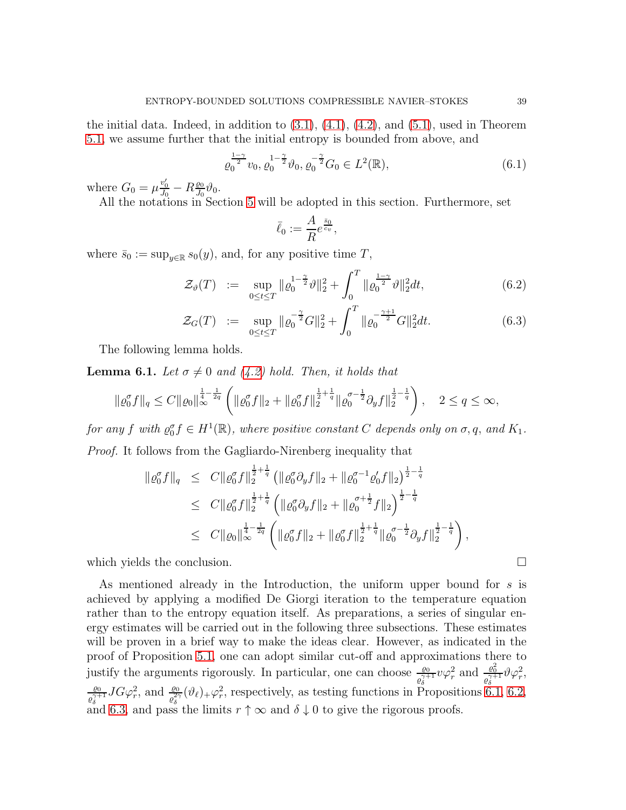the initial data. Indeed, in addition to  $(3.1)$ ,  $(4.1)$ ,  $(4.2)$ , and  $(5.1)$ , used in Theorem [5.1,](#page-37-2) we assume further that the initial entropy is bounded from above, and

<span id="page-38-1"></span>
$$
\varrho_0^{\frac{1-\gamma}{2}} v_0, \varrho_0^{1-\frac{\gamma}{2}} \vartheta_0, \varrho_0^{-\frac{\gamma}{2}} G_0 \in L^2(\mathbb{R}), \tag{6.1}
$$

where  $G_0 = \mu \frac{v'_0}{J_0} - R \frac{\varrho_0}{J_0}$  $\frac{\varrho_0}{J_0}\vartheta_0$ .

All the notations in Section [5](#page-32-0) will be adopted in this section. Furthermore, set

$$
\bar{\ell}_0 := \frac{A}{R} e^{\frac{\bar{s}_0}{c_v}},
$$

where  $\bar{s}_0 := \sup_{y \in \mathbb{R}} s_0(y)$ , and, for any positive time  $T$ ,

$$
\mathcal{Z}_{\vartheta}(T) := \sup_{0 \le t \le T} \| \varrho_0^{1-\frac{\gamma}{2}} \vartheta \|_2^2 + \int_0^T \| \varrho_0^{\frac{1-\gamma}{2}} \vartheta \|_2^2 dt, \tag{6.2}
$$

$$
\mathcal{Z}_G(T) := \sup_{0 \le t \le T} \| \varrho_0^{-\frac{\gamma}{2}} G \|_2^2 + \int_0^T \| \varrho_0^{-\frac{\gamma+1}{2}} G \|_2^2 dt. \tag{6.3}
$$

The following lemma holds.

<span id="page-38-0"></span>**Lemma 6.1.** Let  $\sigma \neq 0$  and [\(4.2\)](#page-18-1) hold. Then, it holds that

$$
\|\varrho_0^{\sigma}f\|_q \leq C \|\varrho_0\|_{\infty}^{\frac{1}{4}-\frac{1}{2q}} \left( \|\varrho_0^{\sigma}f\|_2 + \|\varrho_0^{\sigma}f\|_2^{\frac{1}{2}+\frac{1}{q}} \|\varrho_0^{\sigma-\frac{1}{2}}\partial_y f\|_2^{\frac{1}{2}-\frac{1}{q}} \right), \quad 2 \leq q \leq \infty,
$$

for any f with  $\varrho_0^{\sigma} f \in H^1(\mathbb{R})$ , where positive constant C depends only on  $\sigma, q$ , and  $K_1$ . Proof. It follows from the Gagliardo-Nirenberg inequality that

$$
\begin{array}{lcl} \|\varrho_{0}^{\sigma}f\|_{q} & \leq & C\|\varrho_{0}^{\sigma}f\|_{2}^{\frac{1}{2}+\frac{1}{q}} \left( \|\varrho_{0}^{\sigma}\partial_{y}f\|_{2}+\|\varrho_{0}^{\sigma-1}\varrho_{0}^{\prime}f\|_{2} \right)^{\frac{1}{2}-\frac{1}{q}} \\ & \leq & C\|\varrho_{0}^{\sigma}f\|_{2}^{\frac{1}{2}+\frac{1}{q}} \left( \|\varrho_{0}^{\sigma}\partial_{y}f\|_{2}+\|\varrho_{0}^{\sigma+\frac{1}{2}}f\|_{2} \right)^{\frac{1}{2}-\frac{1}{q}} \\ & \leq & C\|\varrho_{0}\|_{\infty}^{\frac{1}{4}-\frac{1}{2q}} \left( \|\varrho_{0}^{\sigma}f\|_{2}+\|\varrho_{0}^{\sigma}f\|_{2}^{\frac{1}{2}+\frac{1}{q}}\|\varrho_{0}^{\sigma-\frac{1}{2}}\partial_{y}f\|_{2}^{\frac{1}{2}-\frac{1}{q}} \right), \end{array}
$$

which yields the conclusion.  $\Box$ 

As mentioned already in the Introduction, the uniform upper bound for s is achieved by applying a modified De Giorgi iteration to the temperature equation rather than to the entropy equation itself. As preparations, a series of singular energy estimates will be carried out in the following three subsections. These estimates will be proven in a brief way to make the ideas clear. However, as indicated in the proof of Proposition [5.1,](#page-33-0) one can adopt similar cut-off and approximations there to justify the arguments rigorously. In particular, one can choose  $\frac{\rho_0}{\rho_\delta^{\gamma+1}} v \varphi_r^2$  and  $\frac{\rho_0^2}{\rho_\delta^{\gamma+1}} \vartheta \varphi_r^2$ ,  $\varrho_0$  $\frac{\varrho_0}{\varrho_\delta^{\gamma+1}} JG\varphi_r^2$ , and  $\frac{\varrho_0}{\varrho_\delta^{\gamma}}(\vartheta_\ell)_+ \varphi_r^2$ , respectively, as testing functions in Propositions [6.1,](#page-39-0) [6.2,](#page-40-0) and [6.3,](#page-41-0) and pass the limits  $r \uparrow \infty$  and  $\delta \downarrow 0$  to give the rigorous proofs.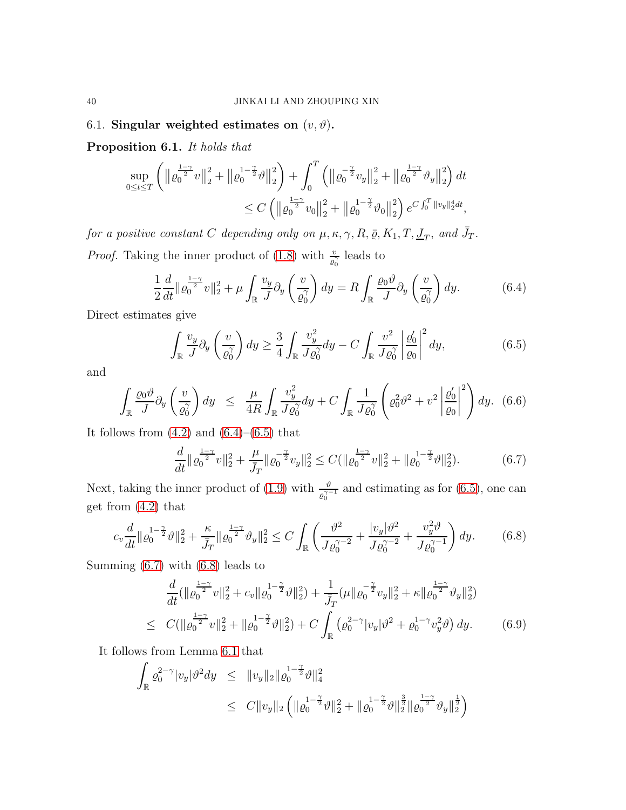# <span id="page-39-7"></span>6.1. Singular weighted estimates on  $(v, \vartheta)$ .

<span id="page-39-0"></span>Proposition 6.1. It holds that

$$
\sup_{0 \le t \le T} \left( \left\| \varrho_0^{\frac{1-\gamma}{2}} v \right\|_2^2 + \left\| \varrho_0^{1-\frac{\gamma}{2}} \vartheta \right\|_2^2 \right) + \int_0^T \left( \left\| \varrho_0^{-\frac{\gamma}{2}} v_y \right\|_2^2 + \left\| \varrho_0^{\frac{1-\gamma}{2}} \vartheta_y \right\|_2^2 \right) dt
$$
  

$$
\le C \left( \left\| \varrho_0^{\frac{1-\gamma}{2}} v_0 \right\|_2^2 + \left\| \varrho_0^{1-\frac{\gamma}{2}} \vartheta_0 \right\|_2^2 \right) e^{C \int_0^T \left\| v_y \right\|_2^4 dt},
$$

for a positive constant C depending only on  $\mu$ ,  $\kappa$ ,  $\gamma$ ,  $R$ ,  $\bar{\varrho}$ ,  $K_1$ ,  $T$ ,  $\underline{J}_T$ , and  $\bar{J}_T$ . *Proof.* Taking the inner product of [\(1.8\)](#page-3-0) with  $\frac{v}{\rho_0^2}$  leads to

<span id="page-39-1"></span>
$$
\frac{1}{2}\frac{d}{dt}\|\varrho_0^{\frac{1-\gamma}{2}}v\|_2^2 + \mu \int_{\mathbb{R}} \frac{v_y}{J} \partial_y \left(\frac{v}{\varrho_0^{\gamma}}\right) dy = R \int_{\mathbb{R}} \frac{\varrho_0 \vartheta}{J} \partial_y \left(\frac{v}{\varrho_0^{\gamma}}\right) dy. \tag{6.4}
$$

Direct estimates give

<span id="page-39-2"></span>
$$
\int_{\mathbb{R}} \frac{v_y}{J} \partial_y \left(\frac{v}{\varrho_0^{\gamma}}\right) dy \ge \frac{3}{4} \int_{\mathbb{R}} \frac{v_y^2}{J \varrho_0^{\gamma}} dy - C \int_{\mathbb{R}} \frac{v^2}{J \varrho_0^{\gamma}} \left|\frac{\varrho_0'}{\varrho_0}\right|^2 dy, \tag{6.5}
$$

and

$$
\int_{\mathbb{R}} \frac{\varrho_0 \vartheta}{J} \partial_y \left( \frac{v}{\varrho_0^{\gamma}} \right) dy \leq \frac{\mu}{4R} \int_{\mathbb{R}} \frac{v_y^2}{J \varrho_0^{\gamma}} dy + C \int_{\mathbb{R}} \frac{1}{J \varrho_0^{\gamma}} \left( \varrho_0^2 \vartheta^2 + v^2 \left| \frac{\varrho_0'}{\varrho_0} \right|^2 \right) dy. \tag{6.6}
$$

It follows from  $(4.2)$  and  $(6.4)$ – $(6.5)$  that

<span id="page-39-3"></span>
$$
\frac{d}{dt} \|\varrho_0^{\frac{1-\gamma}{2}} v\|_2^2 + \frac{\mu}{\bar{J}_T} \|\varrho_0^{-\frac{\gamma}{2}} v_y\|_2^2 \le C(\|\varrho_0^{\frac{1-\gamma}{2}} v\|_2^2 + \|\varrho_0^{1-\frac{\gamma}{2}} \vartheta\|_2^2). \tag{6.7}
$$

Next, taking the inner product of [\(1.9\)](#page-3-0) with  $\frac{\vartheta}{\varrho_0^{\gamma-1}}$  and estimating as for [\(6.5\)](#page-39-2), one can get from [\(4.2\)](#page-18-1) that

<span id="page-39-4"></span>
$$
c_v \frac{d}{dt} ||\varrho_0^{1-\frac{\gamma}{2}} \vartheta||_2^2 + \frac{\kappa}{\bar{J}_T} ||\varrho_0^{\frac{1-\gamma}{2}} \vartheta_y||_2^2 \le C \int_{\mathbb{R}} \left( \frac{\vartheta^2}{J \varrho_0^{\gamma-2}} + \frac{|v_y| \vartheta^2}{J \varrho_0^{\gamma-2}} + \frac{v_y^2 \vartheta}{J \varrho_0^{\gamma-1}} \right) dy. \tag{6.8}
$$

Summing [\(6.7\)](#page-39-3) with [\(6.8\)](#page-39-4) leads to

<span id="page-39-6"></span>
$$
\frac{d}{dt}(\|\varrho_0^{\frac{1-\gamma}{2}}v\|_2^2 + c_v \|\varrho_0^{1-\frac{\gamma}{2}}\vartheta\|_2^2) + \frac{1}{\bar{J}_T}(\mu \|\varrho_0^{-\frac{\gamma}{2}}v_y\|_2^2 + \kappa \|\varrho_0^{\frac{1-\gamma}{2}}\vartheta_y\|_2^2)
$$
\n
$$
\leq C(\|\varrho_0^{\frac{1-\gamma}{2}}v\|_2^2 + \|\varrho_0^{1-\frac{\gamma}{2}}\vartheta\|_2^2) + C \int_{\mathbb{R}} (\varrho_0^{2-\gamma}|v_y|\vartheta^2 + \varrho_0^{1-\gamma}v_y^2\vartheta) \,dy. \tag{6.9}
$$

It follows from Lemma [6.1](#page-38-0) that

<span id="page-39-5"></span>
$$
\int_{\mathbb{R}} \varrho_0^{2-\gamma} |v_y| \vartheta^2 dy \leq ||v_y||_2 ||\varrho_0^{1-\frac{\gamma}{2}} \vartheta||_4^2
$$
  
\n
$$
\leq C ||v_y||_2 \left( ||\varrho_0^{1-\frac{\gamma}{2}} \vartheta||_2^2 + ||\varrho_0^{1-\frac{\gamma}{2}} \vartheta||_2^{\frac{3}{2}} ||\varrho_0^{-\frac{1-\gamma}{2}} \vartheta||_2^{\frac{1}{2}} \right)
$$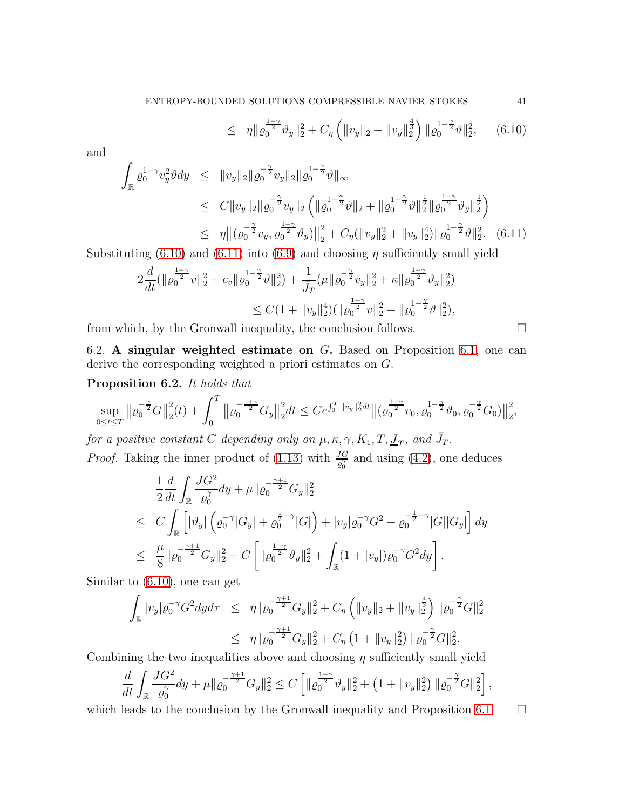$$
\leq \eta \| \varrho_0^{\frac{1-\gamma}{2}} \vartheta_y \|_2^2 + C_\eta \left( \| v_y \|_2 + \| v_y \|_2^{\frac{4}{3}} \right) \| \varrho_0^{1-\frac{\gamma}{2}} \vartheta \|_2^2, \qquad (6.10)
$$

and

<span id="page-40-1"></span>
$$
\int_{\mathbb{R}} \varrho_0^{1-\gamma} v_y^2 \vartheta dy \leq \|v_y\|_2 \|\varrho_0^{-\frac{\gamma}{2}} v_y \|_2 \|\varrho_0^{-\frac{\gamma}{2}} \vartheta\|_{\infty} \leq C \|v_y\|_2 \|\varrho_0^{-\frac{\gamma}{2}} v_y \|_2 \left( \|\varrho_0^{1-\frac{\gamma}{2}} \vartheta\|_2 + \|\varrho_0^{1-\frac{\gamma}{2}} \vartheta\|_2^{\frac{1}{2}} \|\varrho_0^{-\frac{\gamma}{2}} \vartheta_y\|_2^{\frac{1}{2}} \right) \leq \eta \|(\varrho_0^{-\frac{\gamma}{2}} v_y, \varrho_0^{\frac{1-\gamma}{2}} \vartheta_y)\|_2^2 + C_{\eta} (\|v_y\|_2^2 + \|v_y\|_2^4) \|\varrho_0^{1-\frac{\gamma}{2}} \vartheta\|_2^2. (6.11)
$$

Substituting [\(6.10\)](#page-39-5) and [\(6.11\)](#page-40-1) into [\(6.9\)](#page-39-6) and choosing  $\eta$  sufficiently small yield

$$
2\frac{d}{dt}(\|\varrho_0^{\frac{1-\gamma}{2}}v\|_2^2 + c_v \|\varrho_0^{1-\frac{\gamma}{2}}\vartheta\|_2^2) + \frac{1}{\bar{J}_T}(\mu \|\varrho_0^{-\frac{\gamma}{2}}v_y\|_2^2 + \kappa \|\varrho_0^{\frac{1-\gamma}{2}}\vartheta_y\|_2^2)
$$
  

$$
\leq C(1 + \|v_y\|_2^4)(\|\varrho_0^{\frac{1-\gamma}{2}}v\|_2^2 + \|\varrho_0^{1-\frac{\gamma}{2}}\vartheta\|_2^2),
$$

from which, by the Gronwall inequality, the conclusion follows.  $\Box$ 

6.2. A singular weighted estimate on G. Based on Proposition [6.1,](#page-39-0) one can derive the corresponding weighted a priori estimates on G.

<span id="page-40-0"></span>Proposition 6.2. It holds that

$$
\sup_{0\leq t\leq T} \left\|\varrho_0^{-\frac{\gamma}{2}}G\right\|_2^2(t) + \int_0^T \left\|\varrho_0^{-\frac{1+\gamma}{2}}G_y\right\|_2^2 dt \leq Ce^{\int_0^T \|v_y\|_2^2 dt} \left\|(\varrho_0^{\frac{1-\gamma}{2}}v_0, \varrho_0^{-\frac{\gamma}{2}}\vartheta_0, \varrho_0^{-\frac{\gamma}{2}}G_0)\right\|_2^2,
$$

for a positive constant C depending only on  $\mu$ ,  $\kappa$ ,  $\gamma$ ,  $K_1$ ,  $T$ ,  $\underline{J}_T$ , and  $\overline{J}_T$ . *Proof.* Taking the inner product of [\(1.13\)](#page-3-3) with  $\frac{JG}{e_0^{\gamma}}$  and using [\(4.2\)](#page-18-1), one deduces

$$
\frac{1}{2}\frac{d}{dt}\int_{\mathbb{R}}\frac{JG^2}{\varrho_0^{\gamma}}dy + \mu\|\varrho_0^{-\frac{\gamma+1}{2}}G_y\|_2^2
$$
\n
$$
\leq C\int_{\mathbb{R}}\left[|\vartheta_y|\left(\varrho_0^{-\gamma}|G_y| + \varrho_0^{\frac{1}{2}-\gamma}|G|\right) + |v_y|\varrho_0^{-\gamma}G^2 + \varrho_0^{-\frac{1}{2}-\gamma}|G||G_y|\right]dy
$$
\n
$$
\leq \frac{\mu}{8}\|\varrho_0^{-\frac{\gamma+1}{2}}G_y\|_2^2 + C\left[\|\varrho_0^{\frac{1-\gamma}{2}}\vartheta_y\|_2^2 + \int_{\mathbb{R}}(1+|v_y|)\varrho_0^{-\gamma}G^2dy\right].
$$

Similar to [\(6.10\)](#page-39-5), one can get

$$
\int_{\mathbb{R}} |v_y| \varrho_0^{-\gamma} G^2 dy d\tau \leq \eta \| \varrho_0^{-\frac{\gamma+1}{2}} G_y \|_2^2 + C_\eta \left( \|v_y\|_2 + \|v_y\|_2^{\frac{4}{3}} \right) \| \varrho_0^{-\frac{\gamma}{2}} G \|_2^2
$$
  

$$
\leq \eta \| \varrho_0^{-\frac{\gamma+1}{2}} G_y \|_2^2 + C_\eta \left( 1 + \|v_y\|_2^2 \right) \| \varrho_0^{-\frac{\gamma}{2}} G \|_2^2.
$$

Combining the two inequalities above and choosing  $\eta$  sufficiently small yield

$$
\frac{d}{dt} \int_{\mathbb{R}} \frac{JG^2}{\varrho_0^{\gamma}} dy + \mu \| \varrho_0^{-\frac{\gamma+1}{2}} G_y \|_2^2 \leq C \left[ \| \varrho_0^{\frac{1-\gamma}{2}} \vartheta_y \|_2^2 + \left( 1 + \| v_y \|_2^2 \right) \| \varrho_0^{-\frac{\gamma}{2}} G \|_2^2 \right],
$$

which leads to the conclusion by the Gronwall inequality and Proposition [6.1.](#page-39-0)  $\Box$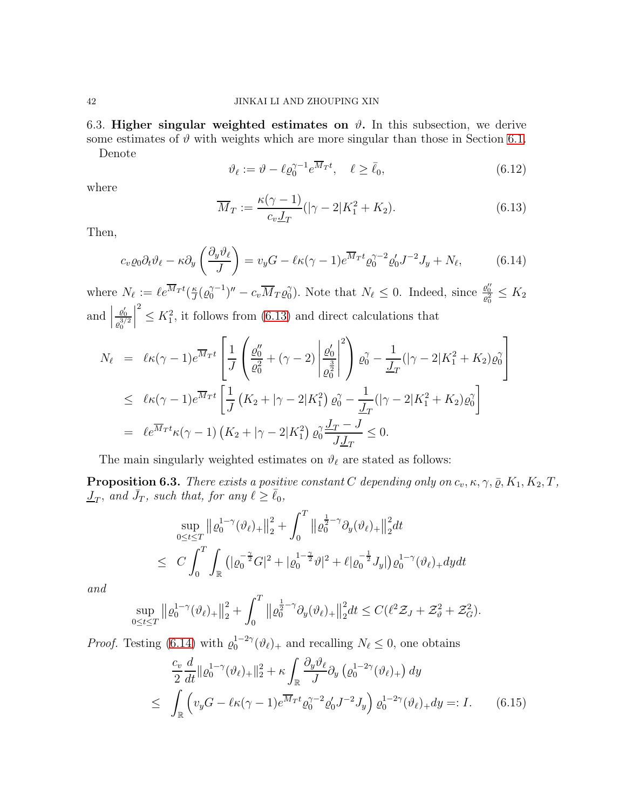6.3. Higher singular weighted estimates on  $\vartheta$ . In this subsection, we derive some estimates of  $\vartheta$  with weights which are more singular than those in Section [6.1.](#page-39-7) Denote

$$
\vartheta_{\ell} := \vartheta - \ell \varrho_0^{\gamma - 1} e^{\overline{M}_T t}, \quad \ell \ge \bar{\ell}_0,\tag{6.12}
$$

where

<span id="page-41-1"></span>
$$
\overline{M}_T := \frac{\kappa(\gamma - 1)}{c_v \underline{J}_T} (|\gamma - 2|K_1^2 + K_2).
$$
 (6.13)

Then,

<span id="page-41-2"></span>
$$
c_v \varrho_0 \partial_t \vartheta_\ell - \kappa \partial_y \left( \frac{\partial_y \vartheta_\ell}{J} \right) = v_y G - \ell \kappa (\gamma - 1) e^{\overline{M}_T t} \varrho_0^{\gamma - 2} \varrho_0' J^{-2} J_y + N_\ell, \tag{6.14}
$$

where  $N_{\ell} := \ell e^{Mrt} (\frac{\kappa}{J})$  $\frac{\kappa}{J}(\varrho_0^{\gamma-1})'' - c_v \overline{M}_T \varrho_0^{\gamma}$  $\gamma_0$ ). Note that  $N_\ell \leq 0$ . Indeed, since  $\frac{\varrho_0^{\prime\prime}}{\varrho_0^2} \leq K_2$ and  $\Big|$  $\varrho_0'$  $\varrho_0^{3/2}$   $\leq K_1^2$ , it follows from [\(6.13\)](#page-41-1) and direct calculations that

$$
N_{\ell} = \ell \kappa (\gamma - 1) e^{\overline{M}_T t} \left[ \frac{1}{J} \left( \frac{\varrho_0''}{\varrho_0^2} + (\gamma - 2) \left| \frac{\varrho_0'}{\varrho_0^2} \right|^2 \right) \varrho_0^{\gamma} - \frac{1}{J_T} (|\gamma - 2|K_1^2 + K_2) \varrho_0^{\gamma} \right]
$$
  

$$
\leq \ell \kappa (\gamma - 1) e^{\overline{M}_T t} \left[ \frac{1}{J} \left( K_2 + |\gamma - 2|K_1^2 \right) \varrho_0^{\gamma} - \frac{1}{J_T} (|\gamma - 2|K_1^2 + K_2) \varrho_0^{\gamma} \right]
$$
  

$$
= \ell e^{\overline{M}_T t} \kappa (\gamma - 1) \left( K_2 + |\gamma - 2|K_1^2 \right) \varrho_0^{\gamma} \frac{J_T - J}{J_{T}} \leq 0.
$$

The main singularly weighted estimates on  $\vartheta_\ell$  are stated as follows:

<span id="page-41-0"></span>**Proposition 6.3.** There exists a positive constant C depending only on  $c_v, \kappa, \gamma, \bar{\varrho}, K_1, K_2, T$ ,  $\overline{J}_T$ , and  $\overline{J}_T$ , such that, for any  $\ell \geq \overline{\ell}_0$ ,

$$
\sup_{0 \le t \le T} \left\| \varrho_0^{1-\gamma} (\vartheta_\ell)_+ \right\|_2^2 + \int_0^T \left\| \varrho_0^{\frac{1}{2}-\gamma} \partial_y (\vartheta_\ell)_+ \right\|_2^2 dt
$$
  

$$
\le C \int_0^T \int_{\mathbb{R}} \left( |\varrho_0^{-\frac{\gamma}{2}} G|^2 + |\varrho_0^{1-\frac{\gamma}{2}} \vartheta|^2 + \ell |\varrho_0^{-\frac{1}{2}} J_y| \right) \varrho_0^{1-\gamma} (\vartheta_\ell)_+ dy dt
$$

and

$$
\sup_{0 \le t \le T} \| \varrho_0^{1-\gamma} (\vartheta_\ell)_+ \|^2_2 + \int_0^T \| \varrho_0^{\frac{1}{2}-\gamma} \partial_y (\vartheta_\ell)_+ \|^2_2 dt \le C(\ell^2 \mathcal{Z}_J + \mathcal{Z}_{\vartheta}^2 + \mathcal{Z}_G^2).
$$

*Proof.* Testing [\(6.14\)](#page-41-2) with  $\varrho_0^{1-2\gamma}(\vartheta_\ell)_+$  and recalling  $N_\ell \leq 0$ , one obtains

<span id="page-41-3"></span>
$$
\frac{c_v}{2} \frac{d}{dt} \| \varrho_0^{1-\gamma} (\vartheta_\ell)_+ \|_2^2 + \kappa \int_{\mathbb{R}} \frac{\partial_y \vartheta_\ell}{J} \partial_y \left( \varrho_0^{1-2\gamma} (\vartheta_\ell)_+ \right) dy
$$
\n
$$
\leq \int_{\mathbb{R}} \left( v_y G - \ell \kappa (\gamma - 1) e^{\overline{M}_T t} \varrho_0^{\gamma - 2} \varrho'_0 J^{-2} J_y \right) \varrho_0^{1-2\gamma} (\vartheta_\ell)_+ dy =: I. \tag{6.15}
$$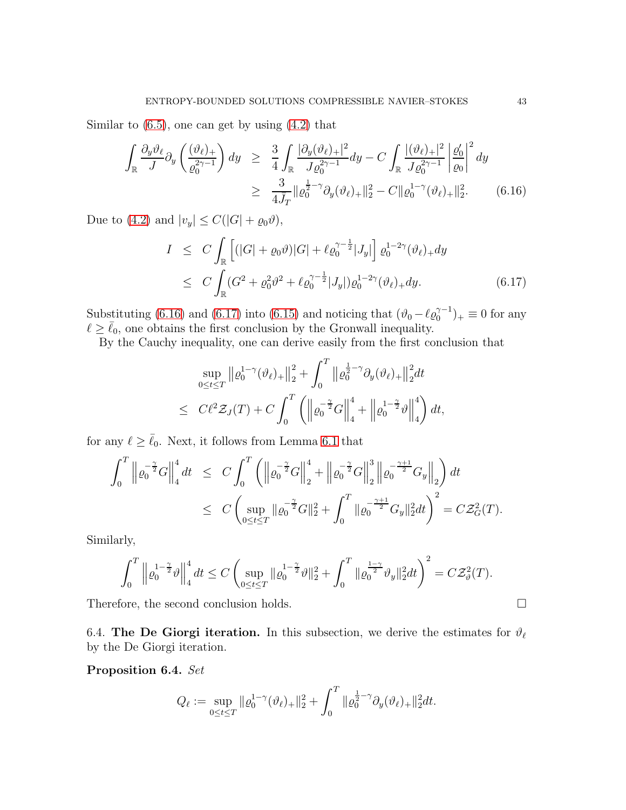Similar to  $(6.5)$ , one can get by using  $(4.2)$  that

<span id="page-42-0"></span>
$$
\int_{\mathbb{R}} \frac{\partial_y \vartheta_{\ell}}{J} \partial_y \left( \frac{(\vartheta_{\ell})_+}{\varrho_0^2 \gamma - 1} \right) dy \geq \frac{3}{4} \int_{\mathbb{R}} \frac{|\partial_y (\vartheta_{\ell})_+|^2}{J \varrho_0^2 \gamma - 1} dy - C \int_{\mathbb{R}} \frac{|(\vartheta_{\ell})_+|^2}{J \varrho_0^2 \gamma - 1} \left| \frac{\varrho_0'}{\varrho_0} \right|^2 dy
$$
\n
$$
\geq \frac{3}{4J_T} ||\varrho_0^{\frac{1}{2} - \gamma} \partial_y (\vartheta_{\ell})_+||_2^2 - C ||\varrho_0^{1 - \gamma} (\vartheta_{\ell})_+||_2^2. \tag{6.16}
$$

Due to [\(4.2\)](#page-18-1) and  $|v_y| \leq C(|G| + \varrho_0 \vartheta)$ ,

<span id="page-42-1"></span>
$$
I \leq C \int_{\mathbb{R}} \left[ (|G| + \varrho_0 \vartheta) |G| + \ell \varrho_0^{\gamma - \frac{1}{2}} |J_y| \right] \varrho_0^{1 - 2\gamma} (\vartheta_\ell)_+ dy
$$
  

$$
\leq C \int_{\mathbb{R}} (G^2 + \varrho_0^2 \vartheta^2 + \ell \varrho_0^{\gamma - \frac{1}{2}} |J_y|) \varrho_0^{1 - 2\gamma} (\vartheta_\ell)_+ dy. \tag{6.17}
$$

Substituting [\(6.16\)](#page-42-0) and [\(6.17\)](#page-42-1) into [\(6.15\)](#page-41-3) and noticing that  $(\vartheta_0 - \ell \varrho_0^{\gamma-1})_+ \equiv 0$  for any  $\ell \geq \bar{\ell}_0$ , one obtains the first conclusion by the Gronwall inequality.

By the Cauchy inequality, one can derive easily from the first conclusion that

$$
\sup_{0 \le t \le T} \| \varrho_0^{1-\gamma} (\vartheta_\ell)_+ \|^2_2 + \int_0^T \| \varrho_0^{\frac{1}{2}-\gamma} \partial_y (\vartheta_\ell)_+ \|^2_2 dt
$$
  

$$
\le C \ell^2 \mathcal{Z}_J(T) + C \int_0^T \left( \left\| \varrho_0^{-\frac{\gamma}{2}} G \right\|_4^4 + \left\| \varrho_0^{1-\frac{\gamma}{2}} \vartheta \right\|_4^4 \right) dt,
$$

for any  $\ell \geq \bar{\ell}_0$ . Next, it follows from Lemma [6.1](#page-38-0) that

$$
\int_0^T \left\| \varrho_0^{-\frac{\gamma}{2}} G \right\|_4^4 dt \leq C \int_0^T \left( \left\| \varrho_0^{-\frac{\gamma}{2}} G \right\|_2^4 + \left\| \varrho_0^{-\frac{\gamma}{2}} G \right\|_2^3 \left\| \varrho_0^{-\frac{\gamma+1}{2}} G_y \right\|_2 \right) dt
$$
  

$$
\leq C \left( \sup_{0 \leq t \leq T} \| \varrho_0^{-\frac{\gamma}{2}} G \|^2_2 + \int_0^T \| \varrho_0^{-\frac{\gamma+1}{2}} G_y \|^2_2 dt \right)^2 = C \mathcal{Z}_G^2(T).
$$

Similarly,

$$
\int_0^T \left\| \varrho_0^{1-\frac{\gamma}{2}} \vartheta \right\|_4^4 dt \le C \left( \sup_{0 \le t \le T} \| \varrho_0^{1-\frac{\gamma}{2}} \vartheta \|_2^2 + \int_0^T \| \varrho_0^{\frac{1-\gamma}{2}} \vartheta_y \|_2^2 dt \right)^2 = C \mathcal{Z}_{\vartheta}^2(T).
$$

Therefore, the second conclusion holds.

6.4. The De Giorgi iteration. In this subsection, we derive the estimates for  $\vartheta_\ell$ by the De Giorgi iteration.

<span id="page-42-2"></span>Proposition 6.4. Set

$$
Q_{\ell} := \sup_{0 \le t \le T} \| \varrho_0^{1-\gamma} (\vartheta_{\ell})_+ \|_2^2 + \int_0^T \| \varrho_0^{\frac{1}{2}-\gamma} \partial_y (\vartheta_{\ell})_+ \|_2^2 dt.
$$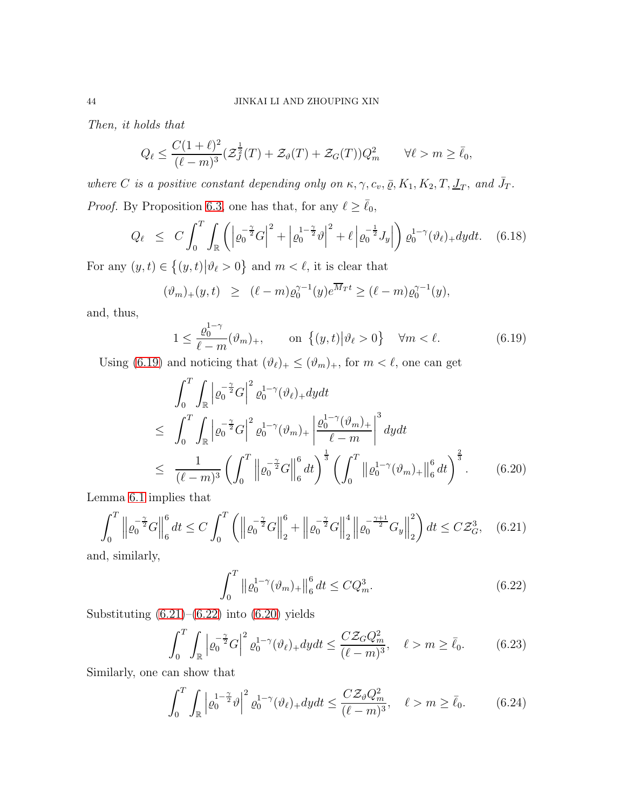Then, it holds that

$$
Q_{\ell} \le \frac{C(1+\ell)^2}{(\ell-m)^3} \left(\mathcal{Z}_J^{\frac{1}{2}}(T) + \mathcal{Z}_{\vartheta}(T) + \mathcal{Z}_G(T)\right) Q_m^2 \qquad \forall \ell > m \ge \bar{\ell}_0,
$$

where C is a positive constant depending only on  $\kappa$ ,  $\gamma$ ,  $c_v$ ,  $\bar{\varrho}$ ,  $K_1$ ,  $K_2$ ,  $T$ ,  $\underline{J}_T$ , and  $\bar{J}_T$ .

*Proof.* By Proposition [6.3,](#page-41-0) one has that, for any  $\ell \ge \bar{\ell}_0$ ,

<span id="page-43-6"></span>
$$
Q_{\ell} \leq C \int_0^T \int_{\mathbb{R}} \left( \left| \varrho_0^{-\frac{\gamma}{2}} G \right|^2 + \left| \varrho_0^{1-\frac{\gamma}{2}} \vartheta \right|^2 + \ell \left| \varrho_0^{-\frac{1}{2}} J_y \right| \right) \varrho_0^{1-\gamma}(\vartheta_{\ell})_+ dy dt. \tag{6.18}
$$

For any  $(y, t) \in \{(y, t) | \vartheta_{\ell} > 0\}$  and  $m < \ell$ , it is clear that

$$
(\vartheta_m)_+(y,t) \ge (\ell-m)\varrho_0^{\gamma-1}(y)e^{\overline{M}_T t} \ge (\ell-m)\varrho_0^{\gamma-1}(y),
$$

and, thus,

<span id="page-43-0"></span>
$$
1 \le \frac{\varrho_0^{1-\gamma}}{\ell-m}(\vartheta_m)_+, \qquad \text{on } \{(y,t) \big| \vartheta_\ell > 0\} \quad \forall m < \ell. \tag{6.19}
$$

Using [\(6.19\)](#page-43-0) and noticing that  $(\vartheta_{\ell})_+ \leq (\vartheta_m)_+$ , for  $m < \ell$ , one can get

<span id="page-43-3"></span>
$$
\int_{0}^{T} \int_{\mathbb{R}} \left| \varrho_{0}^{-\frac{\gamma}{2}} G \right|^{2} \varrho_{0}^{1-\gamma}(\vartheta_{\ell})_{+} dy dt
$$
\n
$$
\leq \int_{0}^{T} \int_{\mathbb{R}} \left| \varrho_{0}^{-\frac{\gamma}{2}} G \right|^{2} \varrho_{0}^{1-\gamma}(\vartheta_{m})_{+} \left| \frac{\varrho_{0}^{1-\gamma}(\vartheta_{m})_{+}}{\ell-m} \right|^{3} dy dt
$$
\n
$$
\leq \frac{1}{(\ell-m)^{3}} \left( \int_{0}^{T} \left\| \varrho_{0}^{-\frac{\gamma}{2}} G \right\|_{6}^{\ell} dt \right)^{\frac{1}{3}} \left( \int_{0}^{T} \left\| \varrho_{0}^{1-\gamma}(\vartheta_{m})_{+} \right\|_{6}^{\ell} dt \right)^{\frac{2}{3}} . \tag{6.20}
$$

Lemma [6.1](#page-38-0) implies that

<span id="page-43-1"></span>
$$
\int_0^T \left\| \varrho_0^{-\frac{\gamma}{2}} G \right\|_6^6 dt \le C \int_0^T \left( \left\| \varrho_0^{-\frac{\gamma}{2}} G \right\|_2^6 + \left\| \varrho_0^{-\frac{\gamma}{2}} G \right\|_2^4 \left\| \varrho_0^{-\frac{\gamma+1}{2}} G_y \right\|_2^2 \right) dt \le C \mathcal{Z}_G^3, \quad (6.21)
$$

and, similarly,

<span id="page-43-2"></span>
$$
\int_0^T \left\| \varrho_0^{1-\gamma}(\vartheta_m)_{+} \right\|_6^6 dt \le C Q_m^3. \tag{6.22}
$$

Substituting  $(6.21)$ – $(6.22)$  into  $(6.20)$  yields

<span id="page-43-4"></span>
$$
\int_0^T \int_{\mathbb{R}} \left| \varrho_0^{-\frac{\gamma}{2}} G \right|^2 \varrho_0^{1-\gamma}(\vartheta_\ell)_+ dy dt \le \frac{C \mathcal{Z}_G Q_m^2}{(\ell - m)^3}, \quad \ell > m \ge \bar{\ell}_0. \tag{6.23}
$$

Similarly, one can show that

<span id="page-43-5"></span>
$$
\int_0^T \int_{\mathbb{R}} \left| \varrho_0^{1-\frac{\gamma}{2}} \vartheta \right|^2 \varrho_0^{1-\gamma}(\vartheta_\ell)_+ dy dt \le \frac{C \mathcal{Z}_\vartheta Q_m^2}{(\ell-m)^3}, \quad \ell > m \ge \bar{\ell}_0. \tag{6.24}
$$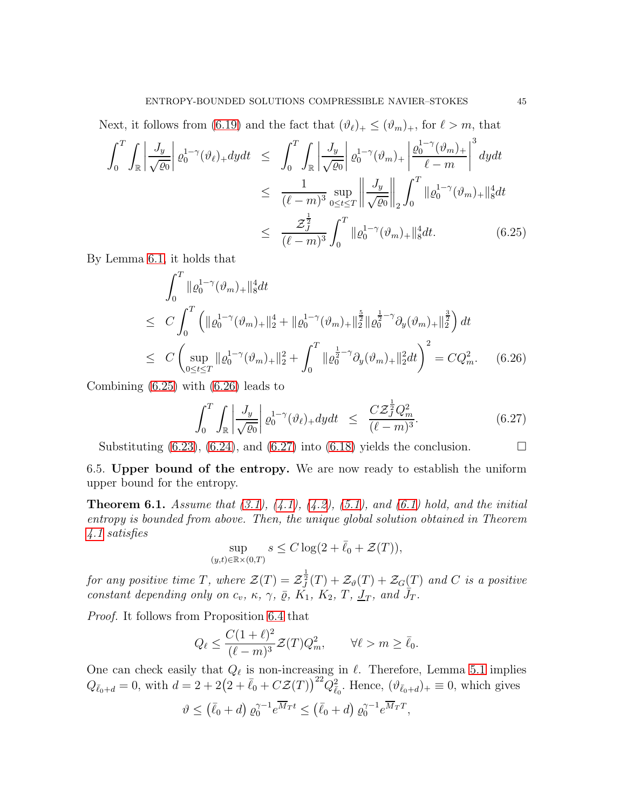Next, it follows from [\(6.19\)](#page-43-0) and the fact that  $(\vartheta_\ell)_+ \leq (\vartheta_m)_+$ , for  $\ell > m$ , that

<span id="page-44-0"></span>
$$
\int_0^T \int_{\mathbb{R}} \left| \frac{J_y}{\sqrt{\varrho_0}} \right| \varrho_0^{1-\gamma}(\vartheta_{\ell})_+ dy dt \leq \int_0^T \int_{\mathbb{R}} \left| \frac{J_y}{\sqrt{\varrho_0}} \right| \varrho_0^{1-\gamma}(\vartheta_m)_+ \left| \frac{\varrho_0^{1-\gamma}(\vartheta_m)_+}{\ell-m} \right|^3 dy dt
$$
  
\n
$$
\leq \frac{1}{(\ell-m)^3} \sup_{0 \leq t \leq T} \left| \frac{J_y}{\sqrt{\varrho_0}} \right|_2 \int_0^T \|\varrho_0^{1-\gamma}(\vartheta_m)_+\|_8^4 dt
$$
  
\n
$$
\leq \frac{\mathcal{Z}_J^{\frac{1}{2}}}{(\ell-m)^3} \int_0^T \|\varrho_0^{1-\gamma}(\vartheta_m)_+\|_8^4 dt. \tag{6.25}
$$

By Lemma [6.1,](#page-38-0) it holds that

<span id="page-44-1"></span>
$$
\int_0^T \| \varrho_0^{1-\gamma} (\vartheta_m)_+ \|_8^4 dt
$$
\n
$$
\leq C \int_0^T \left( \| \varrho_0^{1-\gamma} (\vartheta_m)_+ \|_2^4 + \| \varrho_0^{1-\gamma} (\vartheta_m)_+ \|_2^{\frac{5}{2}} \| \varrho_0^{\frac{1}{2}-\gamma} \partial_y (\vartheta_m)_+ \|_2^{\frac{3}{2}} \right) dt
$$
\n
$$
\leq C \left( \sup_{0 \leq t \leq T} \| \varrho_0^{1-\gamma} (\vartheta_m)_+ \|_2^2 + \int_0^T \| \varrho_0^{\frac{1}{2}-\gamma} \partial_y (\vartheta_m)_+ \|_2^2 dt \right)^2 = C Q_m^2. \quad (6.26)
$$

Combining [\(6.25\)](#page-44-0) with [\(6.26\)](#page-44-1) leads to

<span id="page-44-2"></span>
$$
\int_0^T \int_{\mathbb{R}} \left| \frac{J_y}{\sqrt{\varrho_0}} \right| \varrho_0^{1-\gamma}(\vartheta_\ell)_+ dy dt \leq \frac{C \mathcal{Z}_j^{\frac{1}{2}} Q_m^2}{(\ell - m)^3}.
$$
 (6.27)

Substituting  $(6.23)$ ,  $(6.24)$ , and  $(6.27)$  into  $(6.18)$  yields the conclusion.

6.5. Upper bound of the entropy. We are now ready to establish the uniform upper bound for the entropy.

**Theorem 6.1.** Assume that  $(3.1)$ ,  $(4.1)$ ,  $(4.2)$ ,  $(5.1)$ , and  $(6.1)$  hold, and the initial entropy is bounded from above. Then, the unique global solution obtained in Theorem [4.1](#page-30-0) satisfies

$$
\sup_{(y,t)\in\mathbb{R}\times(0,T)}s\leq C\log\bigl(2+\bar\ell_0+\mathcal{Z}(T)\bigr),
$$

for any positive time T, where  $\mathcal{Z}(T) = \mathcal{Z}_J^{\frac{1}{2}}(T) + \mathcal{Z}_\vartheta(T) + \mathcal{Z}_G(T)$  and C is a positive constant depending only on  $c_v$ ,  $\kappa$ ,  $\gamma$ ,  $\bar{\varrho}$ ,  $\widetilde{K_1}$ ,  $\widetilde{K_2}$ ,  $T$ ,  $\overline{J_T}$ , and  $\overline{J_T}$ .

Proof. It follows from Proposition [6.4](#page-42-2) that

$$
Q_{\ell} \le \frac{C(1+\ell)^2}{(\ell-m)^3} \mathcal{Z}(T) Q_m^2, \qquad \forall \ell > m \ge \bar{\ell}_0.
$$

One can check easily that  $Q_{\ell}$  is non-increasing in  $\ell$ . Therefore, Lemma [5.1](#page-33-2) implies  $Q_{\bar{\ell}_0+d} = 0$ , with  $d = 2 + 2(2 + \bar{\ell}_0 + C\mathcal{Z}(T))^{22} Q_{\bar{\ell}_0}^2$ . Hence,  $(\vartheta_{\bar{\ell}_0+d})_+ \equiv 0$ , which gives

$$
\vartheta \le (\bar{\ell}_0 + d) \varrho_0^{\gamma - 1} e^{\overline{M}_T t} \le (\bar{\ell}_0 + d) \varrho_0^{\gamma - 1} e^{\overline{M}_T T},
$$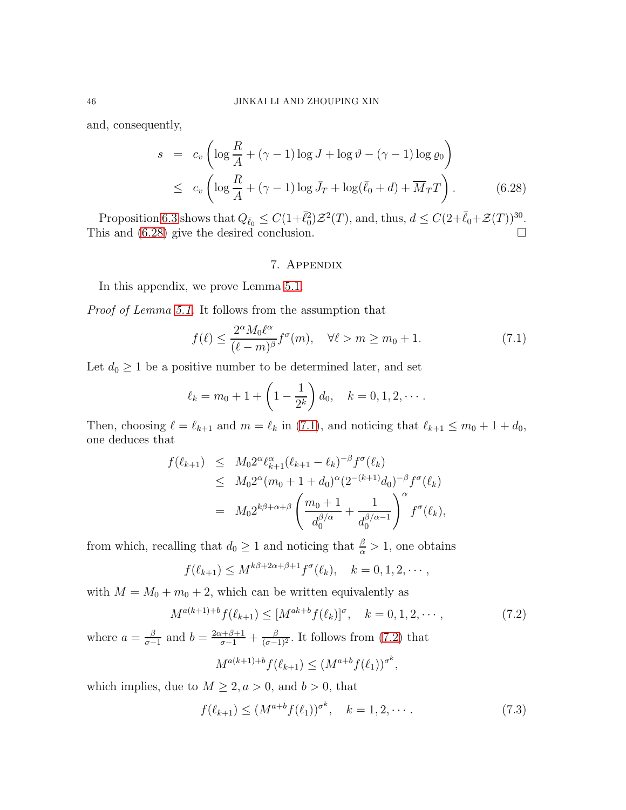and, consequently,

<span id="page-45-0"></span>
$$
s = c_v \left( \log \frac{R}{A} + (\gamma - 1) \log J + \log \vartheta - (\gamma - 1) \log \varrho_0 \right)
$$
  

$$
\leq c_v \left( \log \frac{R}{A} + (\gamma - 1) \log \bar{J}_T + \log(\bar{\ell}_0 + d) + \overline{M}_T T \right). \tag{6.28}
$$

Proposition [6.3](#page-41-0) shows that  $Q_{\bar{\ell}_0} \leq C(1+\bar{\ell}_0^2)\mathcal{Z}^2(T)$ , and, thus,  $d \leq C(2+\bar{\ell}_0+\mathcal{Z}(T))^{30}$ . This and  $(6.28)$  give the desired conclusion.

# 7. Appendix

In this appendix, we prove Lemma [5.1.](#page-33-2)

Proof of Lemma [5.1.](#page-33-2) It follows from the assumption that

<span id="page-45-1"></span>
$$
f(\ell) \le \frac{2^{\alpha} M_0 \ell^{\alpha}}{(\ell - m)^{\beta}} f^{\sigma}(m), \quad \forall \ell > m \ge m_0 + 1.
$$
 (7.1)

Let  $d_0 \geq 1$  be a positive number to be determined later, and set

$$
\ell_k = m_0 + 1 + \left(1 - \frac{1}{2^k}\right)d_0, \quad k = 0, 1, 2, \cdots.
$$

Then, choosing  $\ell = \ell_{k+1}$  and  $m = \ell_k$  in [\(7.1\)](#page-45-1), and noticing that  $\ell_{k+1} \leq m_0 + 1 + d_0$ , one deduces that

$$
f(\ell_{k+1}) \leq M_0 2^{\alpha} \ell_{k+1}^{\alpha} (\ell_{k+1} - \ell_k)^{-\beta} f^{\sigma}(\ell_k)
$$
  
\n
$$
\leq M_0 2^{\alpha} (m_0 + 1 + d_0)^{\alpha} (2^{-(k+1)} d_0)^{-\beta} f^{\sigma}(\ell_k)
$$
  
\n
$$
= M_0 2^{k\beta + \alpha + \beta} \left( \frac{m_0 + 1}{d_0^{\beta/\alpha}} + \frac{1}{d_0^{\beta/\alpha - 1}} \right)^{\alpha} f^{\sigma}(\ell_k),
$$

from which, recalling that  $d_0 \ge 1$  and noticing that  $\frac{\beta}{\alpha} > 1$ , one obtains

$$
f(\ell_{k+1}) \leq M^{k\beta+2\alpha+\beta+1} f^{\sigma}(\ell_k), \quad k = 0, 1, 2, \cdots,
$$

with  $M = M_0 + m_0 + 2$ , which can be written equivalently as

<span id="page-45-2"></span>
$$
M^{a(k+1)+b}f(\ell_{k+1}) \le [M^{ak+b}f(\ell_k)]^{\sigma}, \quad k = 0, 1, 2, \cdots,
$$
\n(7.2)

where  $a = \frac{\beta}{\sigma -}$  $\frac{\beta}{\sigma-1}$  and  $b = \frac{2\alpha+\beta+1}{\sigma-1} + \frac{\beta}{(\sigma-1)^2}$ . It follows from [\(7.2\)](#page-45-2) that

$$
M^{a(k+1)+b}f(\ell_{k+1}) \le (M^{a+b}f(\ell_1))^{\sigma^k},
$$

which implies, due to  $M \geq 2, a > 0$ , and  $b > 0$ , that

<span id="page-45-3"></span>
$$
f(\ell_{k+1}) \le (M^{a+b} f(\ell_1))^{\sigma^k}, \quad k = 1, 2, \cdots.
$$
 (7.3)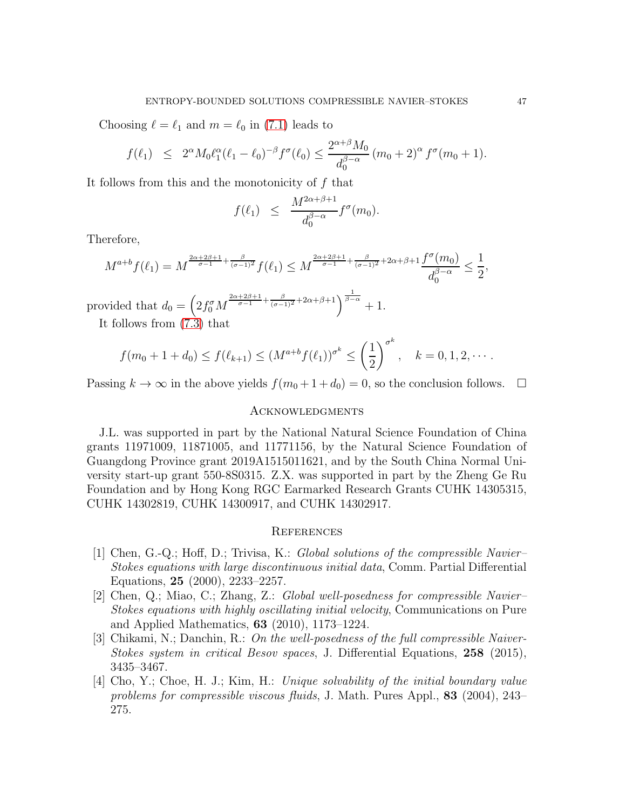Choosing  $\ell = \ell_1$  and  $m = \ell_0$  in [\(7.1\)](#page-45-1) leads to

$$
f(\ell_1) \leq 2^{\alpha} M_0 \ell_1^{\alpha} (\ell_1 - \ell_0)^{-\beta} f^{\sigma}(\ell_0) \leq \frac{2^{\alpha+\beta} M_0}{d_0^{\beta-\alpha}} (m_0 + 2)^{\alpha} f^{\sigma} (m_0 + 1).
$$

It follows from this and the monotonicity of  $f$  that

$$
f(\ell_1) \leq \frac{M^{2\alpha+\beta+1}}{d_0^{\beta-\alpha}} f^{\sigma}(m_0).
$$

Therefore,

$$
M^{a+b}f(\ell_1) = M^{\frac{2\alpha+2\beta+1}{\sigma-1} + \frac{\beta}{(\sigma-1)^2}} f(\ell_1) \le M^{\frac{2\alpha+2\beta+1}{\sigma-1} + \frac{\beta}{(\sigma-1)^2} + 2\alpha+\beta+1} \frac{f^{\sigma}(m_0)}{d_0^{\beta-\alpha}} \le \frac{1}{2},
$$

provided that  $d_0 = \left(2f_0^{\sigma}M^{\frac{2\alpha+2\beta+1}{\sigma-1}+\frac{\beta}{(\sigma-1)^2}+2\alpha+\beta+1}\right)^{\frac{1}{\beta-\alpha}}+1.$ 

It follows from [\(7.3\)](#page-45-3) that

$$
f(m_0 + 1 + d_0) \le f(\ell_{k+1}) \le (M^{a+b} f(\ell_1))^{\sigma^k} \le \left(\frac{1}{2}\right)^{\sigma^k}, \quad k = 0, 1, 2, \cdots.
$$

Passing  $k \to \infty$  in the above yields  $f(m_0 + 1 + d_0) = 0$ , so the conclusion follows.  $\Box$ 

# **ACKNOWLEDGMENTS**

J.L. was supported in part by the National Natural Science Foundation of China grants 11971009, 11871005, and 11771156, by the Natural Science Foundation of Guangdong Province grant 2019A1515011621, and by the South China Normal University start-up grant 550-8S0315. Z.X. was supported in part by the Zheng Ge Ru Foundation and by Hong Kong RGC Earmarked Research Grants CUHK 14305315, CUHK 14302819, CUHK 14300917, and CUHK 14302917.

#### **REFERENCES**

- <span id="page-46-0"></span>[1] Chen, G.-Q.; Hoff, D.; Trivisa, K.: Global solutions of the compressible Navier– Stokes equations with large discontinuous initial data, Comm. Partial Differential Equations, 25 (2000), 2233–2257.
- <span id="page-46-1"></span>[2] Chen, Q.; Miao, C.; Zhang, Z.: Global well-posedness for compressible Navier– Stokes equations with highly oscillating initial velocity, Communications on Pure and Applied Mathematics, 63 (2010), 1173–1224.
- <span id="page-46-2"></span>[3] Chikami, N.; Danchin, R.: On the well-posedness of the full compressible Naiver-Stokes system in critical Besov spaces, J. Differential Equations, 258 (2015), 3435–3467.
- <span id="page-46-3"></span>[4] Cho, Y.; Choe, H. J.; Kim, H.: Unique solvability of the initial boundary value problems for compressible viscous fluids, J. Math. Pures Appl., 83 (2004), 243– 275.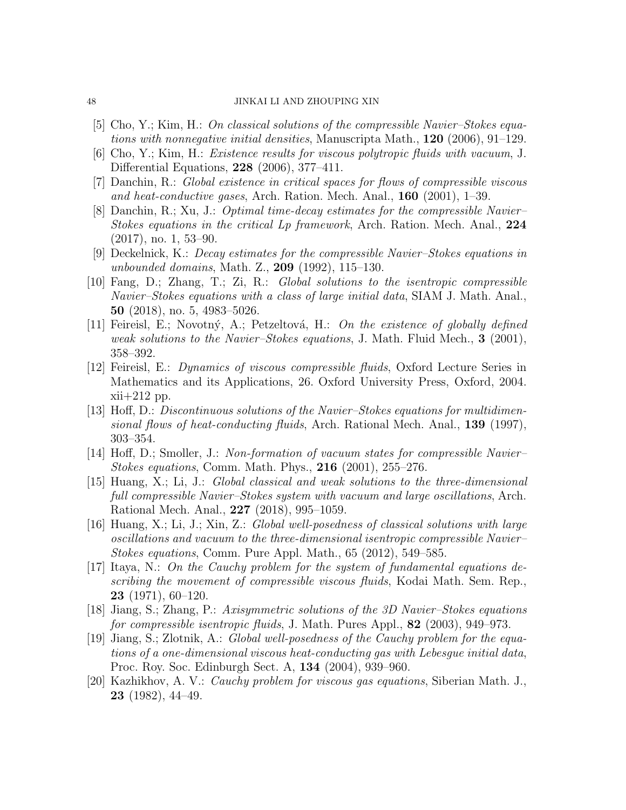### 48 JINKAI LI AND ZHOUPING XIN

- [5] Cho, Y.; Kim, H.: On classical solutions of the compressible Navier–Stokes equations with nonnegative initial densities, Manuscripta Math.,  $120$  (2006), 91–129.
- <span id="page-47-10"></span>[6] Cho, Y.; Kim, H.: Existence results for viscous polytropic fluids with vacuum, J. Differential Equations, 228 (2006), 377–411.
- <span id="page-47-3"></span>[7] Danchin, R.: Global existence in critical spaces for flows of compressible viscous and heat-conductive gases, Arch. Ration. Mech. Anal., 160 (2001), 1–39.
- [8] Danchin, R.; Xu, J.: Optimal time-decay estimates for the compressible Navier– Stokes equations in the critical Lp framework, Arch. Ration. Mech. Anal., 224 (2017), no. 1, 53–90.
- [9] Deckelnick, K.: Decay estimates for the compressible Navier–Stokes equations in unbounded domains, Math. Z., 209 (1992), 115–130.
- <span id="page-47-4"></span>[10] Fang, D.; Zhang, T.; Zi, R.: Global solutions to the isentropic compressible Navier–Stokes equations with a class of large initial data, SIAM J. Math. Anal., 50 (2018), no. 5, 4983–5026.
- <span id="page-47-7"></span>[11] Feireisl, E.; Novotný, A.; Petzeltová, H.: On the existence of globally defined weak solutions to the Navier–Stokes equations, J. Math. Fluid Mech.,  $3$  (2001), 358–392.
- <span id="page-47-9"></span>[12] Feireisl, E.: Dynamics of viscous compressible fluids, Oxford Lecture Series in Mathematics and its Applications, 26. Oxford University Press, Oxford, 2004. xii+212 pp.
- <span id="page-47-5"></span>[13] Hoff, D.: Discontinuous solutions of the Navier–Stokes equations for multidimensional flows of heat-conducting fluids, Arch. Rational Mech. Anal., 139 (1997), 303–354.
- <span id="page-47-6"></span>[14] Hoff, D.; Smoller, J.: Non-formation of vacuum states for compressible Navier– Stokes equations, Comm. Math. Phys., 216 (2001), 255–276.
- <span id="page-47-12"></span>[15] Huang, X.; Li, J.: Global classical and weak solutions to the three-dimensional full compressible Navier–Stokes system with vacuum and large oscillations, Arch. Rational Mech. Anal., 227 (2018), 995–1059.
- <span id="page-47-11"></span>[16] Huang, X.; Li, J.; Xin, Z.: Global well-posedness of classical solutions with large oscillations and vacuum to the three-dimensional isentropic compressible Navier– Stokes equations, Comm. Pure Appl. Math., 65 (2012), 549–585.
- <span id="page-47-0"></span>[17] Itaya, N.: On the Cauchy problem for the system of fundamental equations describing the movement of compressible viscous fluids, Kodai Math. Sem. Rep., 23 (1971), 60–120.
- <span id="page-47-8"></span>[18] Jiang, S.; Zhang, P.: Axisymmetric solutions of the 3D Navier–Stokes equations for compressible isentropic fluids, J. Math. Pures Appl., 82 (2003), 949–973.
- <span id="page-47-2"></span>[19] Jiang, S.; Zlotnik, A.: Global well-posedness of the Cauchy problem for the equations of a one-dimensional viscous heat-conducting gas with Lebesgue initial data, Proc. Roy. Soc. Edinburgh Sect. A, 134 (2004), 939–960.
- <span id="page-47-1"></span>[20] Kazhikhov, A. V.: Cauchy problem for viscous gas equations, Siberian Math. J., 23 (1982), 44–49.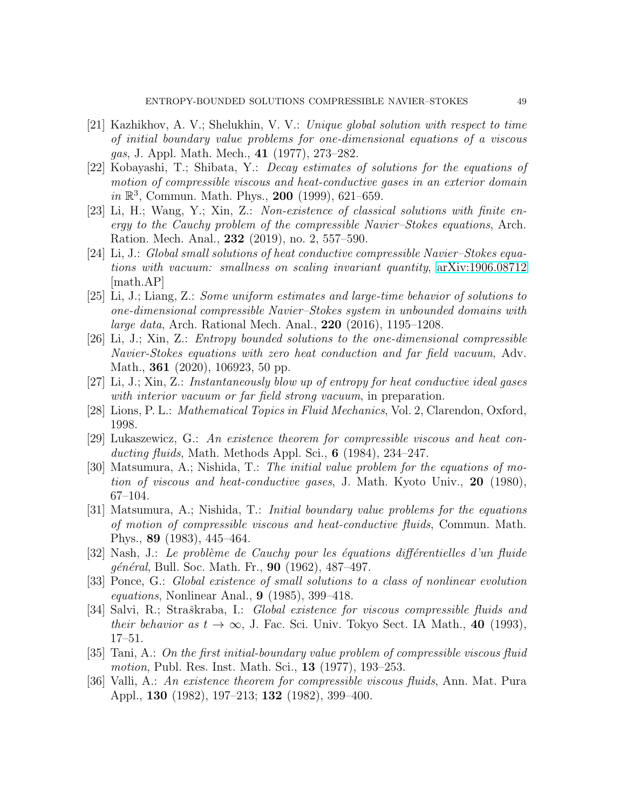- <span id="page-48-4"></span>[21] Kazhikhov, A. V.; Shelukhin, V. V.: Unique global solution with respect to time of initial boundary value problems for one-dimensional equations of a viscous gas, J. Appl. Math. Mech., 41 (1977), 273–282.
- <span id="page-48-8"></span>[22] Kobayashi, T.; Shibata, Y.: Decay estimates of solutions for the equations of motion of compressible viscous and heat-conductive gases in an exterior domain in  $\mathbb{R}^3$ , Commun. Math. Phys., 200 (1999), 621-659.
- <span id="page-48-13"></span>[23] Li, H.; Wang, Y.; Xin, Z.: Non-existence of classical solutions with finite energy to the Cauchy problem of the compressible Navier–Stokes equations, Arch. Ration. Mech. Anal., 232 (2019), no. 2, 557–590.
- <span id="page-48-12"></span>[24] Li, J.: Global small solutions of heat conductive compressible Navier–Stokes equations with vacuum: smallness on scaling invariant quantity, [arXiv:1906.08712](http://arxiv.org/abs/1906.08712) [math.AP]
- <span id="page-48-5"></span>[25] Li, J.; Liang, Z.: Some uniform estimates and large-time behavior of solutions to one-dimensional compressible Navier–Stokes system in unbounded domains with large data, Arch. Rational Mech. Anal., 220 (2016), 1195–1208.
- <span id="page-48-14"></span>[26] Li, J.; Xin, Z.: Entropy bounded solutions to the one-dimensional compressible Navier-Stokes equations with zero heat conduction and far field vacuum, Adv. Math., **361** (2020), 106923, 50 pp.
- <span id="page-48-15"></span>[27] Li, J.; Xin, Z.: Instantaneously blow up of entropy for heat conductive ideal gases with interior vacuum or far field strong vacuum, in preparation.
- <span id="page-48-10"></span>[28] Lions, P. L.: Mathematical Topics in Fluid Mechanics, Vol. 2, Clarendon, Oxford, 1998.
- <span id="page-48-1"></span>[29] Lukaszewicz, G.: An existence theorem for compressible viscous and heat conducting fluids, Math. Methods Appl. Sci.,  $6$  (1984), 234–247.
- <span id="page-48-6"></span>[30] Matsumura, A.; Nishida, T.: The initial value problem for the equations of motion of viscous and heat-conductive gases, J. Math. Kyoto Univ., 20 (1980), 67–104.
- <span id="page-48-7"></span>[31] Matsumura, A.; Nishida, T.: Initial boundary value problems for the equations of motion of compressible viscous and heat-conductive fluids, Commun. Math. Phys., 89 (1983), 445–464.
- <span id="page-48-0"></span>[32] Nash, J.: Le problème de Cauchy pour les équations différentielles d'un fluide général, Bull. Soc. Math. Fr., 90 (1962), 487–497.
- <span id="page-48-9"></span>[33] Ponce, G.: Global existence of small solutions to a class of nonlinear evolution equations, Nonlinear Anal., 9 (1985), 399–418.
- <span id="page-48-11"></span>[34] Salvi, R.; Straškraba, I.: *Global existence for viscous compressible fluids and* their behavior as  $t \to \infty$ , J. Fac. Sci. Univ. Tokyo Sect. IA Math., 40 (1993), 17–51.
- <span id="page-48-2"></span>[35] Tani, A.: On the first initial-boundary value problem of compressible viscous fluid motion, Publ. Res. Inst. Math. Sci., **13** (1977), 193–253.
- <span id="page-48-3"></span>[36] Valli, A.: An existence theorem for compressible viscous fluids, Ann. Mat. Pura Appl., 130 (1982), 197–213; 132 (1982), 399–400.